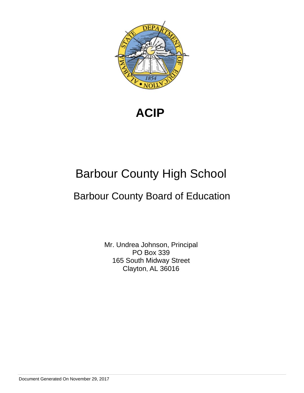

**ACIP** 

# Barbour County High School

# Barbour County Board of Education

Mr. Undrea Johnson, Principal PO Box 339 165 South Midway Street Clayton, AL 36016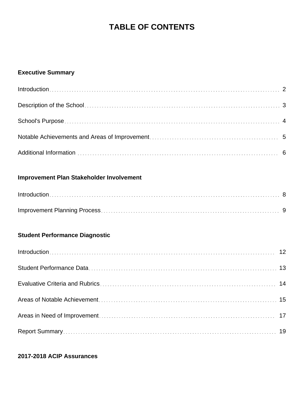# **TABLE OF CONTENTS**

### **Executive Summary**

### **Improvement Plan Stakeholder Involvement**

### **Student Performance Diagnostic**

### **2017-2018 ACIP Assurances**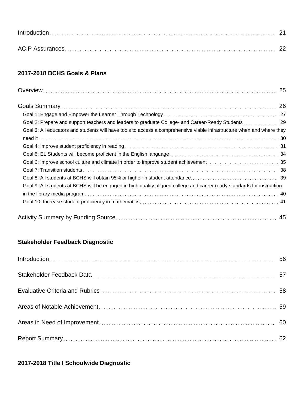### **2017-2018 BCHS Goals & Plans**

| Goal 3: All educators and students will have tools to access a comprehensive viable infrastructure when and where they  |
|-------------------------------------------------------------------------------------------------------------------------|
|                                                                                                                         |
|                                                                                                                         |
|                                                                                                                         |
|                                                                                                                         |
|                                                                                                                         |
|                                                                                                                         |
| Goal 9: All students at BCHS will be engaged in high quality aligned college and career ready standards for instruction |
|                                                                                                                         |
|                                                                                                                         |
|                                                                                                                         |

### **Stakeholder Feedback Diagnostic**

### **2017-2018 Title I Schoolwide Diagnostic**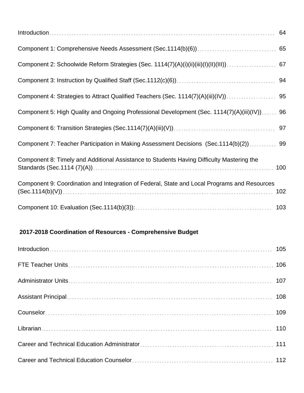| Component 5: High Quality and Ongoing Professional Development (Sec. 1114(7)(A)(iii)(IV)) 96 |     |
|----------------------------------------------------------------------------------------------|-----|
|                                                                                              |     |
| Component 7: Teacher Participation in Making Assessment Decisions (Sec.1114(b)(2)) 99        |     |
| Component 8: Timely and Additional Assistance to Students Having Difficulty Mastering the    | 100 |
| Component 9: Coordination and Integration of Federal, State and Local Programs and Resources | 102 |
|                                                                                              |     |

## **2017-2018 Coordination of Resources - Comprehensive Budget**

| Introduction 105 |  |
|------------------|--|
|                  |  |
|                  |  |
|                  |  |
|                  |  |
|                  |  |
|                  |  |
|                  |  |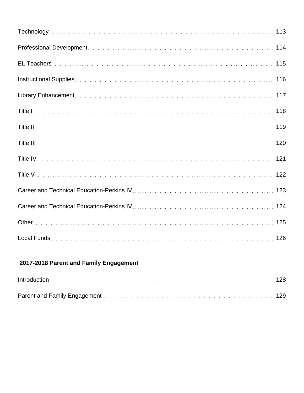| 114 |
|-----|
| 115 |
| 116 |
|     |
| 118 |
| 119 |
|     |
|     |
|     |
|     |
|     |
|     |
|     |

## **2017-2018 Parent and Family Engagement**

| $Introduction \dots 128$ |  |
|--------------------------|--|
|                          |  |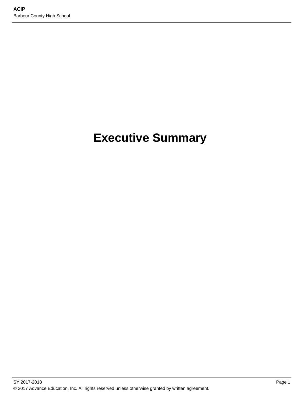# **Executive Summary**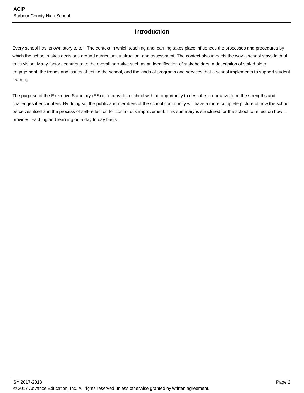### **Introduction**

Every school has its own story to tell. The context in which teaching and learning takes place influences the processes and procedures by which the school makes decisions around curriculum, instruction, and assessment. The context also impacts the way a school stays faithful to its vision. Many factors contribute to the overall narrative such as an identification of stakeholders, a description of stakeholder engagement, the trends and issues affecting the school, and the kinds of programs and services that a school implements to support student learning.

The purpose of the Executive Summary (ES) is to provide a school with an opportunity to describe in narrative form the strengths and challenges it encounters. By doing so, the public and members of the school community will have a more complete picture of how the school perceives itself and the process of self-reflection for continuous improvement. This summary is structured for the school to reflect on how it provides teaching and learning on a day to day basis.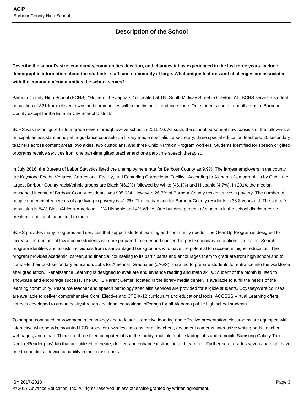### **Description of the School**

**Describe the school's size, community/communities, location, and changes it has experienced in the last three years. Include demographic information about the students, staff, and community at large. What unique features and challenges are associated with the community/communities the school serves?**

Barbour County High School (BCHS), "Home of the Jaguars," is located at 165 South Midway Street in Clayton, AL. BCHS serves a student population of 321 from eleven towns and communities within the district attendance zone. Our students come from all areas of Barbour County except for the Eufaula City School District.

BCHS was reconfigured into a grade seven through twelve school in 2015-16. As such, the school personnel now consists of the following: a principal, an assistant principal, a guidance counselor, a library media specialist, a secretary, three special education teachers, 20 secondary teachers across content areas, two aides, two custodians, and three Child Nutrition Program workers. Students identified for speech or gifted programs receive services from one part-time gifted teacher and one part-time speech therapist.

In July 2016, the Bureau of Labor Statistics listed the unemployment rate for Barbour County as 9.9%. The largest employers in the county are Keystone Foods, Ventress Correctional Facility, and Easterling Correctional Facility. According to Alabama Demographics by Cubit, the largest Barbour County racial/ethnic groups are Black (46.2%) followed by White (46.1%) and Hispanic (4.7%). In 2014, the median household income of Barbour County residents was \$35,634. However, 26.7% of Barbour County residents live in poverty. The number of people under eighteen years of age living in poverty is 41.2%. The median age for Barbour County residents is 38.3 years old. The school's population is 84% Black/African-American, 12% Hispanic and 4% White. One hundred percent of students in the school district receive breakfast and lunch at no cost to them.

BCHS provides many programs and services that support student learning and community needs. The Gear Up Program is designed to increase the number of low income students who are prepared to enter and succeed in post-secondary education. The Talent Search program identifies and assists individuals from disadvantaged backgrounds who have the potential to succeed in higher education. The program provides academic, career, and financial counseling to its participants and encourages them to graduate from high school and to complete their post-secondary education. Jobs for American Graduates (JAGS) is crafted to prepare students for entrance into the workforce after graduation. Renaissance Learning is designed to evaluate and enhance reading and math skills. Student of the Month is used to showcase and encourage success. The BCHS Parent Center, located in the library media center, is available to fulfill the needs of the learning community. Resource teacher and speech pathology specialist services are provided for eligible students. OdysseyWare courses are available to deliver comprehensive Core, Elective and CTE K-12 curriculum and educational tools. ACCESS Virtual Learning offers courses developed to create equity through additional educational offerings for all Alabama public high school students.

To support continued improvement in technology and to foster interactive learning and effective presentation, classrooms are equipped with interactive whiteboards, mounted LCD projectors, wireless laptops for all teachers, document cameras, interactive writing pads, teacher webpages, and email. There are three fixed computer labs in the facility, multiple mobile laptop labs and a mobile Samsung Galaxy Tab Nook (eReader plus) lab that are utilized to create, deliver, and enhance instruction and learning. Furthermore, grades seven and eight have one to one digital device capability in their classrooms.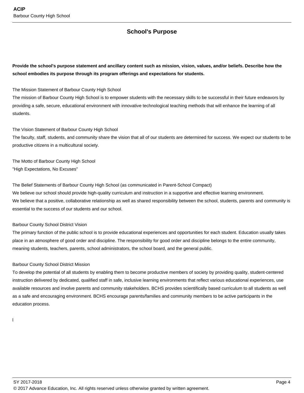### **School's Purpose**

**Provide the school's purpose statement and ancillary content such as mission, vision, values, and/or beliefs. Describe how the school embodies its purpose through its program offerings and expectations for students.**

The Mission Statement of Barbour County High School

The mission of Barbour County High School is to empower students with the necessary skills to be successful in their future endeavors by providing a safe, secure, educational environment with innovative technological teaching methods that will enhance the learning of all students.

The Vision Statement of Barbour County High School

The faculty, staff, students, and community share the vision that all of our students are determined for success. We expect our students to be productive citizens in a multicultural society.

The Motto of Barbour County High School "High Expectations, No Excuses"

The Belief Statements of Barbour County High School (as communicated in Parent-School Compact)

We believe our school should provide high-quality curriculum and instruction in a supportive and effective learning environment. We believe that a positive, collaborative relationship as well as shared responsibility between the school, students, parents and community is essential to the success of our students and our school.

Barbour County School District Vision

The primary function of the public school is to provide educational experiences and opportunities for each student. Education usually takes place in an atmosphere of good order and discipline. The responsibility for good order and discipline belongs to the entire community, meaning students, teachers, parents, school administrators, the school board, and the general public.

#### Barbour County School District Mission

To develop the potential of all students by enabling them to become productive members of society by providing quality, student-centered instruction delivered by dedicated, qualified staff in safe, inclusive learning environments that reflect various educational experiences, use available resources and involve parents and community stakeholders. BCHS provides scientifically based curriculum to all students as well as a safe and encouraging environment. BCHS encourage parents/families and community members to be active participants in the education process.

l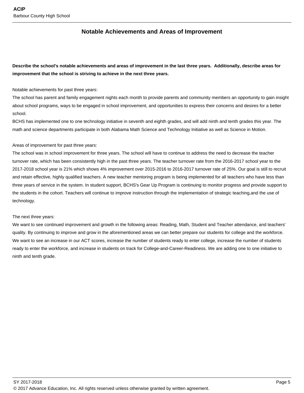### **Notable Achievements and Areas of Improvement**

**Describe the school's notable achievements and areas of improvement in the last three years. Additionally, describe areas for improvement that the school is striving to achieve in the next three years.**

Notable achievements for past three years:

The school has parent and family engagement nights each month to provide parents and community members an opportunity to gain insight about school programs, ways to be engaged in school improvement, and opportunities to express their concerns and desires for a better school.

BCHS has implemented one to one technology initiative in seventh and eighth grades, and will add ninth and tenth grades this year. The math and science departments participate in both Alabama Math Science and Technology Initiative as well as Science in Motion.

#### Areas of improvement for past three years:

The school was in school improvement for three years. The school will have to continue to address the need to decrease the teacher turnover rate, which has been consistently high in the past three years. The teacher turnover rate from the 2016-2017 school year to the 2017-2018 school year is 21% which shows 4% improvement over 2015-2016 to 2016-2017 turnover rate of 25%. Our goal is still to recruit and retain effective, highly qualified teachers. A new teacher mentoring program is being implemented for all teachers who have less than three years of service in the system. In student support, BCHS's Gear Up Program is continuing to monitor progress and provide support to the students in the cohort. Teachers will continue to improve instruction through the implementation of strategic teaching,and the use of technology.

#### The next three years:

We want to see continued improvement and growth in the following areas: Reading, Math, Student and Teacher attendance, and teachers' quality. By continuing to improve and grow in the aforementioned areas we can better prepare our students for college and the workforce. We want to see an increase in our ACT scores, increase the number of students ready to enter college, increase the number of students ready to enter the workforce, and increase in students on track for College-and-Career-Readiness. We are adding one to one initiative to ninth and tenth grade.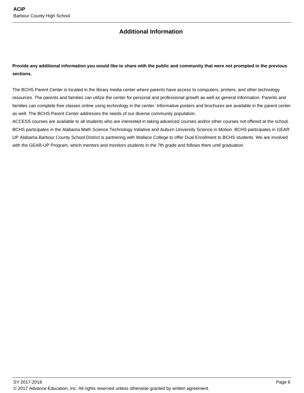### **Additional Information**

### **Provide any additional information you would like to share with the public and community that were not prompted in the previous sections.**

The BCHS Parent Center is located in the library media center where parents have access to computers, printers, and other technology resources. The parents and families can utilize the center for personal and professional growth as well as general information. Parents and families can complete free classes online using technology in the center. Informative posters and brochures are available in the parent center as well. The BCHS Parent Center addresses the needs of our diverse community population.

ACCESS courses are available to all students who are interested in taking advanced courses and/or other courses not offered at the school. BCHS participates in the Alabama Math Science Technology Initiative and Auburn University Science in Motion. BCHS participates in GEAR UP Alabama.Barbour County School District is partnering with Wallace College to offer Dual Enrollment to BCHS students. We are involved with the GEAR-UP Program, which mentors and monitors students in the 7th grade and follows them until graduation.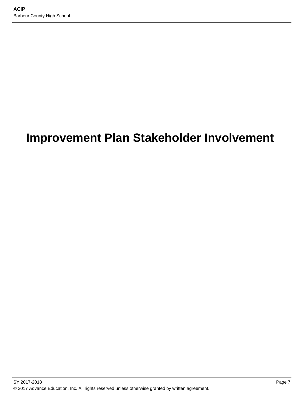# **Improvement Plan Stakeholder Involvement**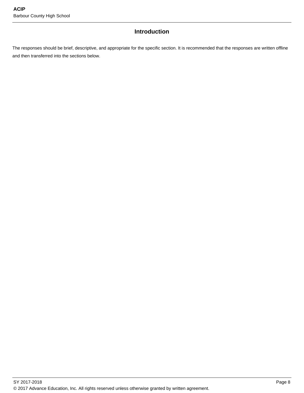### **Introduction**

The responses should be brief, descriptive, and appropriate for the specific section. It is recommended that the responses are written offline and then transferred into the sections below.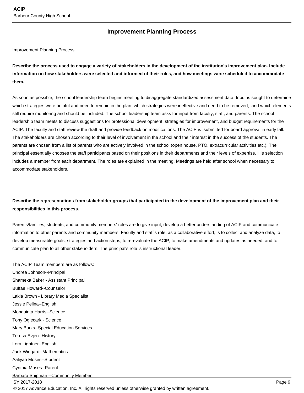### **Improvement Planning Process**

Improvement Planning Process

**Describe the process used to engage a variety of stakeholders in the development of the institution's improvement plan. Include information on how stakeholders were selected and informed of their roles, and how meetings were scheduled to accommodate them.** 

As soon as possible, the school leadership team begins meeting to disaggregate standardized assessment data. Input is sought to determine which strategies were helpful and need to remain in the plan, which strategies were ineffective and need to be removed, and which elements still require monitoring and should be included. The school leadership team asks for input from faculty, staff, and parents. The school leadership team meets to discuss suggestions for professional development, strategies for improvement, and budget requirements for the ACIP. The faculty and staff review the draft and provide feedback on modifications. The ACIP is submitted for board approval in early fall. The stakeholders are chosen according to their level of involvement in the school and their interest in the success of the students. The parents are chosen from a list of parents who are actively involved in the school (open house, PTO, extracurricular activities etc.). The principal essentially chooses the staff participants based on their positions in their departments and their levels of expertise. His selection includes a member from each department. The roles are explained in the meeting. Meetings are held after school when necessary to accommodate stakeholders.

### **Describe the representations from stakeholder groups that participated in the development of the improvement plan and their responsibilities in this process.**

Parents/families, students, and community members' roles are to give input, develop a better understanding of ACIP and communicate information to other parents and community members. Faculty and staff's role, as a collaborative effort, is to collect and analyze data, to develop measurable goals, strategies and action steps, to re-evaluate the ACIP, to make amendments and updates as needed, and to communicate plan to all other stakeholders. The principal's role is instructional leader.

The ACIP Team members are as follows: Undrea Johnson--Principal Shameka Baker - Assistant Principal Buffae Howard--Counselor Lakia Brown - Library Media Specialist Jessie Pelina--English Monquinta Harris--Science Tony Oglecark - Science Mary Burks--Special Education Services Teresa Evjen--History Lora Lightner--English Jack Wingard--Mathematics Aaliyah Moses--Student Cynthia Moses--Parent Barbara Shipman --Community Member SY 2017-2018 Page 9

© 2017 Advance Education, Inc. All rights reserved unless otherwise granted by written agreement.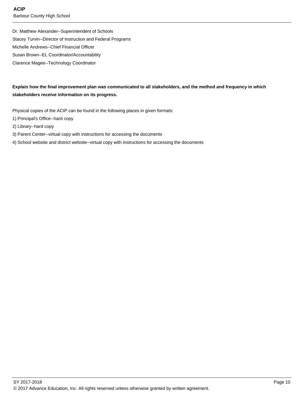Dr. Matthew Alexander--Superintendent of Schools Stacey Turvin--Director of Instruction and Federal Programs Michelle Andrews--Chief Financial Officer Susan Brown--EL Coordinator/Accountability Clarence Magee--Technology Coordinator

### **Explain how the final improvement plan was communicated to all stakeholders, and the method and frequency in which stakeholders receive information on its progress.**

Physical copies of the ACIP can be found in the following places in given formats:

- 1) Principal's Office--hard copy
- 2) Library--hard copy
- 3) Parent Center--virtual copy with instructions for accessing the documents
- 4) School website and district website--virtual copy with instructions for accessing the documents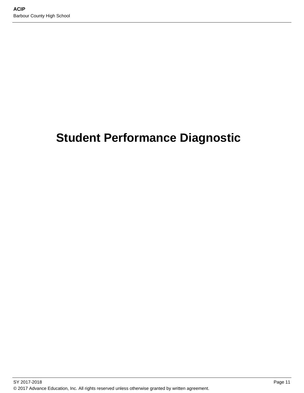# **Student Performance Diagnostic**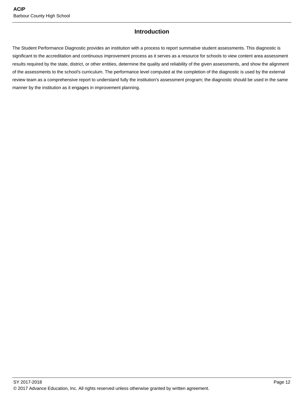### **Introduction**

The Student Performance Diagnostic provides an institution with a process to report summative student assessments. This diagnostic is significant to the accreditation and continuous improvement process as it serves as a resource for schools to view content area assessment results required by the state, district, or other entities, determine the quality and reliability of the given assessments, and show the alignment of the assessments to the school's curriculum. The performance level computed at the completion of the diagnostic is used by the external review team as a comprehensive report to understand fully the institution's assessment program; the diagnostic should be used in the same manner by the institution as it engages in improvement planning.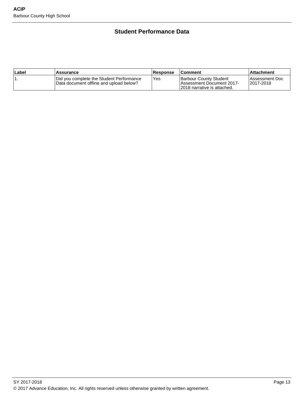### **Student Performance Data**

| ∣Label | Assurance                                                                            | <b>Response</b> | ∣Comment                                                                                    | Attachment                   |
|--------|--------------------------------------------------------------------------------------|-----------------|---------------------------------------------------------------------------------------------|------------------------------|
|        | Did you complete the Student Performance<br>IData document offline and upload below? | Yes             | Barbour County Student<br><b>IAssessment Document 2017-</b><br>12018 narrative is attached. | Assessment Doc<br>12017-2018 |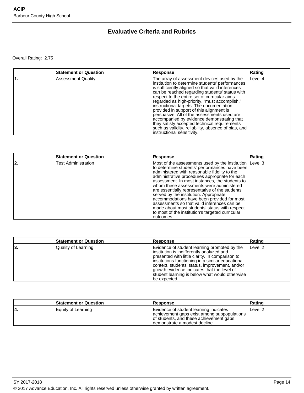### **Evaluative Criteria and Rubrics**

Overall Rating: 2.75

| <b>Statement or Question</b> | <b>Response</b>                                                                                                                                                                                                                                                                                                                                                                                                                                                                                                                                                                                                                 | Rating  |
|------------------------------|---------------------------------------------------------------------------------------------------------------------------------------------------------------------------------------------------------------------------------------------------------------------------------------------------------------------------------------------------------------------------------------------------------------------------------------------------------------------------------------------------------------------------------------------------------------------------------------------------------------------------------|---------|
| <b>Assessment Quality</b>    | The array of assessment devices used by the<br>institution to determine students' performances<br>is sufficiently aligned so that valid inferences<br>can be reached regarding students' status with<br>respect to the entire set of curricular aims<br>regarded as high-priority, "must accomplish,"<br>instructional targets. The documentation<br>provided in support of this alignment is<br>persuasive. All of the assessments used are<br>accompanied by evidence demonstrating that<br>they satisfy accepted technical requirements<br>such as validity, reliability, absence of bias, and<br>instructional sensitivity. | Level 4 |

|    | <b>Statement or Question</b> | <b>Response</b>                                                                                                                                                                                                                                                                                                                                                                                                                                                                                                                                                                                                       | Rating |
|----|------------------------------|-----------------------------------------------------------------------------------------------------------------------------------------------------------------------------------------------------------------------------------------------------------------------------------------------------------------------------------------------------------------------------------------------------------------------------------------------------------------------------------------------------------------------------------------------------------------------------------------------------------------------|--------|
| 2. | <b>Test Administration</b>   | Most of the assessments used by the institution (Level 3)<br>to determine students' performances have been<br>administered with reasonable fidelity to the<br>administrative procedures appropriate for each<br>assessment. In most instances, the students to<br>whom these assessments were administered<br>are essentially representative of the students<br>served by the institution. Appropriate<br>accommodations have been provided for most<br>assessments so that valid inferences can be<br>made about most students' status with respect<br>to most of the institution's targeted curricular<br>outcomes. |        |

|     | <b>Statement or Question</b> | <b>Response</b>                                                                                                                                                                                                                                                                                                                                                        | ∣Ratinq |
|-----|------------------------------|------------------------------------------------------------------------------------------------------------------------------------------------------------------------------------------------------------------------------------------------------------------------------------------------------------------------------------------------------------------------|---------|
| 13. | Quality of Learning          | Evidence of student learning promoted by the<br>institution is indifferently analyzed and<br>presented with little clarity. In comparison to<br>linstitutions functioning in a similar educational<br>context, students' status, improvement, and/or<br>growth evidence indicates that the level of<br>student learning is below what would otherwise<br>lbe expected. | Level 2 |

|    | <b>Statement or Question</b> | Response                                                                                                                                                           | ∣Ratinq |
|----|------------------------------|--------------------------------------------------------------------------------------------------------------------------------------------------------------------|---------|
| 4. | Equity of Learning           | Evidence of student learning indicates<br>achievement gaps exist among subpopulations<br>of students, and these achievement gaps<br>Idemonstrate a modest decline. | Level 2 |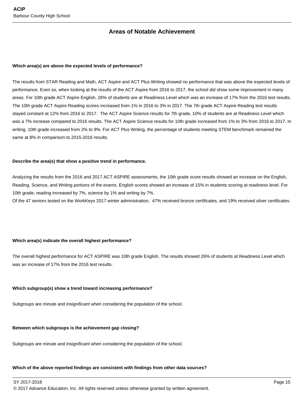### **Areas of Notable Achievement**

#### **Which area(s) are above the expected levels of performance?**

The results from STAR Reading and Math, ACT Aspire and ACT Plus Writing showed no performance that was above the expected levels of performance. Even so, when looking at the results of the ACT Aspire from 2016 to 2017, the school did show some improvement in many areas. For 10th grade ACT Aspire English, 26% of students are at Readiness Level which was an increase of 17% from the 2016 test results. The 10th grade ACT Aspire Reading scores increased from 1% in 2016 to 3% in 2017. The 7th grade ACT Aspire Reading test results stayed constant at 12% from 2016 to 2017. The ACT Aspire Science results for 7th grade, 10% of students are at Readiness Level which was a 7% increase compared to 2016 results. The ACT Aspire Science results for 10th grade increased from 1% to 3% from 2016 to 2017. In writing, 10th grade increased from 2% to 9%. For ACT Plus Writing, the percentage of students meeting STEM benchmark remained the same at 8% in comparison to 2015-2016 results.

#### **Describe the area(s) that show a positive trend in performance.**

Analyzing the results from the 2016 and 2017 ACT ASPIRE assessments, the 10th grade score results showed an increase on the English, Reading, Science, and Writing portions of the exams. English scores showed an increase of 15% in students scoring at readiness level. For 10th grade, reading increased by 7%, science by 1% and writing by 7%.

Of the 47 seniors tested on the WorkKeys 2017 winter administration, 47% received bronze certificates, and 19% received silver certificates.

#### **Which area(s) indicate the overall highest performance?**

The overall highest performance for ACT ASPIRE was 10th grade English. The results showed 26% of students at Readiness Level which was an increase of 17% from the 2016 test results.

#### **Which subgroup(s) show a trend toward increasing performance?**

Subgroups are minute and insignificant when considering the population of the school.

#### **Between which subgroups is the achievement gap closing?**

Subgroups are minute and insignificant when considering the population of the school.

#### **Which of the above reported findings are consistent with findings from other data sources?**

SY 2017-2018 Page 15

© 2017 Advance Education, Inc. All rights reserved unless otherwise granted by written agreement.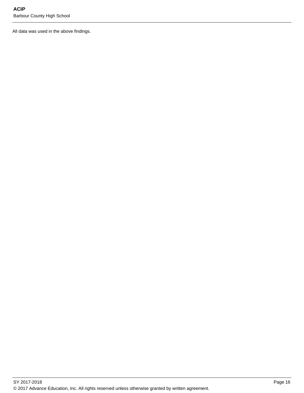All data was used in the above findings.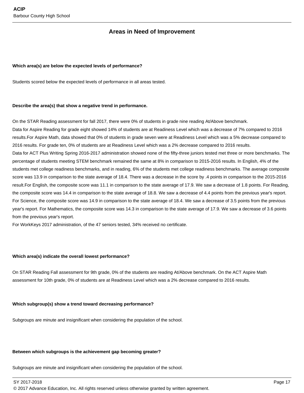### **Areas in Need of Improvement**

#### **Which area(s) are below the expected levels of performance?**

Students scored below the expected levels of performance in all areas tested.

#### **Describe the area(s) that show a negative trend in performance.**

On the STAR Reading assessment for fall 2017, there were 0% of students in grade nine reading At/Above benchmark. Data for Aspire Reading for grade eight showed 14% of students are at Readiness Level which was a decrease of 7% compared to 2016 results.For Aspire Math, data showed that 0% of students in grade seven were at Readiness Level which was a 5% decrease compared to 2016 results. For grade ten, 0% of students are at Readiness Level which was a 2% decrease compared to 2016 results. Data for ACT Plus Writing Spring 2016-2017 administration showed none of the fifty-three juniors tested met three or more benchmarks. The percentage of students meeting STEM benchmark remained the same at 8% in comparison to 2015-2016 results. In English, 4% of the students met college readiness benchmarks, and in reading, 6% of the students met college readiness benchmarks. The average composite score was 13.9 in comparison to the state average of 18.4. There was a decrease in the score by .4 points in comparison to the 2015-2016 result.For English, the composite score was 11.1 in comparison to the state average of 17.9. We saw a decrease of 1.8 points. For Reading, the composite score was 14.4 in comparison to the state average of 18.8. We saw a decrease of 4.4 points from the previous year's report. For Science, the composite score was 14.9 in comparison to the state average of 18.4. We saw a decrease of 3.5 points from the previous year's report. For Mathematics, the composite score was 14.3 in comparison to the state average of 17.9. We saw a decrease of 3.6 points from the previous year's report.

For WorkKeys 2017 administration, of the 47 seniors tested, 34% received no certificate.

#### **Which area(s) indicate the overall lowest performance?**

On STAR Reading Fall assessment for 9th grade, 0% of the students are reading At/Above benchmark. On the ACT Aspire Math assessment for 10th grade, 0% of students are at Readiness Level which was a 2% decrease compared to 2016 results.

#### **Which subgroup(s) show a trend toward decreasing performance?**

Subgroups are minute and insignificant when considering the population of the school.

#### **Between which subgroups is the achievement gap becoming greater?**

Subgroups are minute and insignificant when considering the population of the school.

SY 2017-2018 Page 17

© 2017 Advance Education, Inc. All rights reserved unless otherwise granted by written agreement.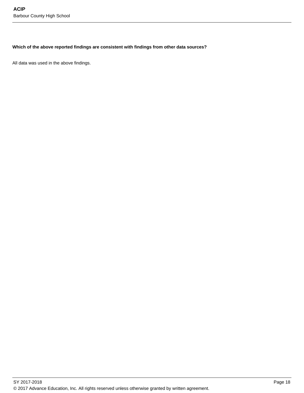#### **Which of the above reported findings are consistent with findings from other data sources?**

All data was used in the above findings.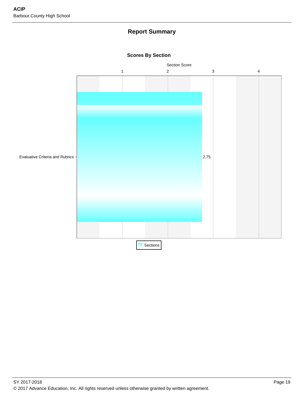### **Report Summary**



#### **Scores By Section**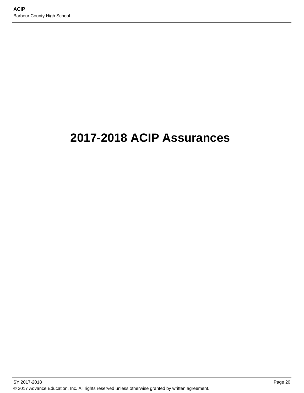# **2017-2018 ACIP Assurances**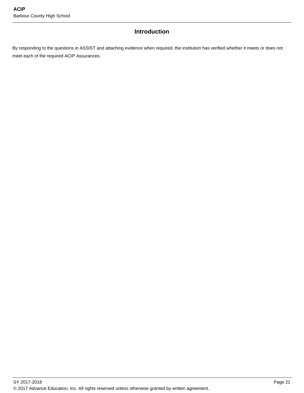### **Introduction**

By responding to the questions in ASSIST and attaching evidence when required, the institution has verified whether it meets or does not meet each of the required ACIP Assurances.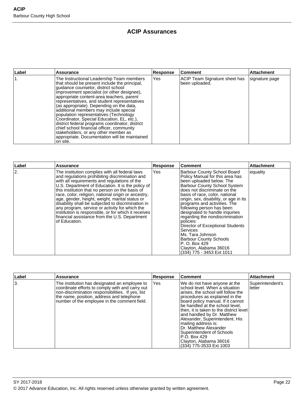### **ACIP Assurances**

| Label | <b>Assurance</b>                                                                                                                                                                                                                                                                                                                                                                                                                                                                                                                                                                                                                                                 | <b>Response</b> | <b>Comment</b>                                  | <b>Attachment</b> |
|-------|------------------------------------------------------------------------------------------------------------------------------------------------------------------------------------------------------------------------------------------------------------------------------------------------------------------------------------------------------------------------------------------------------------------------------------------------------------------------------------------------------------------------------------------------------------------------------------------------------------------------------------------------------------------|-----------------|-------------------------------------------------|-------------------|
|       | The Instructional Leadership Team members<br>that should be present include the principal,<br>guidance counselor, district school<br>improvement specialist (or other designee),<br>appropriate content-area teachers, parent<br>representatives, and student representatives<br>(as appropriate). Depending on the data,<br>additional members may include special<br>population representatives (Technology<br>Coordinator, Special Education, EL, etc.),<br>district federal programs coordinator, district<br>chief school financial officer, community<br>stakeholders, or any other member as<br>appropriate. Documentation will be maintained<br>on site. | <b>Yes</b>      | ACIP Team Signature sheet has<br>been uploaded. | signature page    |

| Label | Assurance                                                                                                                                                                                                                                                                                                                                                                                                                                                                                                                                                                                           | Response | <b>Comment</b>                                                                                                                                                                                                                                                                                                                                                                                                                                                                                                                                                                   | <b>Attachment</b> |
|-------|-----------------------------------------------------------------------------------------------------------------------------------------------------------------------------------------------------------------------------------------------------------------------------------------------------------------------------------------------------------------------------------------------------------------------------------------------------------------------------------------------------------------------------------------------------------------------------------------------------|----------|----------------------------------------------------------------------------------------------------------------------------------------------------------------------------------------------------------------------------------------------------------------------------------------------------------------------------------------------------------------------------------------------------------------------------------------------------------------------------------------------------------------------------------------------------------------------------------|-------------------|
| 2.    | The institution complies with all federal laws<br>and regulations prohibiting discrimination and<br>with all requirements and regulations of the<br>U.S. Department of Education. It is the policy of<br>this institution that no person on the basis of<br>race, color, religion, national origin or ancestry,<br>age, gender, height, weight, marital status or<br>disability shall be subjected to discrimination in<br>any program, service or activity for which the<br>institution is responsible, or for which it receives<br>financial assistance from the U.S. Department<br>of Education. | Yes      | Barbour County School Board<br>Policy Manual for this area has<br>been uploaded below. The<br><b>Barbour County School System</b><br>does not discriminate on the<br>basis of race, color, national<br>origin, sex, disability, or age in its<br>programs and activities. The<br>following person has been<br>designated to handle inquiries<br>regarding the nondiscrimination<br>policies:<br>Director of Exceptional Students<br><b>Services</b><br>Ms. Tara Johnson<br><b>Barbour County Schools</b><br>P. O. Box 429<br>Clayton, Alabama 36016<br>(334) 775 - 3453 Ext 1011 | equality          |

| ∣Label | Assurance                                                                                                                                                                                                                                          | <b>Response</b> | <b>Comment</b>                                                                                                                                                                                                                                                                                                                                                                                                                                                                | <b>Attachment</b>          |
|--------|----------------------------------------------------------------------------------------------------------------------------------------------------------------------------------------------------------------------------------------------------|-----------------|-------------------------------------------------------------------------------------------------------------------------------------------------------------------------------------------------------------------------------------------------------------------------------------------------------------------------------------------------------------------------------------------------------------------------------------------------------------------------------|----------------------------|
| 13.    | The institution has designated an employee to<br>coordinate efforts to comply with and carry out<br>non-discrimination responsibilities. If yes, list<br>the name, position, address and telephone<br>number of the employee in the comment field. | Yes             | We do not have anyone at the<br>Ischool level. When a situation<br>arises, the school will follow the<br>procedures as explained in the<br>board policy manual. If it cannot<br>be handled at the school level,<br>lthen, it is taken to the district level<br>and handled by Dr. Matthew<br>Alexander, Superintendent. His<br>mailing address is:<br>Dr. Matthew Alexander<br>Superintendent of Schools<br>P.O. Box 429<br>Clayton, Alabama 36016<br>(334) 775-3533 Ext 1003 | Superintendent's<br>letter |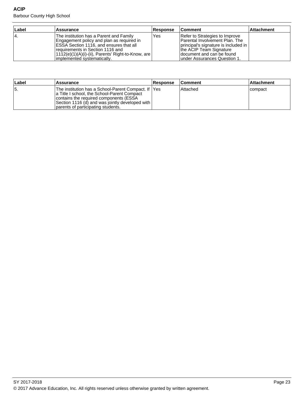Barbour County High School

| Label | Assurance                                                                                                                                                                                                                                                   | <b>Response</b> | <b>Comment</b>                                                                                                                                                                                      | <b>Attachment</b> |
|-------|-------------------------------------------------------------------------------------------------------------------------------------------------------------------------------------------------------------------------------------------------------------|-----------------|-----------------------------------------------------------------------------------------------------------------------------------------------------------------------------------------------------|-------------------|
| 14.   | The institution has a Parent and Family<br>Engagement policy and plan as required in<br>ESSA Section 1116, and ensures that all<br>requirements in Section 1116 and<br> 1112(e)(1)(A)(i)-(ii), Parents' Right-to-Know, are  <br>Implemented systematically. | Yes             | Refer to Strategies to Improve<br>lParental Involvement Plan. The<br>principal's signature is included in<br>the ACIP Team Signature<br>Idocument and can be found<br>Iunder Assurances Question 1. |                   |

| ∣Label | <b>Assurance</b>                                                                                                                                                                                                                          | <b>Response</b> | <b>Comment</b> | <b>Attachment</b> |
|--------|-------------------------------------------------------------------------------------------------------------------------------------------------------------------------------------------------------------------------------------------|-----------------|----------------|-------------------|
| 15.    | lThe institution has a School-Parent Compact. If IYes<br>a Title I school, the School-Parent Compact<br>contains the required components (ESSA<br>Section 1116 (d) and was jointly developed with  <br>parents of participating students. |                 | l Attached     | Icompact          |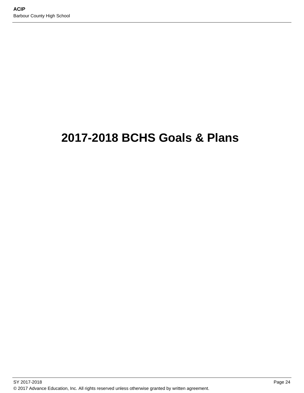# **2017-2018 BCHS Goals & Plans**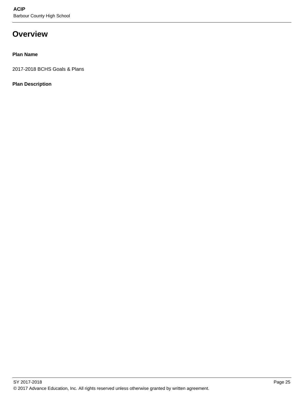## **Overview**

### **Plan Name**

2017-2018 BCHS Goals & Plans

### **Plan Description**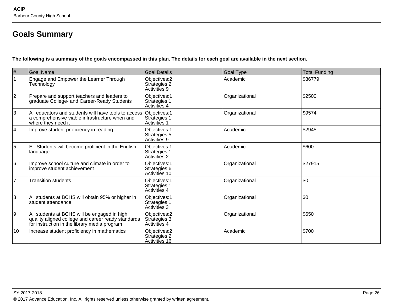# **Goals Summary**

**The following is a summary of the goals encompassed in this plan. The details for each goal are available in the next section.**

| $\#$           | <b>Goal Name</b>                                                                                                                                   | <b>Goal Details</b>                              | <b>Goal Type</b> | <b>Total Funding</b> |
|----------------|----------------------------------------------------------------------------------------------------------------------------------------------------|--------------------------------------------------|------------------|----------------------|
| 1              | Engage and Empower the Learner Through<br>Technology                                                                                               | Objectives: 2<br>Strategies: 2<br>Activities: 9  | Academic         | \$36779              |
| $\overline{2}$ | Prepare and support teachers and leaders to<br>graduate College- and Career-Ready Students                                                         | Objectives: 1<br>Strategies: 1<br>Activities: 4  | Organizational   | \$2500               |
| 3              | All educators and students will have tools to access<br>a comprehensive viable infrastructure when and<br>where they need it                       | Objectives: 1<br>Strategies: 1<br>Activities: 1  | Organizational   | \$9574               |
| 4              | Improve student proficiency in reading                                                                                                             | Objectives: 1<br>Strategies: 5<br>Activities: 9  | Academic         | \$2945               |
| 5              | EL Students will become proficient in the English<br>language                                                                                      | Objectives: 1<br>Strategies: 1<br>Activities: 2  | Academic         | \$600                |
| 6              | Improve school culture and climate in order to<br>improve student achievement                                                                      | Objectives: 1<br>Strategies: 6<br>Activities: 10 | Organizational   | \$27915              |
| $\overline{7}$ | <b>Transition students</b>                                                                                                                         | Objectives: 1<br>Strategies: 1<br>Activities: 4  | Organizational   | \$0                  |
| 8              | All students at BCHS will obtain 95% or higher in<br>student attendance.                                                                           | Objectives: 1<br>Strategies: 1<br>Activities: 3  | Organizational   | \$0                  |
| 9              | All students at BCHS will be engaged in high<br>quality aligned college and career ready standards<br>for instruction in the library media program | Objectives: 2<br>Strategies: 3<br>Activities: 4  | Organizational   | \$650                |
| 10             | Increase student proficiency in mathematics                                                                                                        | Objectives: 2<br>Strategies: 2<br>Activities: 16 | Academic         | \$700                |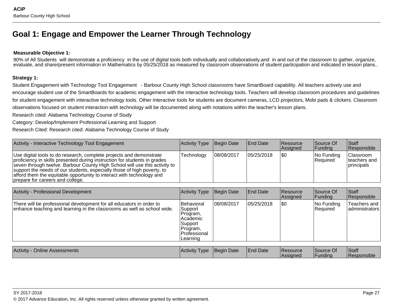## **Goal 1: Engage and Empower the Learner Through Technology**

#### **Measurable Objective 1:**

90% of All Students will demonstrate a proficiency in the use of digital tools both individually and collaboratively, and in and out of the classroom to gather, organize, evaluate, and share/present information in Mathematics by 05/25/2018 as measured by classroom observations of student participation and indicated in lesson plans..

#### **Strategy 1:**

Student Engagement with Technology Tool Engagement - Barbour County High School classrooms have SmartBoard capability. All teachers actively use andencourage student use of the SmartBoards for academic engagement with the interactive technology tools. Teachers will develop classroom procedures and guidelinesfor student engagement with interactive technology tools. Other interactive tools for students are document cameras, LCD projectors, Mobi pads & clickers. Classroomobservations focused on student interaction with technology will be documented along with notations within the teacher's lesson plans.

Research cited: Alabama Technology Course of Study

Category: Develop/Implement Professional Learning and Support

Research Cited: Research cited: Alabama Technology Course of Study

| Activity - Interactive Technology Tool Engagement                                                                                                                                                                                                                                                                                                                                                                      | <b>Activity Type</b> | Begin Date  | <b>End Date</b> | <b>Resource</b><br>Assigned | Source Of<br> Funding     | <b>Staff</b><br>Responsible               |
|------------------------------------------------------------------------------------------------------------------------------------------------------------------------------------------------------------------------------------------------------------------------------------------------------------------------------------------------------------------------------------------------------------------------|----------------------|-------------|-----------------|-----------------------------|---------------------------|-------------------------------------------|
| Use digital tools to do research, complete projects and demonstrate<br>proficiency in skills presented during instruction for students in grades<br>seven through twelve. Barbour County High School will use this activity to<br>support the needs of our students, especially those of high poverty, to<br>afford them the equitable opportunity to interact with technology and<br>prepare for careers and college. | Technology           | 108/08/2017 | 105/25/2018     | 1\$0                        | $ No$ Funding<br>Required | Classroom<br>Iteachers and<br> principals |

| Activity - Professional Development                                                                                                             | Activity Type                                                                                    | Begin Date | <b>End Date</b> | <b>Resource</b><br>Assigned | Source Of<br> Funding     | Staff<br>Responsible           |
|-------------------------------------------------------------------------------------------------------------------------------------------------|--------------------------------------------------------------------------------------------------|------------|-----------------|-----------------------------|---------------------------|--------------------------------|
| There will be professional development for all educators in order to<br>enhance teaching and learning in the classrooms as well as school wide. | Behavioral<br>Support<br>Program,<br>Academic<br>Support<br>Program,<br>Professional<br>Learning | 08/08/2017 | 05/25/2018      | \$0                         | $ No$ Funding<br>Required | Teachers and<br>administrators |
|                                                                                                                                                 |                                                                                                  |            |                 |                             |                           |                                |
| <b>Activity - Online Assessments</b>                                                                                                            | Activity Type                                                                                    | Begin Date | <b>End Date</b> | <b>Resource</b><br>Assigned | Source Of<br> Funding     | Staff<br>Responsible           |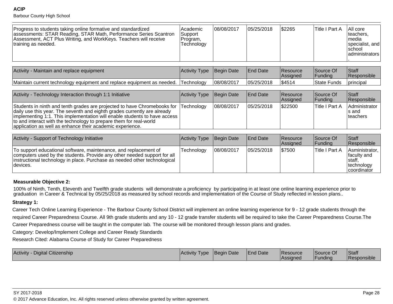#### **ACIP**

Barbour County High School

| Progress to students taking online formative and standardized<br>assessments: STAR Reading, STAR Math, Performance Series Scantron<br>Assessment, ACT Plus Writing, and WorkKeys. Teachers will receive<br>training as needed. | l Academic<br>Support<br>'Program,<br>Technology | 08/08/2017 | 05/25/2018 | \$2265 | ∣Title I Part A | All core<br>Iteachers.<br>⊺media<br>specialist, and<br><b>Ischool</b><br>  administrators |
|--------------------------------------------------------------------------------------------------------------------------------------------------------------------------------------------------------------------------------|--------------------------------------------------|------------|------------|--------|-----------------|-------------------------------------------------------------------------------------------|
|--------------------------------------------------------------------------------------------------------------------------------------------------------------------------------------------------------------------------------|--------------------------------------------------|------------|------------|--------|-----------------|-------------------------------------------------------------------------------------------|

| Activity - Maintain and replace equipment                                         | Activity Type Begin Date |            | <b>End Date</b> | <b>Resource</b><br><b>Assigned</b> | Source Of<br><b>Funding</b> | <b>Staff</b><br>Responsible |
|-----------------------------------------------------------------------------------|--------------------------|------------|-----------------|------------------------------------|-----------------------------|-----------------------------|
| Maintain current technology equipment and replace equipment as needed. Technology |                          | 08/08/2017 | 05/25/2018      | \$4514                             | <b>State Funds</b>          | <b>I</b> principal          |

| Activity - Technology Interaction through 1:1 Initiative                                                                                                                                                                                                                                                                                                                         | Activity Type | Begin Date  | End Date    | Resource<br>Assigned | Source Of<br><b>Funding</b> | <b>Staff</b><br>Responsible          |
|----------------------------------------------------------------------------------------------------------------------------------------------------------------------------------------------------------------------------------------------------------------------------------------------------------------------------------------------------------------------------------|---------------|-------------|-------------|----------------------|-----------------------------|--------------------------------------|
| Students in ninth and tenth grades are projected to have Chromebooks for Technology<br>daily use this year. The seventh and eighth grades currently are already<br> implementing 1:1. This implementation will enable students to have access<br>to and interact with the technology to prepare them for real-world<br>application as well as enhance their academic experience. |               | 108/08/2017 | 105/25/2018 | \$22500              | Title I Part A              | Administrator<br>Is and<br>Iteachers |

| Activity - Support of Technology Initiative                                                                                                                                                                                            | Activity Type Begin Date |            | <b>End Date</b> | <b>Resource</b><br>Assigned | Source Of<br>Funding  | Staff<br><b>Responsible</b>                                                   |
|----------------------------------------------------------------------------------------------------------------------------------------------------------------------------------------------------------------------------------------|--------------------------|------------|-----------------|-----------------------------|-----------------------|-------------------------------------------------------------------------------|
| To support educational software, maintenance, and replacement of<br>computers used by the students. Provide any other needed support for all<br>instructional technology in place. Purchase as needed other technological<br>Idevices. | Technology               | 08/08/2017 | 05/25/2018      | \$7500                      | <b>Title I Part A</b> | Asministrator,<br>faculty and<br>∣staff,<br> technology<br><b>coordinator</b> |

#### **Measurable Objective 2:**

100% of Ninth, Tenth, Eleventh and Twelfth grade students will demonstrate a proficiency by participating in at least one online learning experience prior to<br>graduation in Career & Technical by 05/25/2018 as measured by

#### **Strategy 1:**

Career Tech Online Learning Experience - The Barbour County School District will implement an online learning experience for 9 - 12 grade students through the required Career Preparedness Course. All 9th grade students and any 10 - 12 grade transfer students will be required to take the Career Preparedness Course.TheCareer Preparedness course will be taught in the computer lab. The course will be monitored through lesson plans and grades.

Category: Develop/Implement College and Career Ready Standards

Research Cited: Alabama Course of Study for Career Preparedness

| I Citizenship<br>Activity<br>Digital | Activity<br>I vpe | <b>IBegin Date</b> | End Date | <b>Resource</b>  | Source O | Staff<br>l Responsible |
|--------------------------------------|-------------------|--------------------|----------|------------------|----------|------------------------|
|                                      |                   |                    |          | <b>IAssigned</b> | IFundina |                        |

en and the set of the set of the set of the set of the set of the set of the set of the set of the set of the set of the set of the set of the set of the set of the set of the set of the set of the set of the set of the se © 2017 Advance Education, Inc. All rights reserved unless otherwise granted by written agreement.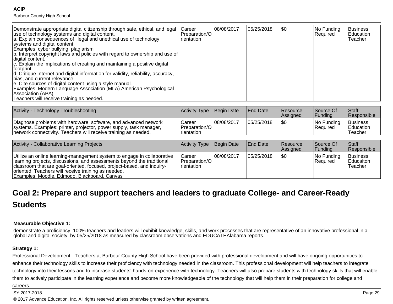#### **ACIP**

Barbour County High School

| a. Explain consequences of illegal and unethical use of technology<br>Irientation<br>systems and digital content.<br>Examples: cyber bullying, plagiarism<br>b. Interpret copyright laws and policies with regard to ownership and use of<br>digital content.<br>$ c $ . Explain the implications of creating and maintaining a positive digital<br>lfootprint.<br>d. Critique Internet and digital information for validity, reliability, accuracy,<br>Ibias. and current relevance.<br>e. Cite sources of digital content using a style manual.<br>Examples: Modern Language Association (MLA) American Psychological<br>Association (APA)<br>Teachers will receive training as needed. |  |  |  | Teacher |
|-------------------------------------------------------------------------------------------------------------------------------------------------------------------------------------------------------------------------------------------------------------------------------------------------------------------------------------------------------------------------------------------------------------------------------------------------------------------------------------------------------------------------------------------------------------------------------------------------------------------------------------------------------------------------------------------|--|--|--|---------|
|-------------------------------------------------------------------------------------------------------------------------------------------------------------------------------------------------------------------------------------------------------------------------------------------------------------------------------------------------------------------------------------------------------------------------------------------------------------------------------------------------------------------------------------------------------------------------------------------------------------------------------------------------------------------------------------------|--|--|--|---------|

| Activity - Technology Troubleshooting                                                                                                                                                                    | Activity Type Begin Date                                |            | <b>IEnd Date</b> | Resource<br>Assigned | Source Of<br>l Fundina | <b>Staff</b><br><b>Responsible</b> |
|----------------------------------------------------------------------------------------------------------------------------------------------------------------------------------------------------------|---------------------------------------------------------|------------|------------------|----------------------|------------------------|------------------------------------|
| Diagnose problems with hardware, software, and advanced network<br>systems. Examples: printer, projector, power supply, task manager,<br>network connectivity. Teachers will receive training as needed. | Career<br><b>IPreparation/OI</b><br><b>I</b> rientation | 08/08/2017 | 05/25/2018       | 1\$C                 | No Funding<br>Required | Business<br>Education<br>Teacher   |

| Activity - Collaborative Learning Projects                                                                                                                                                                                                                                                                                         | Activity Type Begin Date                                |             | <b>End Date</b> | Resource<br>Assigned | Source Of<br><b>Funding</b> | Staff<br>Responsible              |
|------------------------------------------------------------------------------------------------------------------------------------------------------------------------------------------------------------------------------------------------------------------------------------------------------------------------------------|---------------------------------------------------------|-------------|-----------------|----------------------|-----------------------------|-----------------------------------|
| Utilize an online learning-management system to engage in collaborative<br>learning projects, discussions, and assessments beyond the traditional<br>classroom that are goal-oriented, focused, project-based, and inquiry-<br>oriented. Teachers will receive training as needed.<br>Examples: Moodle, Edmodo, Blackboard, Canvas | Career<br><b>IPreparation/OI</b><br><i>I</i> rientation | 108/08/2017 | 105/25/2018     | \$0                  | $ No$ Funding<br>Required   | Business<br>Educaiton<br>lTeacher |

# **Goal 2: Prepare and support teachers and leaders to graduate College- and Career-ReadyStudents**

#### **Measurable Objective 1:**

demonstrate a proficiency 100% teachers and leaders will exhibit knowledge, skills, and work processes that are representative of an innovative professional in aglobal and digital society by 05/25/2018 as measured by classroom observations and EDUCATEAlabama reports.

#### **Strategy 1:**

Professional Development - Teachers at Barbour County High School have been provided with professional development and will have ongoing opportunities toenhance their technology skills to increase their proficiency with technology needed in the classroom. This professional development will help teachers to integrate technology into their lessons and to increase students' hands-on experience with technology. Teachers will also prepare students with technology skills that will enablethem to actively participate in the learning experience and become more knowledgeable of the technology that will help them in their preparation for college and

#### careers.

SY 2017-2018

en and the state of the state of the state of the state of the state of the state of the state  $P$ age 29  $\,$ © 2017 Advance Education, Inc. All rights reserved unless otherwise granted by written agreement.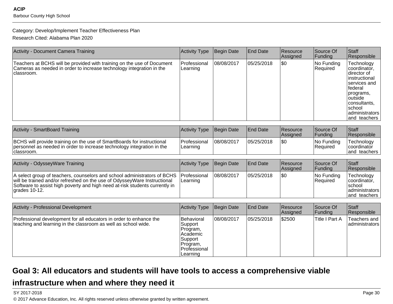#### Category: Develop/Implement Teacher Effectiveness Plan

Research Cited: Alabama Plan 2020

| Activity - Document Camera Training                                                                                                                                                                                                                  | Activity Type                                                                                    | Begin Date        | <b>End Date</b> | Resource<br>Assigned | Source Of<br>Funding   | Staff<br>Responsible                                                                                                                                                         |
|------------------------------------------------------------------------------------------------------------------------------------------------------------------------------------------------------------------------------------------------------|--------------------------------------------------------------------------------------------------|-------------------|-----------------|----------------------|------------------------|------------------------------------------------------------------------------------------------------------------------------------------------------------------------------|
| Teachers at BCHS will be provided with training on the use of Document<br>Cameras as needed in order to increase technology integration in the<br>classroom.                                                                                         | Professional<br>Learning                                                                         | 08/08/2017        | 05/25/2018      | l\$0                 | No Funding<br>Required | Technology<br>coordinator,<br>director of<br>instructional<br>services and<br> federal<br>programs,<br>outside<br>consultants,<br> school<br>ladministrators<br>and teachers |
| Activity - SmartBoard Training                                                                                                                                                                                                                       | Activity Type                                                                                    | Begin Date        | <b>End Date</b> | Resource<br>Assigned | Source Of<br>Funding   | Staff<br>Responsible                                                                                                                                                         |
| BCHS will provide training on the use of SmartBoards for instructional<br>personnel as needed in order to increase technology integration in the<br>classroom.                                                                                       | Professional<br>Learning                                                                         | 08/08/2017        | 05/25/2018      | l\$0                 | No Funding<br>Required | Technology<br>coordinator<br>and teachers                                                                                                                                    |
| Activity - OdysseyWare Training                                                                                                                                                                                                                      | Activity Type                                                                                    | <b>Begin Date</b> | <b>End Date</b> | Resource<br>Assigned | Source Of<br>Funding   | Staff<br>Responsible                                                                                                                                                         |
| A select group of teachers, counselors and school administrators of BCHS<br>will be trained and/or refreshed on the use of OdysseyWare Instructional<br>Software to assist high poverty and high need at-risk students currently in<br>grades 10-12. | Professional<br>Learning                                                                         | 08/08/2017        | 05/25/2018      | l\$0                 | No Funding<br>Required | Technology<br>coordinator,<br>school<br>administrators<br>and teachers                                                                                                       |
| Activity - Professional Development                                                                                                                                                                                                                  | Activity Type                                                                                    | Begin Date        | <b>End Date</b> | Resource<br>Assigned | Source Of<br>Funding   | Staff<br>Responsible                                                                                                                                                         |
| Professional development for all educators in order to enhance the<br>teaching and learning in the classroom as well as school wide.                                                                                                                 | Behavioral<br>Support<br>Program,<br>Academic<br>Support<br>Program,<br>Professional<br>Learning | 08/08/2017        | 05/25/2018      | \$2500               | Title I Part A         | Teachers and<br>administrators                                                                                                                                               |

## **Goal 3: All educators and students will have tools to access a comprehensive viable**

## **infrastructure when and where they need it**

SY 2017-2018

entities are the contract of the contract of the contract of the contract of the contract of the contract of the contract of the contract of the contract of the contract of the contract of the contract of the contract of t © 2017 Advance Education, Inc. All rights reserved unless otherwise granted by written agreement.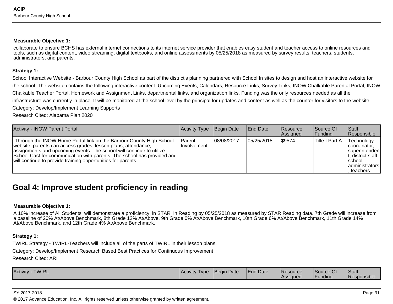#### **Measurable Objective 1:**

collaborate to ensure BCHS has external internet connections to its internet service provider that enables easy student and teacher access to online resources andtools, such as digital content, video streaming, digital textbooks, and online assessments by 05/25/2018 as measured by survey results: teachers, students,administrators, and parents.

#### **Strategy 1:**

School Interactive Website - Barbour County High School as part of the district's planning partnered with School In sites to design and host an interactive website forthe school. The website contains the following interactive content: Upcoming Events, Calendars, Resource Links, Survey Links, INOW Chalkable Parental Portal, INOWChalkable Teacher Portal, Homework and Assignment Links, departmental links, and organization links. Funding was the only resources needed as all theinfrastructure was currently in place. It will be monitored at the school level by the principal for updates and content as well as the counter for visitors to the website.

Category: Develop/Implement Learning Supports

Research Cited: Alabama Plan 2020

| <b>Activity - INOW Parent Portal</b>                                                                                                                                                                                                                                                                                                                    | Activity Type                  | Begin Date  | <b>IEnd Date</b> | <b>Resource</b><br>Assigned | Source Of<br> Funding | <b>Staff</b><br>Responsible                                                                                               |
|---------------------------------------------------------------------------------------------------------------------------------------------------------------------------------------------------------------------------------------------------------------------------------------------------------------------------------------------------------|--------------------------------|-------------|------------------|-----------------------------|-----------------------|---------------------------------------------------------------------------------------------------------------------------|
| Through the INOW Home Portal link on the Barbour County High School<br>website, parents can access grades, lesson plans, attendance,<br>assignments and upcoming events. The school will continue to utilize<br>School Cast for communication with parents. The school has provided and<br>will continue to provide training opportunities for parents. | l Parent<br><b>Involvement</b> | 108/08/2017 | 105/25/2018      | \$9574                      | Title I Part A        | Technology<br>coordinator.<br>superintenden<br>$ t$ , district staff,<br><b>Ischool</b><br>  administrators<br>. teachers |

## **Goal 4: Improve student proficiency in reading**

#### **Measurable Objective 1:**

A 10% increase of All Students will demonstrate a proficiency in STAR in Reading by 05/25/2018 as measured by STAR Reading data. 7th Grade will increase froma baseline of 20% At/Above Benchmark, 8th Grade 12% At/Above, 9th Grade 0% At/Above Benchmark, 10th Grade 6% At/Above Benchmark, 11th Grade 14%At/Above Benchmark, and 12th Grade 4% At/Above Benchmark.

#### **Strategy 1:**

TWIRL Strategy - TWIRL-Teachers will include all of the parts of TWIRL in their lesson plans.

Category: Develop/Implement Research Based Best Practices for Continuous Improvement

Research Cited: ARI

| <b>TWIRL</b><br><b>Activity</b> | Activity Type | <b>IBegin Date</b> | End Date | <b>Resource</b><br><i><b>Assigned</b></i> | ISource Of<br>IFundina | Staff<br><b>Responsible</b> |
|---------------------------------|---------------|--------------------|----------|-------------------------------------------|------------------------|-----------------------------|
|---------------------------------|---------------|--------------------|----------|-------------------------------------------|------------------------|-----------------------------|

#### SY 2017-2018

© 2017 Advance Education, Inc. All rights reserved unless otherwise granted by written agreement.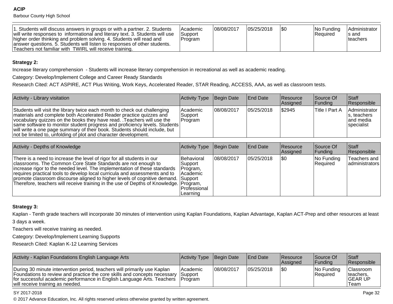**ACIP**Barbour County High School

| 1. Students will discuss answers in groups or with a partner. 2. Students<br>will write responses to informational and literary text. 3. Students will use<br>higher order thinking and problem solving. 4. Students will read and<br>answer questions. 5. Students will listen to responses of other students.<br>Teachers not familiar with TWIRL will receive training. | <b>IAcademic</b><br>Support<br> Program | 108/08/2017 | 105/25/2018 | 1\$0 | $ No$ Funding<br>Required | <b>Administrator</b><br>Is and<br>Iteachers |
|----------------------------------------------------------------------------------------------------------------------------------------------------------------------------------------------------------------------------------------------------------------------------------------------------------------------------------------------------------------------------|-----------------------------------------|-------------|-------------|------|---------------------------|---------------------------------------------|
|----------------------------------------------------------------------------------------------------------------------------------------------------------------------------------------------------------------------------------------------------------------------------------------------------------------------------------------------------------------------------|-----------------------------------------|-------------|-------------|------|---------------------------|---------------------------------------------|

#### **Strategy 2:**

Increase literary comprehension - Students will increase literary comprehension in recreational as well as academic reading.

Category: Develop/Implement College and Career Ready Standards

Research Cited: ACT ASPIRE, ACT Plus Writing, Work Keys, Accelerated Reader, STAR Reading, ACCESS, AAA, as well as classroom tests.

| Activity - Library visitation                                                                                                                                                                                                                                                                                                                                                                                                                           | Activity Type Begin Date        |            | <b>End Date</b> | Resource<br>Assigned | Source Of<br><b>Funding</b> | <b>Staff</b><br>Responsible                                     |
|---------------------------------------------------------------------------------------------------------------------------------------------------------------------------------------------------------------------------------------------------------------------------------------------------------------------------------------------------------------------------------------------------------------------------------------------------------|---------------------------------|------------|-----------------|----------------------|-----------------------------|-----------------------------------------------------------------|
| Students will visit the library twice each month to check out challenging<br>materials and complete both Accelerated Reader practice quizzes and<br>vocabulary quizzes on the books they have read. Teachers will use the<br>same software to monitor student progress and proficiency levels. Students<br>will write a one page summary of their book. Students should include, but<br>not be limited to, unfolding of plot and character development. | Academic<br>Support<br> Program | 08/08/2017 | 105/25/2018     | \$2945               | Title I Part A              | Administrator<br>s, teachers<br>land media<br><b>Specialist</b> |

| Activity - Depths of Knowledge                                                                                                                                                                                                                                                                                                                                                                                                                                                   | Activity Type                                                               | Begin Date | <b>End Date</b> | Resource<br>Assigned | Source Of<br> Funding  | <b>Staff</b><br>Responsible      |
|----------------------------------------------------------------------------------------------------------------------------------------------------------------------------------------------------------------------------------------------------------------------------------------------------------------------------------------------------------------------------------------------------------------------------------------------------------------------------------|-----------------------------------------------------------------------------|------------|-----------------|----------------------|------------------------|----------------------------------|
| There is a need to increase the level of rigor for all students in our<br>classrooms. The Common Core State Standards are not enough to<br>increase rigor to the needed level. The implementation of these standards<br>requires practical tools to develop local curricula and assessments and to<br>promote classroom discourse aligned to higher levels of cognitive demand. Support<br>Therefore, teachers will receive training in the use of Depths of Knowledge. Program, | Behavioral<br>Support<br>Program,<br>l Academic<br>Professional<br>Learning | 08/08/2017 | 05/25/2018      | \$0                  | No Funding<br>Required | Teachers and<br>  administrators |

#### **Strategy 3:**

Kaplan - Tenth grade teachers will incorporate 30 minutes of intervention using Kaplan Foundations, Kaplan Advantage, Kaplan ACT-Prep and other resources at least

3 days a week.

Teachers will receive training as needed.

Category: Develop/Implement Learning Supports

Research Cited: Kaplan K-12 Learning Services

| Activity - Kaplan Foundations English Language Arts                                                                                                                                                                                                                           | Activity Type Begin Date          |            | <b>End Date</b> | <b>Resource</b><br><b>Assigned</b> | Source Of<br><b>IFundina</b>     | <b>Staff</b><br><b>Responsible</b>          |
|-------------------------------------------------------------------------------------------------------------------------------------------------------------------------------------------------------------------------------------------------------------------------------|-----------------------------------|------------|-----------------|------------------------------------|----------------------------------|---------------------------------------------|
| During 30 minute intervention period, teachers will primarily use Kaplan<br>Foundations to review and practice the core skills and concepts necessary<br>for successful academic performance in English Language Arts. Teachers   Program<br>will receive training as needed. | <b>Academic</b><br><b>Support</b> | 08/08/2017 | 05/25/2018      | 1\$0                               | $ No$ Funding<br><b>Required</b> | Classroom<br>Iteachers,<br> GEAR UP<br>Team |

#### SY 2017-2018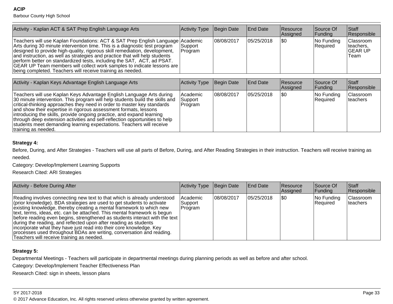#### **ACIP**Barbour County High School

| Activity - Kaplan ACT & SAT Prep English Language Arts                                                                                                                                                                                                                                                                                                                                                                                                                                                                                      | Activity Type      | Begin Date  | <b>End Date</b> | <b>Resource</b><br><b>Assigned</b> | Source Of<br> Funding  | <b>Staff</b><br><b>Responsible</b>                |
|---------------------------------------------------------------------------------------------------------------------------------------------------------------------------------------------------------------------------------------------------------------------------------------------------------------------------------------------------------------------------------------------------------------------------------------------------------------------------------------------------------------------------------------------|--------------------|-------------|-----------------|------------------------------------|------------------------|---------------------------------------------------|
| Teachers will use Kaplan Foundations: ACT & SAT Prep English Language Academic<br>Arts during 30 minute intervention time. This is a diagnostic test program<br>designed to provide high-quality, rigorous skill remediation, development,<br>and instruction, as well as strategies and practice that will help students<br>perform better on standardized tests, including the SAT, ACT, ad PSAT.<br>GEAR UP Team members will collect work samples to indicate lessons are<br>being completed. Teachers will receive training as needed. | Support<br>Program | 108/08/2017 | 05/25/2018      | 1\$0                               | No Funding<br>Required | Classroom<br>teachers,<br><b>IGEAR UP</b><br>Team |

| Activity - Kaplan Keys Advantage English Language Arts                                                                                                                                                                                                                                                                                                                                                                                                                                                                                                      | Activity Type                   | Begin Date  | <b>End Date</b> | <b>Resource</b><br>Assigned | Source Of<br> Funding  | Staff<br>Responsible          |
|-------------------------------------------------------------------------------------------------------------------------------------------------------------------------------------------------------------------------------------------------------------------------------------------------------------------------------------------------------------------------------------------------------------------------------------------------------------------------------------------------------------------------------------------------------------|---------------------------------|-------------|-----------------|-----------------------------|------------------------|-------------------------------|
| Teachers will use Kaplan Keys Advantage English Language Arts during<br>30 minute intervention. This program will help students build the skills and<br>critical-thinking approaches they need in order to master key standards<br>and show their expertise in rigorous assessment formats, lessons<br>introducing the skills, provide ongoing practice, and expand learning<br>through deep extension activities and self-reflection opportunities to help<br>students meet demanding learning expectations. Teachers will receive<br>Itraining as needed. | lAcademic<br>Support<br>Program | 108/08/2017 | 105/25/2018     | \$0                         | No Funding<br>Required | Classroom<br><b>Iteachers</b> |

#### **Strategy 4:**

Before, During, and After Strategies - Teachers will use all parts of Before, During, and After Reading Strategies in their instruction. Teachers will receive training asneeded.

Category: Develop/Implement Learning Supports

Research Cited: ARI Strategies

| Activity - Before During After                                                                                                                                                                                                                                                                                                                                                                                                                                                                                                                                                                                                                            | Activity Type                      | Begin Date | End Date   | <b>Resource</b><br>Assigned | Source Of<br> Funding  | <b>Staff</b><br>Responsible   |
|-----------------------------------------------------------------------------------------------------------------------------------------------------------------------------------------------------------------------------------------------------------------------------------------------------------------------------------------------------------------------------------------------------------------------------------------------------------------------------------------------------------------------------------------------------------------------------------------------------------------------------------------------------------|------------------------------------|------------|------------|-----------------------------|------------------------|-------------------------------|
| Reading involves connecting new text to that which is already understood<br>(prior knowledge). BDA strategies are used to get students to activate<br>existing knowledge, thereby creating a mental framework to which new<br>text, terms, ideas, etc. can be attached. This mental framework is begun<br> before reading even begins, strengthened as students interact with the text  <br>during the reading, and reflected upon after reading as students<br>incorporate what they have just read into their core knowledge. Key<br>processes used throughout BDAs are writing, conversation and reading.<br>Teachers will receive training as needed. | lAcademic<br> Support <br> Program | 08/08/2017 | 05/25/2018 | 1\$0                        | No Funding<br>Required | <b>Classroom</b><br>Iteachers |

## **Strategy 5:**

Departmental Meetings - Teachers will participate in departmental meetings during planning periods as well as before and after school.

Category: Develop/Implement Teacher Effectiveness Plan

Research Cited: sign in sheets, lesson plans

en and the set of the set of the set of the set of the set of the set of the set of the set of the set of the set of the set of the set of the set of the set of the set of the set of the set of the set of the set of the se © 2017 Advance Education, Inc. All rights reserved unless otherwise granted by written agreement.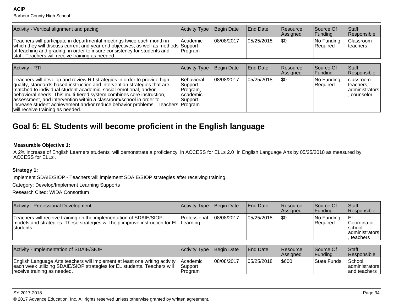Barbour County High School

| Activity - Vertical alignment and pacing                                                                                                                                                                                                                                                      | Activity Type          | Begin Date | <b>End Date</b>  | Resource<br>Assigned | Source Of<br> Funding                          | <b>Staff</b><br>Responsible   |
|-----------------------------------------------------------------------------------------------------------------------------------------------------------------------------------------------------------------------------------------------------------------------------------------------|------------------------|------------|------------------|----------------------|------------------------------------------------|-------------------------------|
| Teachers will participate in departmental meetings twice each month in<br>which they will discuss current and year end objectives, as well as methods Support<br>of teaching and grading, in order to insure consistency for students and<br>staff. Teachers will receive training as needed. | l Academic<br> Program | 08/08/2017 | 05/25/2018       | 1\$0                 | No Funding<br>Required                         | Classroom<br><b>Iteachers</b> |
|                                                                                                                                                                                                                                                                                               |                        |            |                  |                      |                                                |                               |
| <b>Activity - RTI</b>                                                                                                                                                                                                                                                                         | Activity Type          | Begin Date | <b>IEnd Date</b> | Resource<br>Assigned | Source Of<br> Funding                          | <b>Staff</b><br>Responsible   |
| $\top$ aaabayo will dayahan amd yoyigu: Dil atuatagiaa in ayday ta musyida bigb                                                                                                                                                                                                               | $10.45$ and $1.75$     | $\sqrt{2}$ | AC/OC/OOAO       | $\sim$               | $\mathbf{N}$ and $\mathbf{L}$ and $\mathbf{L}$ | المصدم ومصطاره ا              |

| Teachers will develop and review Rtl strategies in order to provide high         | Behavioral | 08/08/2017 | 05/25/2018 | 1\$0 | No Funding | Iclassroom     |
|----------------------------------------------------------------------------------|------------|------------|------------|------|------------|----------------|
| quality, standards-based instruction and intervention strategies that are        | Support    |            |            |      | Reauired   | Iteachers.     |
| Imatched to individual student academic, social-emotional, and/or                | IProgram.  |            |            |      |            | administrators |
| behavioral needs. This multi-tiered system combines core instruction.            | l Academic |            |            |      |            | counselor      |
| assessment, and intervention within a classroom/school in order to               | Support    |            |            |      |            |                |
| lincrease student achievement and/or reduce behavior problems. Teachers lProgram |            |            |            |      |            |                |
| I will receive training as needed.                                               |            |            |            |      |            |                |

# **Goal 5: EL Students will become proficient in the English language**

#### **Measurable Objective 1:**

 A 2% increase of English Learners students will demonstrate a proficiency in ACCESS for ELLs 2.0 in English Language Arts by 05/25/2018 as measured byACCESS for ELLs .

#### **Strategy 1:**

Implement SDAIE/SIOP - Teachers will implement SDAIE/SIOP strategies after receiving training.

Category: Develop/Implement Learning Supports

Research Cited: WIDA Consortium

| Activity - Professional Development                                                                                                                                      | Activity Type  | Begin Date | <b>End Date</b> | <b>Resource</b><br><b>Assigned</b> | Source Of<br> Funding  | <b>Staff</b><br><b>Responsible</b>                      |
|--------------------------------------------------------------------------------------------------------------------------------------------------------------------------|----------------|------------|-----------------|------------------------------------|------------------------|---------------------------------------------------------|
| Teachers will receive training on the implementation of SDAIE/SIOP<br>models and strategies. These strategies will help improve instruction for EL Learning<br>students. | l Professional | 08/08/2017 | 05/25/2018      | 1\$0                               | No Funding<br>Required | Coordinator,<br>Ischool<br>  administrators<br>teachers |

| Activity - Implementation of SDAIE/SIOP                                                                                                                                                | Activity Type Begin Date                |            | <b>End Date</b> | <b>Resource</b><br><b>Assigned</b> | <b>Source Of</b><br><b>IFundina</b> | Staff<br><b>Responsible</b>                  |
|----------------------------------------------------------------------------------------------------------------------------------------------------------------------------------------|-----------------------------------------|------------|-----------------|------------------------------------|-------------------------------------|----------------------------------------------|
| English Language Arts teachers will implement at least one writing activity<br>each week utilizing SDAIE/SIOP strategies for EL students. Teachers will<br>receive training as needed. | <b>IAcademic</b><br> Support<br>Program | 08/08/2017 | 05/25/2018      | \$600                              | State Funds                         | School<br>  administrators  <br>and teachers |

SY 2017-2018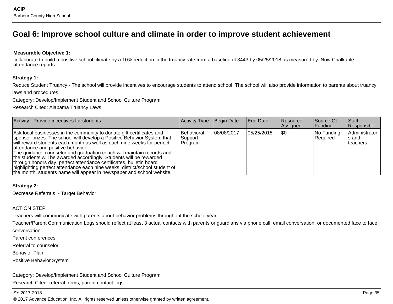# **Goal 6: Improve school culture and climate in order to improve student achievement**

#### **Measurable Objective 1:**

collaborate to build a positive school climate by a 10% reduction in the truancy rate from a baseline of 3443 by 05/25/2018 as measured by INow Chalkableattendance reports.

#### **Strategy 1:**

Reduce Student Truancy - The school will provide incentives to encourage students to attend school. The school will also provide information to parents about truancylaws and procedures.

Category: Develop/Implement Student and School Culture Program

Research Cited: Alabama Truancy Laws

| Activity - Provide incentives for students                                                                                                                                                                                                                                                                                                                                                                                                                                                                                                                                                                                                     | Activity Type                       | Begin Date  | <b>End Date</b> | Resource<br>Assigned | Source Of<br> Funding         | <b>Staff</b><br>Responsible                 |
|------------------------------------------------------------------------------------------------------------------------------------------------------------------------------------------------------------------------------------------------------------------------------------------------------------------------------------------------------------------------------------------------------------------------------------------------------------------------------------------------------------------------------------------------------------------------------------------------------------------------------------------------|-------------------------------------|-------------|-----------------|----------------------|-------------------------------|---------------------------------------------|
| Ask local businesses in the community to donate gift certificates and<br>sponsor prizes. The school will develop a Positive Behavior System that<br>will reward students each month as well as each nine weeks for perfect<br>attendance and positive behavior.<br>The guidance counselor and graduation coach will maintain records and<br>the students will be awarded accordingly. Students will be rewarded<br>through honors day, perfect attendance certificates, bulletin board<br>highlighting perfect attendance each nine weeks, district/school student of<br>the month, students name will appear in newspaper and school website. | Behavioral<br> Support_<br> Program | 108/08/2017 | 105/25/2018     | \$0                  | No Funding<br><b>Required</b> | Administrator<br>Is and<br><b>Iteachers</b> |

#### **Strategy 2:**

Decrease Referrals - Target Behavior

#### ACTION STEP:

Teachers will communicate with parents about behavior problems throughout the school year.

Teacher/Parent Communication Logs should reflect at least 3 actual contacts with parents or guardians via phone call, email conversation, or documented face to faceconversation.

Parent conferences

Referral to counselor

Behavior Plan

Positive Behavior System

Category: Develop/Implement Student and School Culture ProgramResearch Cited: referral forms, parent contact logs

#### SY 2017-2018

en and the set of the set of the set of the set of the set of the set of the set of the set of the set of the set of the set of the set of the set of the set of the set of the set of the set of the set of the set of the se © 2017 Advance Education, Inc. All rights reserved unless otherwise granted by written agreement.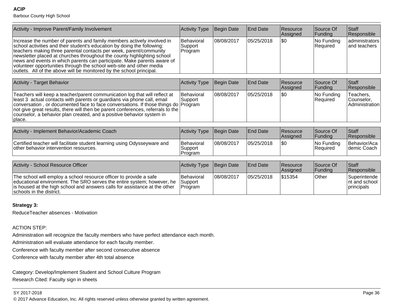**ACIP**Barbour County High School

| Activity - Improve Parent/Family Involvement                                                                                                                                                                                                                                                                                                                                                                                                                                                                                 | <b>Activity Type</b>                    | Begin Date | End Date        | Resource<br>Assigned | Source Of<br>Funding   | Staff<br>Responsible                      |
|------------------------------------------------------------------------------------------------------------------------------------------------------------------------------------------------------------------------------------------------------------------------------------------------------------------------------------------------------------------------------------------------------------------------------------------------------------------------------------------------------------------------------|-----------------------------------------|------------|-----------------|----------------------|------------------------|-------------------------------------------|
| Increase the number of parents and family members actively involved in<br>school activities and their student's education by doing the following:<br>teachers making three parental contacts per week, parent/community<br>newsletter placed at churches throughout the county highlighting school<br>news and events in which parents can participate. Make parents aware of<br>volunteer opportunities through the school web-site and other media<br>outlets. All of the above will be monitored by the school principal. | <b>Behavioral</b><br>Support<br>Program | 08/08/2017 | 05/25/2018      | \$0                  | No Funding<br>Required | administrators<br>and teachers            |
| Activity - Target Behavior                                                                                                                                                                                                                                                                                                                                                                                                                                                                                                   | <b>Activity Type</b>                    | Begin Date | <b>End Date</b> | Resource<br>Assigned | Source Of<br>Funding   | Staff<br>Responsible                      |
| Teachers will keep a teacher/parent communication log that will reflect at<br>least 3 actual contacts with parents or guardians via phone call, email<br>conversation, or documented face to face conversations. If those things do Program<br>not give great results, there will then be parent conferences, referrals to the<br>counselor, a behavior plan created, and a positive behavior system in<br>place.                                                                                                            | <b>Behavioral</b><br>Support            | 08/08/2017 | 05/25/2018      | I\$0                 | No Funding<br>Required | Teachers,<br>Counselor,<br>Administration |
|                                                                                                                                                                                                                                                                                                                                                                                                                                                                                                                              |                                         |            |                 |                      |                        |                                           |
| Activity - Implement Behavior/Academic Coach                                                                                                                                                                                                                                                                                                                                                                                                                                                                                 | <b>Activity Type</b>                    | Begin Date | <b>End Date</b> | Resource<br>Assigned | Source Of<br>Funding   | Staff<br>Responsible                      |
| Certified teacher will facilitate student learning using Odysseyware and<br>other behavior intervention resources.                                                                                                                                                                                                                                                                                                                                                                                                           | Behavioral<br>Support<br>Program        | 08/08/2017 | 05/25/2018      | <b>SO</b>            | No Funding<br>Required | Behavior/Aca<br>demic Coach               |
|                                                                                                                                                                                                                                                                                                                                                                                                                                                                                                                              |                                         |            |                 |                      |                        |                                           |
| Activity - School Resource Officer                                                                                                                                                                                                                                                                                                                                                                                                                                                                                           | <b>Activity Type</b>                    | Begin Date | <b>End Date</b> | Resource<br>Assigned | Source Of<br> Funding  | Staff<br>Responsible                      |

ble 05/25/2018 \$15354 Other Superintende The school will employ a school resource officer to provide a safe educational environment. The SRO serves the entire system; however, he is housed at the high school and answers calls for assistance at the otherschools in the district.**Behavioral** Support Program08/08/2017 nt and schoolprincipals

## **Strategy 3:**

ReduceTeacher absences - Motivation

ACTION STEP:

Administration will recognize the faculty members who have perfect attendance each month.

Administration will evaluate attendance for each faculty member.

Conference with faculty member after second consecutive absence

Conference with faculty member after 4th total absence

Category: Develop/Implement Student and School Culture ProgramResearch Cited: Faculty sign in sheets

entities and the contract of the contract of the contract of the contract of the contract of the contract of the contract of the contract of the contract of the contract of the contract of the contract of the contract of t © 2017 Advance Education, Inc. All rights reserved unless otherwise granted by written agreement.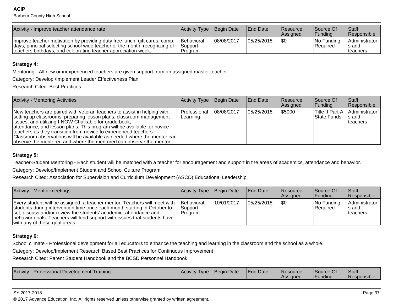Barbour County High School

| Activity - Improve teacher attendance rate                                                                                                                                                                                 | Activity Type                           | Begin Date | <b>End Date</b> | <b>Resource</b><br><b>Assigned</b> | <b>Source Of</b><br>IFundina | <b>Staff</b><br><b>Responsible</b>   |
|----------------------------------------------------------------------------------------------------------------------------------------------------------------------------------------------------------------------------|-----------------------------------------|------------|-----------------|------------------------------------|------------------------------|--------------------------------------|
| Improve teacher motivation by providing duty free lunch, gift cards, comp.<br>days, principal selecting school wide teacher of the month, recognizing of<br>teachers birthdays, and celebrating teacher appreciation week. | <b>Behavioral</b><br>Support<br>Program | 08/08/2017 | 05/25/2018      | 1\$0                               | INo Fundina<br> Required     | Administrator<br>Is and<br>Iteachers |

#### **Strategy 4:**

Mentoring - All new or inexperienced teachers are given support from an assigned master teacher.

Category: Develop /Implement Leader Effectiveness Plan

Research Cited: Best Practices

| <b>Activity - Mentoring Activities</b>                                                                                                                                                                                                                                                                                                                                                                                                                                                                   | Activity Type              | Begin Date  | <b>IEnd Date</b> | Resource<br><b>Assianed</b> | Source Of<br> Funding | <b>Staff</b><br><b>Responsible</b>                      |
|----------------------------------------------------------------------------------------------------------------------------------------------------------------------------------------------------------------------------------------------------------------------------------------------------------------------------------------------------------------------------------------------------------------------------------------------------------------------------------------------------------|----------------------------|-------------|------------------|-----------------------------|-----------------------|---------------------------------------------------------|
| New teachers are paired with veteran teachers to assist in helping with<br>setting up classrooms, preparing lesson plans, classroom management<br>issues, and utilizing I-NOW Chalkable for grade book,<br>attendance, and lesson plans. This program will be available for novice<br>teachers as they transition from novice to experienced teachers.<br>Classroom observations will be available as needed where the mentor can<br>observe the mentored and where the mentored can observe the mentor. | l Professional<br>Learning | 108/08/2017 | 105/25/2018      | \$5000                      | <b>State Funds</b>    | Title II Part A, Administrator  <br>Is and<br>Iteachers |

#### **Strategy 5:**

Teacher-Student Mentoring - Each student will be matched with a teacher for encouragement and support in the areas of academics, attendance and behavior.

Category: Develop/Implement Student and School Culture Program

Research Cited: Association for Supervision and Curriculum Development (ASCD) Educational Leadership

| Activity - Mentor meetings                                                                                                                                                                                                                                                                                                              | Activity Type Begin Date                  |            | <b>IEnd Date</b> | Resource<br><b>Assigned</b> | Source Of<br><b>Funding</b> | <b>Staff</b><br><b>Responsible</b>   |
|-----------------------------------------------------------------------------------------------------------------------------------------------------------------------------------------------------------------------------------------------------------------------------------------------------------------------------------------|-------------------------------------------|------------|------------------|-----------------------------|-----------------------------|--------------------------------------|
| Every student will be assigned a teacher mentor. Teachers will meet with<br>students during intervention time once each month starting in October to<br>set, discuss and/or review the students' academic, attendance and<br>behavior goals. Teachers will lend support with issues that students have<br>with any of these goal areas. | <b>I</b> Behavioral<br>Support<br>Program | 10/01/2017 | 05/25/2018       | 1\$0                        | No Funding<br>Required      | Administrator<br>Is and<br>lteachers |

#### **Strategy 6:**

School climate - Professional development for all educators to enhance the teaching and learning in the classroom and the school as a whole.

Category: Develop/Implement Research Based Best Practices for Continuous Improvement

Research Cited: Parent Student Handbook and the BCSD Personnel Handbook

| <b>Activity - Professional Development Training</b> | Activity Type | <b>Begin Date</b> | <b>End Date</b> | l Resource<br><b>IAssianed</b> | <b>Source Of</b><br>Funding | Staff<br><b>Responsible</b> |
|-----------------------------------------------------|---------------|-------------------|-----------------|--------------------------------|-----------------------------|-----------------------------|
|-----------------------------------------------------|---------------|-------------------|-----------------|--------------------------------|-----------------------------|-----------------------------|

#### SY 2017-2018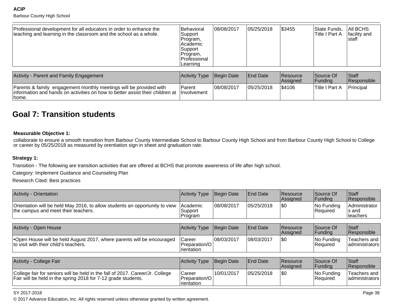#### **ACIP**Barbour County High School

| Activity - Parent and Family Engagement                                                                                                                                     | Activity Type Begin Date |             | <b>End Date</b> | <b>Resource</b><br><b>Assigned</b> | lSource Of<br> Fundina | <b>Staff</b><br><b>Responsible</b> |
|-----------------------------------------------------------------------------------------------------------------------------------------------------------------------------|--------------------------|-------------|-----------------|------------------------------------|------------------------|------------------------------------|
| Parents & family engagement monthly meetings will be provided with<br>linformation and hands on activities on how to better assist their children at linvolvement<br>Ihome. | Parent                   | 108/08/2017 | 105/25/2018     | \$4106                             | lTitle I Part A        | Principal                          |

# **Goal 7: Transition students**

#### **Measurable Objective 1:**

collaborate to ensure a smooth transition from Barbour County Intermediate School to Barbour County High School and from Barbour County High School to College<br>or career by 05/25/2018 as measured by orentiation sign in shee

#### **Strategy 1:**

Transition - The following are transition activities that are offered at BCHS that promote awareness of life after high school.

Category: Implement Guidance and Counseling Plan

Research Cited: Best practices

| <b>Activity - Orientation</b>                                                                                                                  | <b>Activity Type</b>                           | Begin Date | <b>End Date</b> | Resource<br>Assigned | Source Of<br>Funding   | Staff<br>Responsible                 |
|------------------------------------------------------------------------------------------------------------------------------------------------|------------------------------------------------|------------|-----------------|----------------------|------------------------|--------------------------------------|
| Orientation will be held May 2016, to allow students an opportunity to view<br>the campus and meet their teachers.                             | Academic<br>Support<br>Program                 | 08/08/2017 | 05/25/2018      | <b>SO</b>            | No Funding<br>Required | Administrator<br>ls and<br>lteachers |
|                                                                                                                                                |                                                |            |                 |                      |                        |                                      |
| Activity - Open House                                                                                                                          | <b>Activity Type</b>                           | Begin Date | <b>End Date</b> | Resource<br>Assigned | Source Of<br>Funding   | Staff<br>Responsible                 |
| •Open House will be held August 2017, where parents will be encouraged<br>to visit with their child's teachers.                                | Career<br>Preparation/O<br>Irientation         | 08/03/2017 | 08/03/2017      | <b>SO</b>            | No Funding<br>Required | Teachers and<br>administrators       |
|                                                                                                                                                |                                                |            |                 |                      |                        |                                      |
| Activity - College Fair                                                                                                                        | <b>Activity Type</b>                           | Begin Date | <b>End Date</b> | Resource<br>Assigned | Source Of<br> Funding  | Staff<br>Responsible                 |
| College fair for seniors will be held in the fall of 2017. Career/Jr. College<br>Fair will be held in the spring 2018 for 7-12 grade students. | Career<br>Preparation/O<br><i>I</i> rientation | 10/01/2017 | 05/25/2018      | \$0                  | No Funding<br>Required | Teachers and<br>administrators       |

#### SY 2017-2018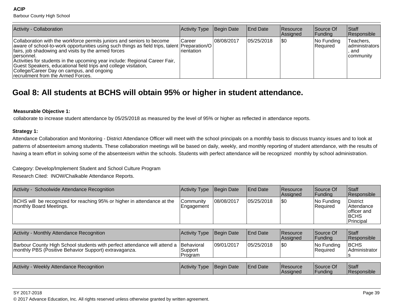Barbour County High School

| Activity - Collaboration                                                                                                                                                                                                                                                                                                                                                                                                                                                             | Activity Type                 | Begin Date  | <b>End Date</b> | <b>Resource</b><br><b>Assigned</b> | Source Of<br> Funding  | <b>Staff</b><br>Responsible                              |
|--------------------------------------------------------------------------------------------------------------------------------------------------------------------------------------------------------------------------------------------------------------------------------------------------------------------------------------------------------------------------------------------------------------------------------------------------------------------------------------|-------------------------------|-------------|-----------------|------------------------------------|------------------------|----------------------------------------------------------|
| Collaboration with the workforce permits juniors and seniors to become<br>  aware of school-to-work opportunities using such things as field trips, talent   Preparation/O<br>fairs, job shadowing and visits by the armed forces<br>Dersonnel.<br>Activities for students in the upcoming year include: Regional Career Fair,<br>Guest Speakers, educational field trips and college visitation,<br>College/Career Day on campus, and ongoing<br>recruitment from the Armed Forces. | <b>ICareer</b><br>Irientation | 108/08/2017 | 05/25/2018      | \$0                                | No Funding<br>Required | Teachers,<br>  administrators<br>and<br><b>community</b> |

# **Goal 8: All students at BCHS will obtain 95% or higher in student attendance.**

#### **Measurable Objective 1:**

collaborate to increase student attendance by 05/25/2018 as measured by the level of 95% or higher as reflected in attendance reports.

#### **Strategy 1:**

Attendance Collaboration and Monitoring - District Attendance Officer will meet with the school principals on a monthly basis to discuss truancy issues and to look atpatterns of absenteeism among students. These collaboration meetings will be based on daily, weekly, and monthly reporting of student attendance, with the results of having a team effort in solving some of the absenteeism within the schools. Students with perfect attendance will be recognized monthly by school administration.

Category: Develop/Implement Student and School Culture Program

Research Cited: INOW/Chalkable Attendance Reports.

| Activity - Schoolwide Attendance Recognition                                                                                       | <b>Activity Type</b>             | Begin Date | <b>End Date</b> | <b>Resource</b><br>Assigned | Source Of<br><b>Funding</b> | Staff<br>Responsible                                                 |
|------------------------------------------------------------------------------------------------------------------------------------|----------------------------------|------------|-----------------|-----------------------------|-----------------------------|----------------------------------------------------------------------|
| BCHS will be recognized for reaching 95% or higher in attendance at the<br>monthly Board Meetings.                                 | Community<br>Engagement          | 08/08/2017 | 05/25/2018      | \$0                         | No Funding<br>Required      | <b>District</b><br> Attendance<br>lofficer and<br> BCHS<br>Principal |
|                                                                                                                                    |                                  |            |                 |                             |                             |                                                                      |
| Activity - Monthly Attendance Recognition                                                                                          | <b>Activity Type</b>             | Begin Date | <b>End Date</b> | <b>Resource</b><br>Assigned | Source Of<br> Funding       | Staff<br>Responsible                                                 |
| Barbour County High School students with perfect attendance will attend a<br>monthly PBS (Positive Behavior Support) extravaganza. | Behavioral<br>Support<br>Program | 09/01/2017 | 05/25/2018      | 1\$0                        | No Funding<br>Required      | <b>BCHS</b><br>Administrator<br>১                                    |
|                                                                                                                                    |                                  |            |                 |                             |                             |                                                                      |
| Activity - Weekly Attendance Recognition                                                                                           | <b>Activity Type</b>             | Begin Date | <b>End Date</b> | Resource<br>Assigned        | Source Of<br> Funding       | Staff<br>Responsible                                                 |

#### SY 2017-2018

en and the set of the set of the set of the set of the set of the set of the set of the set of the set of the set of the set of the set of the set of the set of the set of the set of the set of the set of the set of the se © 2017 Advance Education, Inc. All rights reserved unless otherwise granted by written agreement.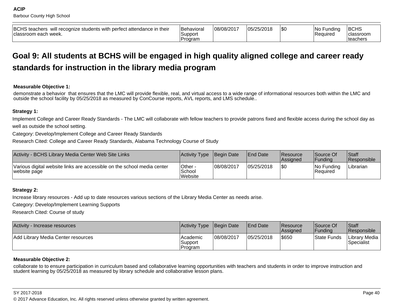| <b>BCHS</b> teachers<br>will recognize students with perfect attendance in their<br>≀classroom each week. | <b>IBehaviora</b><br>Support<br>Program | 08/08/2017 | 05/25/2018 | \$0 | No l<br>Fundina<br><b>Required</b> | BCHS<br>classroom<br>∣teachers |
|-----------------------------------------------------------------------------------------------------------|-----------------------------------------|------------|------------|-----|------------------------------------|--------------------------------|
|-----------------------------------------------------------------------------------------------------------|-----------------------------------------|------------|------------|-----|------------------------------------|--------------------------------|

# **Goal 9: All students at BCHS will be engaged in high quality aligned college and career readystandards for instruction in the library media program**

#### **Measurable Objective 1:**

demonstrate a behavior that ensures that the LMC will provide flexible, real, and virtual access to a wide range of informational resources both within the LMC andoutside the school facility by 05/25/2018 as measured by ConCourse reports, AVL reports, and LMS schedule..

#### **Strategy 1:**

Implement College and Career Ready Standards - The LMC will collaborate with fellow teachers to provide patrons fixed and flexible access during the school day aswell as outside the school setting.

Category: Develop/Implement College and Career Ready Standards

Research Cited: College and Career Ready Standards, Alabama Technology Course of Study

| Activity - BCHS Library Media Center Web Site Links                                     | Activity Type                | Begin Date | <b>End Date</b> | <b>Resource</b><br><b>Assigned</b> | Source Of<br> Fundina   | <b>Staff</b><br>Responsible |
|-----------------------------------------------------------------------------------------|------------------------------|------------|-----------------|------------------------------------|-------------------------|-----------------------------|
| Various digital website links are accessible on the school media center<br>website page | Other -<br>School<br>Website | 08/08/2017 | 05/25/2018      | \$0                                | INo Fundina<br>Required | Librarian                   |

#### **Strategy 2:**

Increase library resources - Add up to date resources various sections of the Library Media Center as needs arise.

Category: Develop/Implement Learning Supports

Research Cited: Course of study

| Activity - Increase resources      | Activity Type Begin Date         |            | <b>End Date</b> | <b>IResource</b><br><b>Assigned</b> | Source Of<br> Fundina | <b>Staff</b><br>Responsible   |
|------------------------------------|----------------------------------|------------|-----------------|-------------------------------------|-----------------------|-------------------------------|
| Add Library Media Center resources | l Academic<br>Support<br>Program | 08/08/2017 | 05/25/2018      | 1\$650                              | <b>State Funds</b>    | Library Media  <br>Specialist |

#### **Measurable Objective 2:**

collaborate to to ensure participation in curriculum based and collaborative learning opportunities with teachers and students in order to improve instruction andstudent learning by 05/25/2018 as measured by library schedule and collaborative lesson plans.

#### SY 2017-2018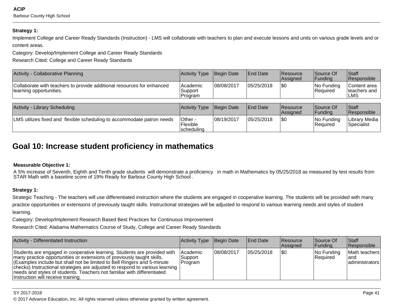**ACIP**Barbour County High School

#### **Strategy 1:**

Implement College and Career Ready Standards (Instruction) - LMS will collaborate with teachers to plan and execute lessons and units on various grade levels and orcontent areas.

Category: Develop/Implement College and Career Ready Standards

Research Cited: College and Career Ready Standards

| Activity - Collaborative Planning                                                                 | Activity Type Begin Date        |            | <b>IEnd Date</b> | <b>Resource</b><br><b>Assigned</b> | Source Of<br> Funding  | <b>Staff</b><br>Responsible           |
|---------------------------------------------------------------------------------------------------|---------------------------------|------------|------------------|------------------------------------|------------------------|---------------------------------------|
| Collaborate with teachers to provide additional resources for enhanced<br>learning opportunities. | lAcademic<br>Support<br>Program | 08/08/2017 | 05/25/2018       | 1\$0                               | No Funding<br>Required | Content area<br>Iteachers and<br>∣LMS |
|                                                                                                   |                                 |            |                  |                                    |                        |                                       |

| <b>Activity - Library Scheduling</b>                                   | Activity Type Begin Date           |            | <b>End Date</b> | <b>Resource</b><br><b>Assigned</b> | lSource Of<br><b>IFundina</b>    | <b>Staff</b><br><b>Responsible</b> |
|------------------------------------------------------------------------|------------------------------------|------------|-----------------|------------------------------------|----------------------------------|------------------------------------|
| LMS utilizes fixed and flexible scheduling to accommodate patron needs | IOther -<br>Flexible<br>scheduling | 08/19/2017 | 05/25/2018      | \$0                                | $ No$ Funding<br><b>Required</b> | Library Media  <br>Specialist      |

# **Goal 10: Increase student proficiency in mathematics**

#### **Measurable Objective 1:**

A 5% increase of Seventh, Eighth and Tenth grade students will demonstrate a proficiency in math in Mathematics by 05/25/2018 as measured by test results from<br>STAR Math with a baseline score of 19% Ready for Barbour County

#### **Strategy 1:**

Strategic Teaching - The teachers will use differentiated instruction where the students are engaged in cooperative learning. The students will be provided with manypractice opportunities or extensions of previously taught skills. Instructional strategies will be adjusted to respond to various learning needs and styles of studentlearning.

Category: Develop/Implement Research Based Best Practices for Continuous Improvement

Research Cited: Alabama Mathematics Course of Study, College and Career Ready Standards

| Activity - Differentiated Instruction                                                                                                                                                                                                                                                                                                                                                                                          | Activity Type                                  | Begin Date | <b>End Date</b> | <b>Resource</b><br>Assigned | Source Of<br><b>Funding</b> | <b>Staff</b><br>Responsible               |
|--------------------------------------------------------------------------------------------------------------------------------------------------------------------------------------------------------------------------------------------------------------------------------------------------------------------------------------------------------------------------------------------------------------------------------|------------------------------------------------|------------|-----------------|-----------------------------|-----------------------------|-------------------------------------------|
| Students are engaged in cooperative learning. Students are provided with<br>many practice opportunities or extensions of previously taught skills.<br>(Examples include but shall not be limited to Bell Ringers and 5-minute<br>checks) Instructional strategies are adjusted to respond to various learning<br>needs and styles of students. Teachers not familiar with differentiated<br>Instruction will receive training. | <b>Academic</b><br> Support<br><b>IProgram</b> | 08/08/2017 | 05/25/2018      | 1\$0                        | No Funding<br>Required      | Math teachers<br>land<br>  administrators |

en and the set of the set of the set of the set of the set of the set of the set of the set of the set of the set of the set of the set of the set of the set of the set of the set of the set of the set of the set of the se © 2017 Advance Education, Inc. All rights reserved unless otherwise granted by written agreement.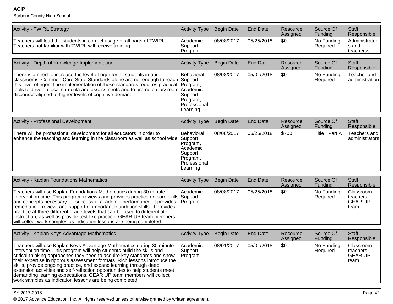Barbour County High School

| Activity - TWIRL Strategy                                                                                                          | Activity Type Begin Date              |            | <b>End Date</b> | <b>Resource</b><br><b>Assigned</b> | Source Of<br><b>IFunding</b> | Staff<br><b>Responsible</b>                  |
|------------------------------------------------------------------------------------------------------------------------------------|---------------------------------------|------------|-----------------|------------------------------------|------------------------------|----------------------------------------------|
| Teachers will lead the students in correct usage of all parts of TWIRL.<br>Teachers not familiar with TWIRL will receive training. | <b>Academic</b><br>Support<br>Program | 08/08/2017 | 05/25/2018      | \$0                                | $ No$ Funding<br>Required    | Administrator<br>Is and<br><b>Iteacherss</b> |

| Activity - Depth of Knowledge Implementation                                                                                                                                                                                                                                                                                                                                                        | Activity Type                                                         | Begin Date | <b>End Date</b> | Resource<br><b>Assigned</b> | Source Of<br> Funding  | ∣Staff<br>Responsible          |
|-----------------------------------------------------------------------------------------------------------------------------------------------------------------------------------------------------------------------------------------------------------------------------------------------------------------------------------------------------------------------------------------------------|-----------------------------------------------------------------------|------------|-----------------|-----------------------------|------------------------|--------------------------------|
| There is a need to increase the level of rigor for all students in our<br>classrooms. Common Core State Standards alone are not enough to reach Support<br>this level of rigor. The implementation of these standards requires practical (Program,<br>tools to develop local curricula and assessments and to promote classroom Academic<br>discourse aligned to higher levels of cognitive demand. | Behavioral<br>Support<br>IProgram.<br><b>Professional</b><br>Learning | 08/08/2017 | 05/01/2018      | \$0                         | No Funding<br>Reauired | Teacher and<br>ladministration |

| <b>Activity - Professional Development</b>                                                                                                                | Activity Type                                                                                     | Begin Date | <b>End Date</b> | Resource<br>Assigned | Source Of<br> Funding | <b>Staff</b><br>Responsible    |
|-----------------------------------------------------------------------------------------------------------------------------------------------------------|---------------------------------------------------------------------------------------------------|------------|-----------------|----------------------|-----------------------|--------------------------------|
| There will be professional development for all educators in order to<br>enhance the teaching and learning in the classroom as well as school wide Support | Behavioral<br>Program,<br>l Academic<br> Support<br>IProgram.<br><b>IProfessional</b><br>Learning | 08/08/2017 | 05/25/2018      | \$700                | Title I Part A        | Teachers and<br>administrators |

| Activity - Kaplan Foundations Mathematics                                                                                                                                                                                                                                                                                                                                                                                                                                                                                                                         | Activity Type | Begin Date | End Date   | Resource<br><b>Assigned</b> | Source Of<br><b>Funding</b> | <b>Staff</b><br>Responsible                                |
|-------------------------------------------------------------------------------------------------------------------------------------------------------------------------------------------------------------------------------------------------------------------------------------------------------------------------------------------------------------------------------------------------------------------------------------------------------------------------------------------------------------------------------------------------------------------|---------------|------------|------------|-----------------------------|-----------------------------|------------------------------------------------------------|
| Teachers will use Kaplan Foundations Mathematics during 30 minute<br>intervention time. This program reviews and provides practice on core skills Support<br>and concepts necessary for successful academic performance. It provides [Program]<br>remediation, review, and support of important foundation skills. It provides<br>practice at three different grade levels that can be used to differentiate<br>linstruction, as well as provide test-like practice. GEAR UP team members<br>will collect work samples as indication lessons are being completed. | lAcademic     | 08/08/2017 | 05/25/2018 | \$0                         | No Funding<br>Required      | <b>Classroom</b><br>Iteachers.<br><b>IGEAR UP</b><br>∣team |

| Activity - Kaplan Keys Advantage Mathematics                                                                                                                                                                                                                                                                                                                                                                                                                                                                                                                                                     | Activity Type                     | Begin Date | End Date   | <b>Resource</b><br>Assigned | Source Of<br> Funding         | Staff<br>Responsible                                |
|--------------------------------------------------------------------------------------------------------------------------------------------------------------------------------------------------------------------------------------------------------------------------------------------------------------------------------------------------------------------------------------------------------------------------------------------------------------------------------------------------------------------------------------------------------------------------------------------------|-----------------------------------|------------|------------|-----------------------------|-------------------------------|-----------------------------------------------------|
| Teachers will use Kaplan Keys Advantage Mathematics during 30 minute<br>intervention time. This program will help students build the skills and<br>critical-thinking approaches they need to acquire key standards and show<br>their expertise in rigorous assessment formats. Rich lessons introduce the<br>skills, provide ongoing practice, and expand learning through deep<br>extension activities and self-reflection opportunities to help students meet<br>demanding learning expectations. GEAR UP team members will collect<br>work samples as indication lessons are being completed. | l Academic<br>Support<br> Program | 08/01/2017 | 05/01/2018 | \$0                         | No Funding<br><b>Required</b> | Classroom<br>Iteachers.<br><b>IGEAR UP</b><br>⊥team |

#### SY 2017-2018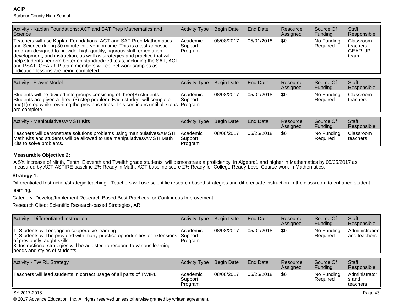# Barbour County High School

**ACIP**

| Activity - Kaplan Foundations: ACT and SAT Prep Mathematics and<br>Science                                                                                                                                                                                                                                                                                                                                                                                                                   | Activity Type                  | Begin Date  | <b>End Date</b> | <b>Resource</b><br>Assigned | Source Of<br> Funding  | <b>Staff</b><br>Responsible                                      |
|----------------------------------------------------------------------------------------------------------------------------------------------------------------------------------------------------------------------------------------------------------------------------------------------------------------------------------------------------------------------------------------------------------------------------------------------------------------------------------------------|--------------------------------|-------------|-----------------|-----------------------------|------------------------|------------------------------------------------------------------|
| Teachers will use Kaplan Foundations: ACT and SAT Prep Mathematics<br>and Science during 30 minute intervention time. This is a test-agnostic<br>program designed to provide high-quality, rigorous skill remediation,<br>development, and instruction, as well as strategies and practice that will<br>help students perform better on standardized tests, including the SAT, ACT<br>and PSAT. GEAR UP team members will collect work samples as<br>indication lessons are being completed. | Academic<br>Support<br>Program | 108/08/2017 | 105/01/2018     | \$0                         | No Funding<br>Required | <b>Classroom</b><br>Iteachers.<br><b>GEAR UP</b><br><b>Iteam</b> |

| <b>Activity - Frayer Model</b>                                                                                                                                                                                                                                     | Activity Type        | Begin Date | <b>End Date</b> | <b>Resource</b><br><b>Assigned</b> | Source Of<br><b>Funding</b> | <b>Staff</b><br>Responsible   |
|--------------------------------------------------------------------------------------------------------------------------------------------------------------------------------------------------------------------------------------------------------------------|----------------------|------------|-----------------|------------------------------------|-----------------------------|-------------------------------|
| Students will be divided into groups consisting of three (3) students.<br>Students are given a three (3) step problem. Each student will complete<br>$ one(1)$ step while rewriting the previous steps. This continues until all steps $ Program$<br>are complete. | lAcademic<br>Support | 08/08/2017 | 05/01/2018      | 1\$0                               | No Funding<br>Required      | Classroom<br><b>Iteachers</b> |

| Activity - Manipulatives/AMSTI Kits                                                                                                                                         | Activity Type Begin Date                 |            | <b>IEnd Date</b> | Resource<br><b>Assigned</b> | Source Of<br> Fundina          | <b>Staff</b><br><b>Responsible</b>   |
|-----------------------------------------------------------------------------------------------------------------------------------------------------------------------------|------------------------------------------|------------|------------------|-----------------------------|--------------------------------|--------------------------------------|
| Teachers will demonstrate solutions problems using manipulatives/AMSTI<br>Math Kits and students will be allowed to use manipulatives/AMSTI Math<br>Kits to solve problems. | <b>IAcademic</b><br>'Support<br>IProgram | 08/08/2017 | 05/25/2018       | 1\$0                        | INo Fundina<br><b>Required</b> | <b>Classroom</b><br><b>Iteachers</b> |

#### **Measurable Objective 2:**

A 5% increase of Ninth, Tenth, Eleventh and Twelfth grade students will demonstrate a proficiency in Algebra1 and higher in Mathematics by 05/25/2017 as<br>measured by ACT ASPIRE baseline 2% Ready in Math, ACT baseline score

#### **Strategy 1:**

Differentiated Instruction/strategic teaching - Teachers will use scientific research based strategies and differentiate instruction in the classroom to enhance student

learning.

Category: Develop/Implement Research Based Best Practices for Continuous Improvement

Research Cited: Scientific Research-based Strategies, ARI

| Activity - Differentiated Instruction                                                                                                                                                                                                                                                   | Activity Type Begin Date |            | <b>End Date</b> | <b>Resource</b><br>Assigned | Source Of<br><b>Funding</b> | <b>Staff</b><br>Responsible    |
|-----------------------------------------------------------------------------------------------------------------------------------------------------------------------------------------------------------------------------------------------------------------------------------------|--------------------------|------------|-----------------|-----------------------------|-----------------------------|--------------------------------|
| 1. Students will engage in cooperative learning.<br>2. Students will be provided with many practice opportunities or extensions Support<br>of previously taught skills.<br>3. Instructional strategies will be adjusted to respond to various learning<br>needs and styles of students. | Academic<br> Program     | 08/08/2017 | 05/01/2018      | \$0                         | No Funding<br>Required      | Administration<br>and teachers |

| <b>Activity - TWIRL Strategy</b>                                    | Activity Type   Begin Date     |            | <b>End Date</b> | Resource<br><b>Assigned</b> | Source Of<br>l Fundina         | <b>Staff</b><br><b>Responsible</b>                 |
|---------------------------------------------------------------------|--------------------------------|------------|-----------------|-----------------------------|--------------------------------|----------------------------------------------------|
| Teachers will lead students in correct usage of all parts of TWIRL. | Academic<br>Support<br>Program | 08/08/2017 | 05/25/2018      | 1\$0                        | INo Fundina<br><b>Required</b> | <b>Administrator</b><br>Is and<br><b>Iteachers</b> |

#### SY 2017-2018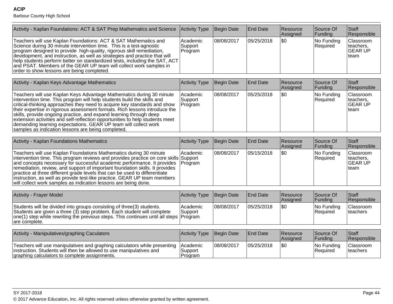| Activity - Kaplan Foundations: ACT & SAT Prep Mathematics and Science                                                                                                                                                                                                                                                                                                                                                                                                                                                                                                                    | <b>Activity Type</b>           | Begin Date | <b>End Date</b> | Resource<br>Assigned | Source Of<br>Funding   | <b>Staff</b><br>Responsible                      |
|------------------------------------------------------------------------------------------------------------------------------------------------------------------------------------------------------------------------------------------------------------------------------------------------------------------------------------------------------------------------------------------------------------------------------------------------------------------------------------------------------------------------------------------------------------------------------------------|--------------------------------|------------|-----------------|----------------------|------------------------|--------------------------------------------------|
| Teachers will use Kaplan Foundations: ACT & SAT Mathematics and<br>Science during 30 minute intervention time. This is a test-agnostic<br>program designed to provide high-quality, rigorous skill remediation,<br>development, and instruction, as well as strategies and practice that will<br>help students perform better on standardized tests, including the SAT, ACT<br>and PSAT. Members of the GEAR UP team will collect work samples in<br>order to show lessons are being completed.                                                                                          | Academic<br>Support<br>Program | 08/08/2017 | 05/25/2018      | \$0                  | No Funding<br>Required | Classroom<br>teachers.<br><b>GEAR UP</b><br>team |
| Activity - Kaplan Keys Advantage Mathematics                                                                                                                                                                                                                                                                                                                                                                                                                                                                                                                                             | Activity Type                  | Begin Date | <b>End Date</b> | Resource<br>Assigned | Source Of<br>Funding   | <b>Staff</b><br>Responsible                      |
| Teachers will use Kaplan Keys Advantage Mathematics during 30 minute<br>intervention time. This program will help students build the skills and<br>critical-thinking approaches they need to acquire key standards and show<br>their expertise in rigorous assessment formats. Rich lessons introduce the<br>skills, provide ongoing practice, and expand learning through deep<br>extension activities and self-reflection opportunities to help students meet<br>demanding learning expectations. GEAR UP team will collect work<br>samples as indication lessons are being completed. | Academic<br>Support<br>Program | 08/08/2017 | 05/25/2018      | \$0                  | No Funding<br>Required | Classroom<br>teachers,<br><b>GEAR UP</b><br>team |
|                                                                                                                                                                                                                                                                                                                                                                                                                                                                                                                                                                                          |                                |            |                 |                      |                        |                                                  |
| <b>Activity - Kaplan Foundations Mathematics</b>                                                                                                                                                                                                                                                                                                                                                                                                                                                                                                                                         | <b>Activity Type</b>           | Begin Date | <b>End Date</b> | Resource<br>Assigned | Source Of<br>Funding   | Staff<br>Responsible                             |
| Teachers will use Kaplan Foundations Mathematics during 30 minute<br>intervention time. This program reviews and provides practice on core skills<br>and concepts necessary for successful academic performance. It provides<br>remediation, review, and support of important foundation skills. It provides<br>practice at three different grade levels that can be used to differentiate<br>instruction, as well as provide test-like practice. GEAR UP team members<br>will collect work samples as indication lessons are being done.                                                | Academic<br>Support<br>Program | 08/08/2017 | 05/15/2018      | \$0                  | No Funding<br>Required | Classroom<br>teachers,<br><b>GEAR UP</b><br>team |
| <b>Activity - Frayer Model</b>                                                                                                                                                                                                                                                                                                                                                                                                                                                                                                                                                           | <b>Activity Type</b>           | Begin Date | <b>End Date</b> | Resource             | Source Of              | <b>Staff</b>                                     |
|                                                                                                                                                                                                                                                                                                                                                                                                                                                                                                                                                                                          |                                |            |                 | Assigned             | Funding                | Responsible                                      |
| Students will be divided into groups consisting of three(3) students.<br>Students are given a three (3) step problem. Each student will complete<br>one(1) step while rewriting the previous steps. This continues until all steps<br>are complete.                                                                                                                                                                                                                                                                                                                                      | Academic<br>Support<br>Program | 08/08/2017 | 05/25/2018      | \$0                  | No Funding<br>Required | Classroom<br>teachers                            |
| Activity - Manipulatives/graphing Caculators                                                                                                                                                                                                                                                                                                                                                                                                                                                                                                                                             | Activity Type                  | Begin Date | <b>End Date</b> | Resource             | Source Of              | Staff                                            |
|                                                                                                                                                                                                                                                                                                                                                                                                                                                                                                                                                                                          |                                |            |                 | Assigned             | Funding                | Responsible                                      |
| Teachers will use manipulatives and graphing calculators while presenting<br>instruction. Students will then be allowed to use manipulatives and<br>graphing calculators to complete assignments.                                                                                                                                                                                                                                                                                                                                                                                        | Academic<br>Support<br>Program | 08/08/2017 | 05/25/2018      | \$0                  | No Funding<br>Required | Classroom<br>teachers                            |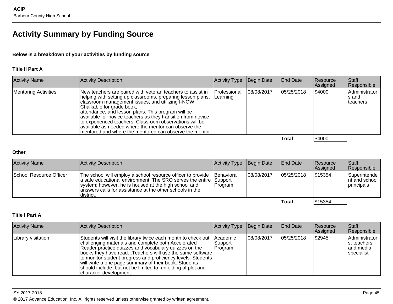# **Activity Summary by Funding Source**

#### **Below is a breakdown of your activities by funding source**

#### **Title II Part A**

| <b>Activity Name</b>        | Activity Description                                                                                                                                                                                                                                                                                                                                                                                                                                                                                             | Activity Type            | Begin Date | End Date   | Resource<br>Assigned | Staff<br>Responsible                 |
|-----------------------------|------------------------------------------------------------------------------------------------------------------------------------------------------------------------------------------------------------------------------------------------------------------------------------------------------------------------------------------------------------------------------------------------------------------------------------------------------------------------------------------------------------------|--------------------------|------------|------------|----------------------|--------------------------------------|
| <b>Mentoring Activities</b> | New teachers are paired with veteran teachers to assist in<br>helping with setting up classrooms, preparing lesson plans,<br>classroom management issues, and utilizing I-NOW<br>Chalkable for grade book,<br>attendance, and lesson plans. This program will be<br>available for novice teachers as they transition from novice<br>to experienced teachers. Classroom observations will be<br>lavailable as needed where the mentor can observe the<br>Imentored and where the mentored can observe the mentor. | Professional<br>Learning | 08/08/2017 | 05/25/2018 | \$4000               | Administrator<br>∣s and<br>Iteachers |
|                             |                                                                                                                                                                                                                                                                                                                                                                                                                                                                                                                  |                          |            | Total      | \$4000               |                                      |

**Total**

#### **Other**

| <b>Activity Name</b>    | <b>Activity Description</b>                                                                                                                                                                                                                                                      | Activity Type Begin Date |             | <b>End Date</b> | <b>Resource</b><br>Assigned | <b>Staff</b><br>Responsible                     |
|-------------------------|----------------------------------------------------------------------------------------------------------------------------------------------------------------------------------------------------------------------------------------------------------------------------------|--------------------------|-------------|-----------------|-----------------------------|-------------------------------------------------|
| School Resource Officer | The school will employ a school resource officer to provide   Behavioral<br>a safe educational environment. The SRO serves the entire Support<br>system; however, he is housed at the high school and<br>lanswers calls for assistance at the other schools in the<br>'district. | Program                  | 108/08/2017 | 105/25/2018     | \$15354                     | Superintende<br>Int and school I<br> principals |
|                         |                                                                                                                                                                                                                                                                                  |                          |             | Total           | \$15354                     |                                                 |

#### **Title I Part A**

| <b>Activity Name</b> | Activity Description                                                                                                                                                                                                                                                                                                                                                                                                                                               | <b>Activity Type</b>                  | Begin Date | <b>End Date</b> | Resource<br>Assigned | <b>Staff</b><br>Responsible                              |
|----------------------|--------------------------------------------------------------------------------------------------------------------------------------------------------------------------------------------------------------------------------------------------------------------------------------------------------------------------------------------------------------------------------------------------------------------------------------------------------------------|---------------------------------------|------------|-----------------|----------------------|----------------------------------------------------------|
| Library visitation   | Students will visit the library twice each month to check out<br>challenging materials and complete both Accelerated<br>Reader practice quizzes and vocabulary quizzes on the<br> books they have read. .Teachers will use the same software<br>  to monitor student progress and proficiency levels. Students<br>will write a one page summary of their book. Students<br>should include, but not be limited to, unfolding of plot and<br> character development. | Academic<br>Support<br><b>Program</b> | 08/08/2017 | 05/25/2018      | \$2945               | Administrator<br>s, teachers<br>land media<br>specialist |

SY 2017-2018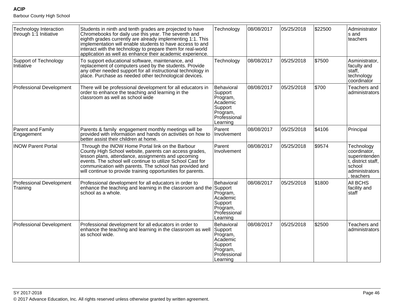| <b>Technology Interaction</b><br>through 1:1 Initiative | Students in ninth and tenth grades are projected to have<br>Chromebooks for daily use this year. The seventh and<br>eighth grades currently are already implementing 1:1. This<br>implementation will enable students to have access to and<br>interact with the technology to prepare them for real-world<br>application as well as enhance their academic experience. | Technology                                                                                       | 08/08/2017 | 05/25/2018 | \$22500 | Administrator<br>s and<br>teachers                                                                        |
|---------------------------------------------------------|-------------------------------------------------------------------------------------------------------------------------------------------------------------------------------------------------------------------------------------------------------------------------------------------------------------------------------------------------------------------------|--------------------------------------------------------------------------------------------------|------------|------------|---------|-----------------------------------------------------------------------------------------------------------|
| Support of Technology<br>Initiative                     | To support educational software, maintenance, and<br>replacement of computers used by the students. Provide<br>any other needed support for all instructional technology in<br>place. Purchase as needed other technological devices.                                                                                                                                   | Technology                                                                                       | 08/08/2017 | 05/25/2018 | \$7500  | Asministrator,<br>faculty and<br>staff,<br>technology<br>coordinator                                      |
| <b>Professional Development</b>                         | There will be professional development for all educators in<br>order to enhance the teaching and learning in the<br>classroom as well as school wide                                                                                                                                                                                                                    | Behavioral<br>Support<br>Program,<br>Academic<br>Support<br>Program,<br>Professional<br>Learning | 08/08/2017 | 05/25/2018 | \$700   | Teachers and<br>administrators                                                                            |
| Parent and Family<br>Engagement                         | Parents & family engagement monthly meetings will be<br>provided with information and hands on activities on how to<br>better assist their children at home.                                                                                                                                                                                                            | Parent<br>Involvement                                                                            | 08/08/2017 | 05/25/2018 | \$4106  | Principal                                                                                                 |
| <b>INOW Parent Portal</b>                               | Through the INOW Home Portal link on the Barbour<br>County High School website, parents can access grades,<br>lesson plans, attendance, assignments and upcoming<br>events. The school will continue to utilize School Cast for<br>communication with parents. The school has provided and<br>will continue to provide training opportunities for parents.              | Parent<br>Involvement                                                                            | 08/08/2017 | 05/25/2018 | \$9574  | Technology<br>coordinator,<br>superintenden<br>t, district staff,<br>school<br>administrators<br>teachers |
| <b>Professional Development</b><br>Training             | Professional development for all educators in order to<br>enhance the teaching and learning in the classroom and the Support<br>school as a whole.                                                                                                                                                                                                                      | Behavioral<br>Program,<br>Academic<br>Support<br>Program,<br>Professional<br>Learning            | 08/08/2017 | 05/25/2018 | \$1800  | All BCHS<br>facility and<br>staff                                                                         |
| <b>Professional Development</b>                         | Professional development for all educators in order to<br>enhance the teaching and learning in the classroom as well<br>as school wide.                                                                                                                                                                                                                                 | Behavioral<br>Support<br>Program,<br>Academic<br>Support<br>Program,<br>Professional<br>Learning | 08/08/2017 | 05/25/2018 | \$2500  | Teachers and<br>administrators                                                                            |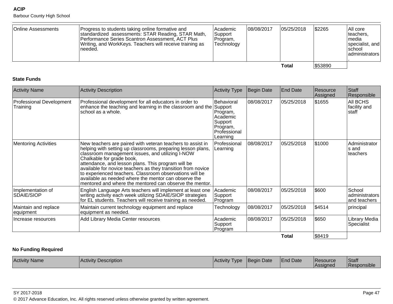Barbour County High School

| Online Assessments | Progress to students taking online formative and<br>standardized assessments: STAR Reading, STAR Math,<br>Performance Series Scantron Assessment, ACT Plus<br>Writing, and WorkKeys. Teachers will receive training as<br>needed. | Academic<br><b>Support</b><br>IProgram.<br>Technology | 108/08/2017 | 05/25/2018 | \$2265  | AAll core<br>teachers,<br>Imedia<br>specialist, and<br><b>Ischool</b><br>  administrators |
|--------------------|-----------------------------------------------------------------------------------------------------------------------------------------------------------------------------------------------------------------------------------|-------------------------------------------------------|-------------|------------|---------|-------------------------------------------------------------------------------------------|
|                    |                                                                                                                                                                                                                                   |                                                       |             | Total      | \$53890 |                                                                                           |

#### **State Funds**

| <b>Activity Name</b>                 | <b>Activity Description</b>                                                                                                                                                                                                                                                                                                                                                                                                                                                                                    | Activity Type                                                                         | <b>Begin Date</b> | <b>End Date</b> | Resource<br>Assigned | Staff<br>Responsible                     |
|--------------------------------------|----------------------------------------------------------------------------------------------------------------------------------------------------------------------------------------------------------------------------------------------------------------------------------------------------------------------------------------------------------------------------------------------------------------------------------------------------------------------------------------------------------------|---------------------------------------------------------------------------------------|-------------------|-----------------|----------------------|------------------------------------------|
| Professional Development<br>Training | Professional development for all educators in order to<br>enhance the teaching and learning in the classroom and the Support<br>school as a whole.                                                                                                                                                                                                                                                                                                                                                             | Behavioral<br>Program,<br>Academic<br>Support<br>Program,<br>Professional<br>Learning | 08/08/2017        | 05/25/2018      | \$1655               | AII BCHS<br>facility and<br>staff        |
| <b>Mentoring Activities</b>          | New teachers are paired with veteran teachers to assist in<br>helping with setting up classrooms, preparing lesson plans,<br>classroom management issues, and utilizing I-NOW<br>Chalkable for grade book,<br>attendance, and lesson plans. This program will be<br>available for novice teachers as they transition from novice<br>to experienced teachers. Classroom observations will be<br>available as needed where the mentor can observe the<br>mentored and where the mentored can observe the mentor. | Professional<br>Learning                                                              | 08/08/2017        | 05/25/2018      | \$1000               | Administrator<br>ls and<br>teachers      |
| Implementation of<br>SDAIE/SIOP      | English Language Arts teachers will implement at least one<br>writing activity each week utilizing SDAIE/SIOP strategies<br>for EL students. Teachers will receive training as needed.                                                                                                                                                                                                                                                                                                                         | Academic<br>Support<br>Program                                                        | 08/08/2017        | 05/25/2018      | \$600                | School<br>administrators<br>and teachers |
| Maintain and replace<br>equipment    | Maintain current technology equipment and replace<br>equipment as needed.                                                                                                                                                                                                                                                                                                                                                                                                                                      | Technology                                                                            | 08/08/2017        | 05/25/2018      | \$4514               | principal                                |
| Increase resources                   | Add Library Media Center resources                                                                                                                                                                                                                                                                                                                                                                                                                                                                             | l Academic<br>Support<br>Program                                                      | 08/08/2017        | 05/25/2018      | \$650                | Library Media<br>Specialist              |
|                                      |                                                                                                                                                                                                                                                                                                                                                                                                                                                                                                                |                                                                                       |                   | <b>Total</b>    | \$8419               |                                          |

## **No Funding Required**

| Activity<br>Description<br><b>Name</b><br>l Activity | Activity<br>l VDE | Date<br>Beai | <sup>1</sup> Date<br>−<br>−nd | <b>IResource</b><br><b>Assigned</b> | Staff<br>$\sim$ |
|------------------------------------------------------|-------------------|--------------|-------------------------------|-------------------------------------|-----------------|
|------------------------------------------------------|-------------------|--------------|-------------------------------|-------------------------------------|-----------------|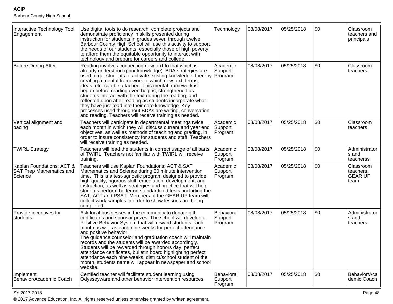Barbour County High School

| Interactive Technology Tool<br>Engagement                        | Use digital tools to do research, complete projects and<br>demonstrate proficiency in skills presented during<br>instruction for students in grades seven through twelve.<br>Barbour County High School will use this activity to support<br>the needs of our students, especially those of high poverty,<br>to afford them the equitable opportunity to interact with<br>technology and prepare for careers and college.                                                                                                                                                                                                                                              | Technology                       | 08/08/2017 | 05/25/2018 | \$0 | Classroom<br>teachers and<br>principals          |
|------------------------------------------------------------------|------------------------------------------------------------------------------------------------------------------------------------------------------------------------------------------------------------------------------------------------------------------------------------------------------------------------------------------------------------------------------------------------------------------------------------------------------------------------------------------------------------------------------------------------------------------------------------------------------------------------------------------------------------------------|----------------------------------|------------|------------|-----|--------------------------------------------------|
| <b>Before During After</b>                                       | Reading involves connecting new text to that which is<br>already understood (prior knowledge). BDA strategies are<br>used to get students to activate existing knowledge, thereby   Program<br>creating a mental framework to which new text, terms,<br>ideas, etc. can be attached. This mental framework is<br>begun before reading even begins, strengthened as<br>students interact with the text during the reading, and<br>reflected upon after reading as students incorporate what<br>they have just read into their core knowledge. Key<br>processes used throughout BDAs are writing, conversation<br>and reading. Teachers will receive training as needed. | Academic<br>Support              | 08/08/2017 | 05/25/2018 | \$0 | Classroom<br>teachers                            |
| Vertical alignment and<br>pacing                                 | Teachers will participate in departmental meetings twice<br>each month in which they will discuss current and year end<br>objectives, as well as methods of teaching and grading, in<br>order to insure consistency for students and staff. Teachers<br>will receive training as needed.                                                                                                                                                                                                                                                                                                                                                                               | Academic<br>Support<br>Program   | 08/08/2017 | 05/25/2018 | \$0 | Classroom<br>teachers                            |
| <b>TWIRL Strategy</b>                                            | Teachers will lead the students in correct usage of all parts<br>of TWIRL. Teachers not familiar with TWIRL will receive<br>training.                                                                                                                                                                                                                                                                                                                                                                                                                                                                                                                                  | Academic<br>Support<br>Program   | 08/08/2017 | 05/25/2018 | \$0 | Administrator<br>s and<br>teacherss              |
| Kaplan Foundations: ACT &<br>SAT Prep Mathematics and<br>Science | Teachers will use Kaplan Foundations: ACT & SAT<br>Mathematics and Science during 30 minute intervention<br>time. This is a test-agnostic program designed to provide<br>high-quality, rigorous skill remediation, development, and<br>instruction, as well as strategies and practice that will help<br>students perform better on standardized tests, including the<br>SAT, ACT and PSAT. Members of the GEAR UP team will<br>collect work samples in order to show lessons are being<br>completed                                                                                                                                                                   | Academic<br>Support<br>Program   | 08/08/2017 | 05/25/2018 | \$0 | Classroom<br>teachers,<br><b>GEAR UP</b><br>team |
| Provide incentives for<br>students                               | Ask local businesses in the community to donate gift<br>certificates and sponsor prizes. The school will develop a<br>Positive Behavior System that will reward students each<br>month as well as each nine weeks for perfect attendance<br>and positive behavior.<br>The guidance counselor and graduation coach will maintain<br>records and the students will be awarded accordingly.<br>Students will be rewarded through honors day, perfect<br>attendance certificates, bulletin board highlighting perfect<br>attendance each nine weeks, district/school student of the<br>month, students name will appear in newspaper and school<br>website.                | Behavioral<br>Support<br>Program | 08/08/2017 | 05/25/2018 | \$0 | Administrator<br>s and<br>teachers               |
| Implement<br>Behavior/Academic Coach                             | Certified teacher will facilitate student learning using<br>Odysseyware and other behavior intervention resources.                                                                                                                                                                                                                                                                                                                                                                                                                                                                                                                                                     | Behavioral<br>Support<br>Program | 08/08/2017 | 05/25/2018 | \$0 | Behavior/Aca<br>demic Coach                      |

en and the set of the set of the set of the set of the set of the set of the set of the set of the set of the set of the set of the set of the set of the set of the set of the set of the set of the set of the set of the se © 2017 Advance Education, Inc. All rights reserved unless otherwise granted by written agreement.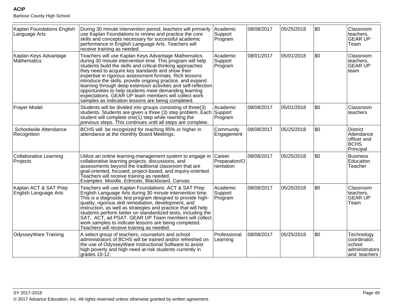| Kaplan Foundations English<br>Language Arts    | During 30 minute intervention period, teachers will primarily<br>use Kaplan Foundations to review and practice the core<br>skills and concepts necessary for successful academic<br>performance in English Language Arts. Teachers will<br>receive training as needed.                                                                                                                                                                                                                                                                                                                                 | Academic<br>Support<br>Program        | 08/08/2017 | 05/25/2018 | l\$0 | Classroom<br>teachers.<br><b>GEAR UP</b><br>Team                        |
|------------------------------------------------|--------------------------------------------------------------------------------------------------------------------------------------------------------------------------------------------------------------------------------------------------------------------------------------------------------------------------------------------------------------------------------------------------------------------------------------------------------------------------------------------------------------------------------------------------------------------------------------------------------|---------------------------------------|------------|------------|------|-------------------------------------------------------------------------|
| Kaplan Keys Advantage<br>Mathematics           | Teachers will use Kaplan Keys Advantage Mathematics<br>during 30 minute intervention time. This program will help<br>students build the skills and critical-thinking approaches<br>they need to acquire key standards and show their<br>expertise in rigorous assessment formats. Rich lessons<br>introduce the skills, provide ongoing practice, and expand<br>learning through deep extension activities and self-reflection<br>opportunities to help students meet demanding learning<br>expectations. GEAR UP team members will collect work<br>samples as indication lessons are being completed. | Academic<br>Support<br>Program        | 08/01/2017 | 05/01/2018 | l\$0 | Classroom<br>teachers,<br><b>GEAR UP</b><br>∣team                       |
| <b>Frayer Model</b>                            | Students will be divided into groups consisting of three(3)<br>students. Students are given a three (3) step problem. Each Support<br>student will complete one(1) step while rewriting the<br>previous steps. This continues until all steps are complete.                                                                                                                                                                                                                                                                                                                                            | Academic<br>Program                   | 08/08/2017 | 05/01/2018 | \$0  | Classroom<br> teachers                                                  |
| Schoolwide Attendance<br>Recognition           | BCHS will be recognized for reaching 95% or higher in<br>attendance at the monthly Board Meetings.                                                                                                                                                                                                                                                                                                                                                                                                                                                                                                     | Community<br>Engagement               | 08/08/2017 | 05/25/2018 | \$0  | <b>District</b><br>Attendance<br>officer and<br> BCHS<br>Principal      |
| <b>Collaborative Learning</b><br>Projects      | Utilize an online learning-management system to engage in<br>collaborative learning projects, discussions, and<br>assessments beyond the traditional classroom that are<br>goal-oriented, focused, project-based, and inquiry-oriented.<br>Teachers will receive training as needed.<br>Examples: Moodle, Edmodo, Blackboard, Canvas                                                                                                                                                                                                                                                                   | Career<br>Preparation/O<br>rientation | 08/08/2017 | 05/25/2018 | \$0  | Business<br>Educaiton<br>Teacher                                        |
| Kaplan ACT & SAT Prep<br>English Language Arts | Teachers will use Kaplan Foundations: ACT & SAT Prep<br>English Language Arts during 30 minute intervention time.<br>This is a diagnostic test program designed to provide high-<br>quality, rigorous skill remediation, development, and<br>instruction, as well as strategies and practice that will help<br>students perform better on standardized tests, including the<br>SAT, ACT, ad PSAT. GEAR UP Team members will collect<br>work samples to indicate lessons are being completed.<br>Teachers will receive training as needed.                                                              | Academic<br>Support<br>Program        | 08/08/2017 | 05/25/2018 | \$0  | Classroom<br>teachers,<br><b>GEAR UP</b><br>Team                        |
| <b>OdysseyWare Training</b>                    | A select group of teachers, counselors and school<br>administrators of BCHS will be trained and/or refreshed on<br>the use of OdysseyWare Instructional Software to assist<br>high poverty and high need at-risk students currently in<br>grades 10-12.                                                                                                                                                                                                                                                                                                                                                | Professional<br>Learning              | 08/08/2017 | 05/25/2018 | \$0  | Technology<br>coordinator,<br> school<br>administrators<br>and teachers |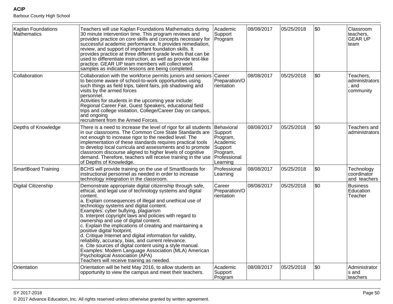| Kaplan Foundations<br>Mathematics | Teachers will use Kaplan Foundations Mathematics during<br>30 minute intervention time. This program reviews and<br>provides practice on core skills and concepts necessary for<br>successful academic performance. It provides remediation,<br>review, and support of important foundation skills. It<br>provides practice at three different grade levels that can be<br>used to differentiate instruction, as well as provide test-like<br>practice. GEAR UP team members will collect work<br>samples as indication lessons are being completed.                                                                                                                                                                                                                                                     | Academic<br>Support<br>Program                                                                   | 08/08/2017 | 05/25/2018 | \$0 | Classroom<br>teachers,<br><b>GEAR UP</b><br>team |
|-----------------------------------|----------------------------------------------------------------------------------------------------------------------------------------------------------------------------------------------------------------------------------------------------------------------------------------------------------------------------------------------------------------------------------------------------------------------------------------------------------------------------------------------------------------------------------------------------------------------------------------------------------------------------------------------------------------------------------------------------------------------------------------------------------------------------------------------------------|--------------------------------------------------------------------------------------------------|------------|------------|-----|--------------------------------------------------|
| Collaboration                     | Collaboration with the workforce permits juniors and seniors Career<br>to become aware of school-to-work opportunities using<br>such things as field trips, talent fairs, job shadowing and<br>visits by the armed forces<br>personnel.<br>Activities for students in the upcoming year include:<br>Regional Career Fair, Guest Speakers, educational field<br>trips and college visitation, College/Career Day on campus,<br>and ongoing<br>recruitment from the Armed Forces.                                                                                                                                                                                                                                                                                                                          | Preparation/O<br>rientation                                                                      | 08/08/2017 | 05/25/2018 | \$0 | Teachers,<br>administrators<br>and<br>community  |
| Depths of Knowledge               | There is a need to increase the level of rigor for all students<br>in our classrooms. The Common Core State Standards are<br>not enough to increase rigor to the needed level. The<br>implementation of these standards requires practical tools<br>to develop local curricula and assessments and to promote<br>classroom discourse aligned to higher levels of cognitive<br>demand. Therefore, teachers will receive training in the use<br>of Depths of Knowledge.                                                                                                                                                                                                                                                                                                                                    | Behavioral<br>Support<br>Program,<br>Academic<br>Support<br>Program,<br>Professional<br>Learning | 08/08/2017 | 05/25/2018 | \$0 | Teachers and<br>administrators                   |
| <b>SmartBoard Training</b>        | BCHS will provide training on the use of SmartBoards for<br>instructional personnel as needed in order to increase<br>technology integration in the classroom.                                                                                                                                                                                                                                                                                                                                                                                                                                                                                                                                                                                                                                           | Professional<br>Learning                                                                         | 08/08/2017 | 05/25/2018 | \$0 | Technology<br>coordinator<br>and teachers        |
| <b>Digital Citizenship</b>        | Demonstrate appropriate digital citizenship through safe,<br>ethical, and legal use of technology systems and digital<br>content.<br>a. Explain consequences of illegal and unethical use of<br>technology systems and digital content.<br>Examples: cyber bullying, plagiarism<br>b. Interpret copyright laws and policies with regard to<br>ownership and use of digital content.<br>c. Explain the implications of creating and maintaining a<br>positive digital footprint.<br>d. Critique Internet and digital information for validity,<br>reliability, accuracy, bias, and current relevance.<br>e. Cite sources of digital content using a style manual.<br>Examples: Modern Language Association (MLA) American<br>Psychological Association (APA)<br>Teachers will receive training as needed. | Career<br>Preparation/O<br>rientation                                                            | 08/08/2017 | 05/25/2018 | \$0 | <b>Business</b><br>Education<br>Teacher          |
| Orientation                       | Orientation will be held May 2016, to allow students an<br>opportunity to view the campus and meet their teachers.                                                                                                                                                                                                                                                                                                                                                                                                                                                                                                                                                                                                                                                                                       | Academic<br>Support<br>Program                                                                   | 08/08/2017 | 05/25/2018 | \$0 | Administrator<br>s and<br>teachers               |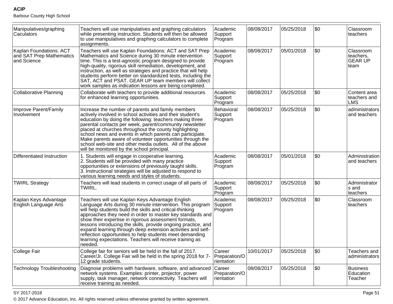Barbour County High School

| Manipulatives/graphing<br>Caculators                               | Teachers will use manipulatives and graphing calculators<br>while presenting instruction. Students will then be allowed<br>to use manipulatives and graphing calculators to complete<br>assignments.                                                                                                                                                                                                                                                                                                                                                              | Academic<br>Support<br>Program        | 08/08/2017 | 05/25/2018 | \$0        | Classroom<br>teachers                            |
|--------------------------------------------------------------------|-------------------------------------------------------------------------------------------------------------------------------------------------------------------------------------------------------------------------------------------------------------------------------------------------------------------------------------------------------------------------------------------------------------------------------------------------------------------------------------------------------------------------------------------------------------------|---------------------------------------|------------|------------|------------|--------------------------------------------------|
| Kaplan Foundations: ACT<br>and SAT Prep Mathematics<br>and Science | Teachers will use Kaplan Foundations: ACT and SAT Prep<br>Mathematics and Science during 30 minute intervention<br>time. This is a test-agnostic program designed to provide<br>high-quality, rigorous skill remediation, development, and<br>instruction, as well as strategies and practice that will help<br>students perform better on standardized tests, including the<br>SAT, ACT and PSAT. GEAR UP team members will collect<br>work samples as indication lessons are being completed.                                                                   | <b>Academic</b><br>Support<br>Program | 08/08/2017 | 05/01/2018 | \$0        | Classroom<br>teachers,<br><b>GEAR UP</b><br>team |
| <b>Collaborative Planning</b>                                      | Collaborate with teachers to provide additional resources<br>for enhanced learning opportunities.                                                                                                                                                                                                                                                                                                                                                                                                                                                                 | Academic<br>Support<br>Program        | 08/08/2017 | 05/25/2018 | \$0        | Content area<br>teachers and<br><b>LMS</b>       |
| Improve Parent/Family<br>Involvement                               | Increase the number of parents and family members<br>actively involved in school activities and their student's<br>education by doing the following: teachers making three<br>parental contacts per week, parent/community newsletter<br>placed at churches throughout the county highlighting<br>school news and events in which parents can participate.<br>Make parents aware of volunteer opportunities through the<br>school web-site and other media outlets. All of the above<br>will be monitored by the school principal.                                | Behavioral<br>Support<br>Program      | 08/08/2017 | 05/25/2018 | <b>\$0</b> | administrators<br>and teachers                   |
| Differentiated Instruction                                         | 1. Students will engage in cooperative learning.<br>2. Students will be provided with many practice<br>opportunities or extensions of previously taught skills.<br>3. Instructional strategies will be adjusted to respond to<br>various learning needs and styles of students.                                                                                                                                                                                                                                                                                   | Academic<br>Support<br>Program        | 08/08/2017 | 05/01/2018 | \$0        | Administration<br>and teachers                   |
| <b>TWIRL Strategy</b>                                              | Teachers will lead students in correct usage of all parts of<br>TWIRL.                                                                                                                                                                                                                                                                                                                                                                                                                                                                                            | Academic<br>Support<br>Program        | 08/08/2017 | 05/25/2018 | \$0        | Administrator<br>s and<br>teachers               |
| Kaplan Keys Advantage<br>English Language Arts                     | Teachers will use Kaplan Keys Advantage English<br>Language Arts during 30 minute intervention. This program<br>will help students build the skills and critical-thinking<br>approaches they need in order to master key standards and<br>show their expertise in rigorous assessment formats,<br>lessons introducing the skills, provide ongoing practice, and<br>expand learning through deep extension activities and self-<br>reflection opportunities to help students meet demanding<br>learning expectations. Teachers will receive training as<br>needed. | Academic<br>Support<br>Program        | 08/08/2017 | 05/25/2018 | <b>\$0</b> | Classroom<br>teachers                            |
| College Fair                                                       | College fair for seniors will be held in the fall of 2017.<br>Career/Jr. College Fair will be held in the spring 2018 for 7-<br>12 grade students.                                                                                                                                                                                                                                                                                                                                                                                                                | Career<br>Preparation/O<br>rientation | 10/01/2017 | 05/25/2018 | \$0        | Teachers and<br>administrators                   |
| <b>Technology Troubleshooting</b>                                  | Diagnose problems with hardware, software, and advanced Career<br>network systems. Examples: printer, projector, power<br>supply, task manager, network connectivity. Teachers will<br>receive training as needed.                                                                                                                                                                                                                                                                                                                                                | Preparation/O<br>rientation           | 08/08/2017 | 05/25/2018 | \$0        | <b>Business</b><br>Education<br>Teacher          |

en and the set of the set of the set of the set of the set of the set of the set of the set of the set of the set of the set of the set of the set of the set of the set of the set of the set of the set of the set of the se © 2017 Advance Education, Inc. All rights reserved unless otherwise granted by written agreement.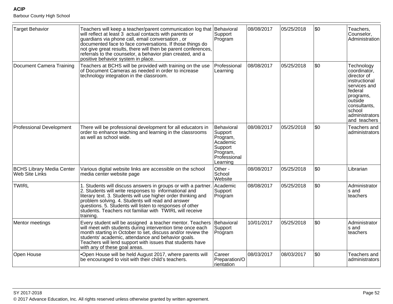| <b>Target Behavior</b>                             | Teachers will keep a teacher/parent communication log that Behavioral<br>will reflect at least 3 actual contacts with parents or<br>guardians via phone call, email conversation, or<br>documented face to face conversations. If those things do<br>not give great results, there will then be parent conferences,<br>referrals to the counselor, a behavior plan created, and a<br>positive behavior system in place. | Support<br>Program                                                                               | 08/08/2017 | 05/25/2018 | \$0   | Teachers,<br>Counselor,<br>Administration                                                                                                                                   |
|----------------------------------------------------|-------------------------------------------------------------------------------------------------------------------------------------------------------------------------------------------------------------------------------------------------------------------------------------------------------------------------------------------------------------------------------------------------------------------------|--------------------------------------------------------------------------------------------------|------------|------------|-------|-----------------------------------------------------------------------------------------------------------------------------------------------------------------------------|
| Document Camera Training                           | Teachers at BCHS will be provided with training on the use<br>of Document Cameras as needed in order to increase<br>technology integration in the classroom.                                                                                                                                                                                                                                                            | Professional<br>Learning                                                                         | 08/08/2017 | 05/25/2018 | \$0   | Technology<br>coordinator,<br>director of<br>instructional<br>services and<br>federal<br>programs,<br>loutside<br>consultants,<br> school<br>administrators<br>and teachers |
| <b>Professional Development</b>                    | There will be professional development for all educators in<br>order to enhance teaching and learning in the classrooms<br>as well as school wide.                                                                                                                                                                                                                                                                      | Behavioral<br>Support<br>Program,<br>Academic<br>Support<br>Program,<br>Professional<br>Learning | 08/08/2017 | 05/25/2018 | \$0   | Teachers and<br>administrators                                                                                                                                              |
| <b>BCHS Library Media Center</b><br>Web Site Links | Various digital website links are accessible on the school<br>media center website page                                                                                                                                                                                                                                                                                                                                 | Other -<br>School<br>Website                                                                     | 08/08/2017 | 05/25/2018 | l\$0  | Librarian                                                                                                                                                                   |
| TWIRL                                              | 1. Students will discuss answers in groups or with a partner.<br>2. Students will write responses to informational and<br>literary text. 3. Students will use higher order thinking and<br>problem solving. 4. Students will read and answer<br>questions. 5. Students will listen to responses of other<br>students. Teachers not familiar with TWIRL will receive<br>training.                                        | Academic<br>Support<br>Program                                                                   | 08/08/2017 | 05/25/2018 | l\$0. | Administrator<br>ls and<br>lteachers                                                                                                                                        |
| Mentor meetings                                    | Every student will be assigned a teacher mentor. Teachers<br>will meet with students during intervention time once each<br>month starting in October to set, discuss and/or review the<br>students' academic, attendance and behavior goals.<br>Teachers will lend support with issues that students have<br>with any of these goal areas.                                                                              | Behavioral<br>Support<br>Program                                                                 | 10/01/2017 | 05/25/2018 | \$0   | Administrator<br>ls and<br> teachers                                                                                                                                        |
| Open House                                         | .Open House will be held August 2017, where parents will<br>be encouraged to visit with their child's teachers.                                                                                                                                                                                                                                                                                                         | Career<br>Preparation/O<br>rientation                                                            | 08/03/2017 | 08/03/2017 | l\$0  | Teachers and<br>administrators                                                                                                                                              |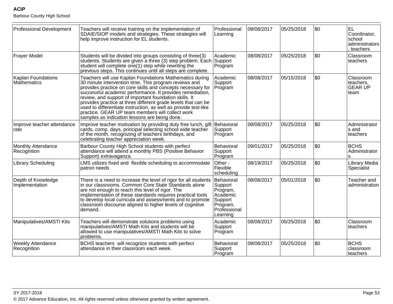| <b>Professional Development</b>          | Teachers will receive training on the implementation of<br>SDAIE/SIOP models and strategies. These strategies will<br>help improve instruction for EL students.                                                                                                                                                                                                                                                                                                                                                                                 | Professional<br>Learning                                                                         | 08/08/2017 | 05/25/2018 | l\$0 | lel.<br>Coordinator,<br> school<br>administrators<br>teachers |
|------------------------------------------|-------------------------------------------------------------------------------------------------------------------------------------------------------------------------------------------------------------------------------------------------------------------------------------------------------------------------------------------------------------------------------------------------------------------------------------------------------------------------------------------------------------------------------------------------|--------------------------------------------------------------------------------------------------|------------|------------|------|---------------------------------------------------------------|
| Frayer Model                             | Students will be divided into groups consisting of three(3)<br>students. Students are given a three (3) step problem. Each Support<br>student will complete one(1) step while rewriting the<br>previous steps. This continues until all steps are complete.                                                                                                                                                                                                                                                                                     | Academic<br>Program                                                                              | 08/08/2017 | 05/25/2018 | \$0  | Classroom<br>teachers                                         |
| Kaplan Foundations<br>Mathematics        | Teachers will use Kaplan Foundations Mathematics during<br>30 minute intervention time. This program reviews and<br>provides practice on core skills and concepts necessary for<br>successful academic performance. It provides remediation,<br>review, and support of important foundation skills. It<br>provides practice at three different grade levels that can be<br>used to differentiate instruction, as well as provide test-like<br>practice. GEAR UP team members will collect work<br>samples as indication lessons are being done. | Academic<br>Support<br>Program                                                                   | 08/08/2017 | 05/15/2018 | \$0  | Classroom<br>teachers,<br><b>GEAR UP</b><br>∣team             |
| Improve teacher attendance<br>rate       | Improve teacher motivation by providing duty free lunch, gift Behavioral<br>cards, comp. days, principal selecting school wide teacher<br>of the month, recognizing of teachers birthdays, and<br>celebrating teacher appreciation week.                                                                                                                                                                                                                                                                                                        | Support<br>Program                                                                               | 08/08/2017 | 05/25/2018 | \$0  | Administrator<br>ls and<br>teachers                           |
| <b>Monthly Attendance</b><br>Recognition | Barbour County High School students with perfect<br>attendance will attend a monthly PBS (Positive Behavior<br>Support) extravaganza.                                                                                                                                                                                                                                                                                                                                                                                                           | Behavioral<br>Support<br>Program                                                                 | 09/01/2017 | 05/25/2018 | l\$0 | <b>BCHS</b><br>Administrator<br>l S                           |
| <b>Library Scheduling</b>                | LMS utilizes fixed and flexible scheduling to accommodate<br>patron needs                                                                                                                                                                                                                                                                                                                                                                                                                                                                       | Other -<br>Flexible<br>scheduling                                                                | 08/19/2017 | 05/25/2018 | \$0  | Library Media<br>Specialist                                   |
| Depth of Knowledge<br>Implementation     | There is a need to increase the level of rigor for all students<br>in our classrooms. Common Core State Standards alone<br>are not enough to reach this level of rigor. The<br>implementation of these standards requires practical tools<br>to develop local curricula and assessments and to promote<br>classroom discourse aligned to higher levels of cognitive<br>demand.                                                                                                                                                                  | Behavioral<br>Support<br>Program,<br>Academic<br>Support<br>Program,<br>Professional<br>Learning | 08/08/2017 | 05/01/2018 | \$0  | Teacher and<br>administration                                 |
| Manipulatives/AMSTI Kits                 | Teachers will demonstrate solutions problems using<br>manipulatives/AMSTI Math Kits and students will be<br>allowed to use manipulatives/AMSTI Math Kits to solve<br>problems.                                                                                                                                                                                                                                                                                                                                                                  | Academic<br>Support<br>Program                                                                   | 08/08/2017 | 05/25/2018 | \$0  | Classroom<br>teachers                                         |
| <b>Weekly Attendance</b><br>Recognition  | BCHS teachers will recognize students with perfect<br>attendance in their classroom each week.                                                                                                                                                                                                                                                                                                                                                                                                                                                  | Behavioral<br>Support<br>Program                                                                 | 08/08/2017 | 05/25/2018 | \$0  | BCHS<br>lclassroom<br>teachers                                |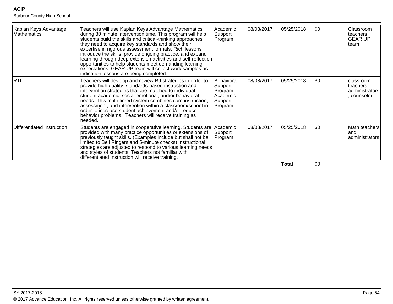| Kaplan Keys Advantage<br><b>Mathematics</b> | Teachers will use Kaplan Keys Advantage Mathematics<br>during 30 minute intervention time. This program will help<br>students build the skills and critical-thinking approaches<br>they need to acquire key standards and show their<br>expertise in rigorous assessment formats. Rich lessons<br>introduce the skills, provide ongoing practice, and expand<br>learning through deep extension activities and self-reflection<br>opportunities to help students meet demanding learning<br>expectations. GEAR UP team will collect work samples as<br>indication lessons are being completed. | Academic<br>Support<br>Program                                      | 08/08/2017 | 05/25/2018 | \$0        | Classroom<br>teachers,<br><b>GEAR UP</b><br>lteam      |
|---------------------------------------------|------------------------------------------------------------------------------------------------------------------------------------------------------------------------------------------------------------------------------------------------------------------------------------------------------------------------------------------------------------------------------------------------------------------------------------------------------------------------------------------------------------------------------------------------------------------------------------------------|---------------------------------------------------------------------|------------|------------|------------|--------------------------------------------------------|
| <b>RTI</b>                                  | Teachers will develop and review RtI strategies in order to<br>provide high quality, standards-based instruction and<br>intervention strategies that are matched to individual<br>student academic, social-emotional, and/or behavioral<br>needs. This multi-tiered system combines core instruction,<br>assessment, and intervention within a classroom/school in<br>order to increase student achievement and/or reduce<br>behavior problems. Teachers will receive training as<br>needed.                                                                                                   | Behavioral<br>Support<br>Program,<br>Academic<br>Support<br>Program | 08/08/2017 | 05/25/2018 | \$0        | lclassroom<br>teachers,<br>administrators<br>counselor |
| Differentiated Instruction                  | Students are engaged in cooperative learning. Students are Academic<br>provided with many practice opportunities or extensions of<br>previously taught skills. (Examples include but shall not be<br>limited to Bell Ringers and 5-minute checks) Instructional<br>strategies are adjusted to respond to various learning needs<br>and styles of students. Teachers not familiar with<br>differentiated Instruction will receive training.                                                                                                                                                     | Support<br>Program                                                  | 08/08/2017 | 05/25/2018 | \$0        | Math teachers<br>landl<br>ladministrators              |
|                                             |                                                                                                                                                                                                                                                                                                                                                                                                                                                                                                                                                                                                |                                                                     |            | Total      | <b>\$0</b> |                                                        |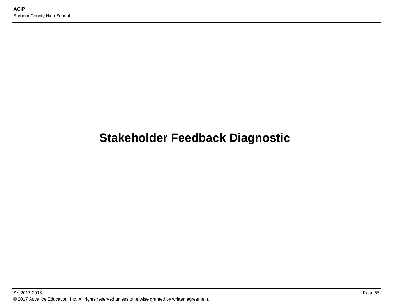# **Stakeholder Feedback Diagnostic**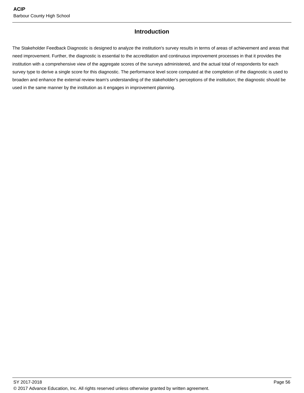## **Introduction**

The Stakeholder Feedback Diagnostic is designed to analyze the institution's survey results in terms of areas of achievement and areas that need improvement. Further, the diagnostic is essential to the accreditation and continuous improvement processes in that it provides the institution with a comprehensive view of the aggregate scores of the surveys administered, and the actual total of respondents for each survey type to derive a single score for this diagnostic. The performance level score computed at the completion of the diagnostic is used to broaden and enhance the external review team's understanding of the stakeholder's perceptions of the institution; the diagnostic should be used in the same manner by the institution as it engages in improvement planning.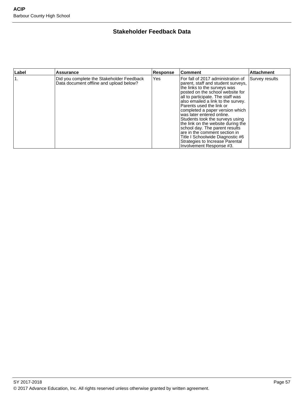# **Stakeholder Feedback Data**

| Label | <b>Assurance</b>                                                                     | <b>Response</b> | <b>Comment</b>                                                                                                                                                                                                                                                                                                                                                                                                                                                                                                                                                      | <b>Attachment</b> |
|-------|--------------------------------------------------------------------------------------|-----------------|---------------------------------------------------------------------------------------------------------------------------------------------------------------------------------------------------------------------------------------------------------------------------------------------------------------------------------------------------------------------------------------------------------------------------------------------------------------------------------------------------------------------------------------------------------------------|-------------------|
|       | Did you complete the Stakeholder Feedback<br>Data document offline and upload below? | Yes             | For fall of 2017 administration of<br>parent, staff and student surveys,<br>the links to the surveys was<br>posted on the school website for<br>all to participate. The staff was<br>also emailed a link to the survey.<br>Parents used the link or<br>completed a paper version which<br>was later entered online.<br>Students took the surveys using<br>the link on the website during the<br>school day. The parent results<br>lare in the comment section in<br>Title I Schoolwide Diagnostic #6<br>Strategies to Increase Parental<br>Involvement Response #3. | Survey results    |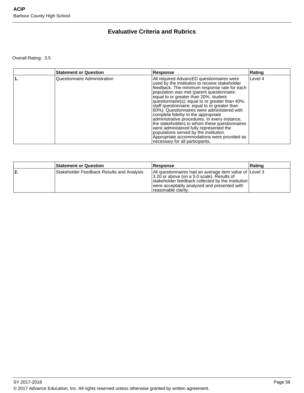# **Evaluative Criteria and Rubrics**

Overall Rating: 3.5

| <b>Statement or Question</b> | Response                                                                                                                                                                                                                                                                                                                                                                                                                                                                                                                                                                                                                                                                                              | Rating  |
|------------------------------|-------------------------------------------------------------------------------------------------------------------------------------------------------------------------------------------------------------------------------------------------------------------------------------------------------------------------------------------------------------------------------------------------------------------------------------------------------------------------------------------------------------------------------------------------------------------------------------------------------------------------------------------------------------------------------------------------------|---------|
| Questionnaire Administration | All required AdvancED questionnaires were<br>used by the institution to receive stakeholder<br>feedback. The minimum response rate for each<br>population was met (parent questionnaire:<br>equal to or greater than 20%, student<br>questionnaire(s): equal to or greater than 40%,<br>staff questionnaire: equal to or greater than<br>60%). Questionnaires were administered with<br>complete fidelity to the appropriate<br>administrative procedures. In every instance,<br>the stakeholders to whom these questionnaires<br>were administered fully represented the<br>populations served by the institution.<br>Appropriate accommodations were provided as<br>necessary for all participants. | Level 4 |

|     | <b>Statement or Question</b>              | <b>Response</b>                                                                                                                                                                                                                   | ∣Ratinɑ |
|-----|-------------------------------------------|-----------------------------------------------------------------------------------------------------------------------------------------------------------------------------------------------------------------------------------|---------|
| 12. | Stakeholder Feedback Results and Analysis | All questionnaires had an average item value of Level 3<br>3.20 or above (on a 5.0 scale). Results of<br>stakeholder feedback collected by the institution<br>were acceptably analyzed and presented with<br>Treasonable clarity. |         |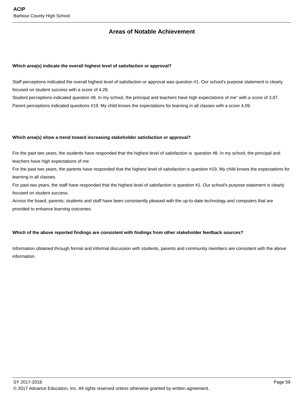## **Areas of Notable Achievement**

#### **Which area(s) indicate the overall highest level of satisfaction or approval?**

Staff perceptions indicated the overall highest level of satisfaction or approval was question #1. Our school's purpose statement is clearly focused on student success with a score of 4.28.

Student perceptions indicated question #8. In my school, the principal and teachers have high expectations of me" with a score of 3.87. Parent perceptions indicated questions #19. My child knows the expectations for learning in all classes with a score 4.09.

#### **Which area(s) show a trend toward increasing stakeholder satisfaction or approval?**

For the past two years, the students have responded that the highest level of satisfaction is question #8. In my school, the principal and teachers have high expectations of me.

For the past two years, the parents have responded that the highest level of satisfaction is question #19. My child knows the expectations for learning in all classes.

For past two years, the staff have responded that the highest level of satisfaction is question #1. Our school's purpose statement is clearly focused on student success.

Across the board, parents, students and staff have been consistently pleased with the up-to-date technology and computers that are provided to enhance learning outcomes.

## **Which of the above reported findings are consistent with findings from other stakeholder feedback sources?**

Information obtained through formal and informal discussion with students, parents and community members are consistent with the above information.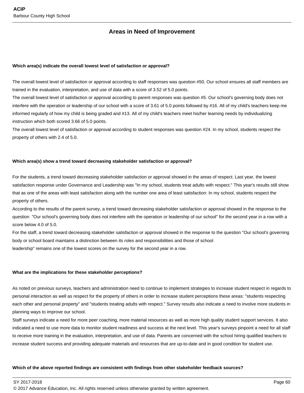## **Areas in Need of Improvement**

#### **Which area(s) indicate the overall lowest level of satisfaction or approval?**

The overall lowest level of satisfaction or approval according to staff responses was question #50. Our school ensures all staff members are trained in the evaluation, interpretation, and use of data with a score of 3.52 of 5.0 points.

The overall lowest level of satisfaction or approval according to parent responses was question #5. Our school's governing body does not interfere with the operation or leadership of our school with a score of 3.61 of 5.0 points followed by #16. All of my child's teachers keep me informed regularly of how my child is being graded and #13. All of my child's teachers meet his/her learning needs by individualizing instruction which both scored 3.66 of 5.0 points.

The overall lowest level of satisfaction or approval according to student responses was question #24. In my school, students respect the property of others with 2.4 of 5.0.

#### **Which area(s) show a trend toward decreasing stakeholder satisfaction or approval?**

For the students, a trend toward decreasing stakeholder satisfaction or approval showed in the areas of respect. Last year, the lowest satisfaction response under Governance and Leadership was "In my school, students treat adults with respect." This year's results still show that as one of the areas with least satisfaction along with the number one area of least satisfaction: In my school, students respect the property of others.

According to the results of the parent survey, a trend toward decreasing stakeholder satisfaction or approval showed in the response to the question "Our school's governing body does not interfere with the operation or leadership of our school" for the second year in a row with a score below 4.0 of 5.0.

For the staff, a trend toward decreasing stakeholder satisfaction or approval showed in the response to the question "Our school's governing body or school board maintains a distinction between its roles and responsibilities and those of school leadership" remains one of the lowest scores on the survey for the second year in a row.

#### **What are the implications for these stakeholder perceptions?**

As noted on previous surveys, teachers and administration need to continue to implement strategies to increase student respect in regards to personal interaction as well as respect for the property of others in order to increase student perceptions these areas: "students respecting each other and personal property" and "students treating adults with respect." Survey results also indicate a need to involve more students in planning ways to improve our school.

Staff surveys indicate a need for more peer coaching, more material resources as well as more high quality student support services. It also indicated a need to use more data to monitor student readiness and success at the next level. This year's surveys pinpoint a need for all staff to receive more training in the evaluation, interpretation, and use of data. Parents are concerned with the school hiring qualified teachers to increase student success and providing adequate materials and resources that are up-to-date and in good condition for student use.

#### **Which of the above reported findings are consistent with findings from other stakeholder feedback sources?**

SY 2017-2018 Page 60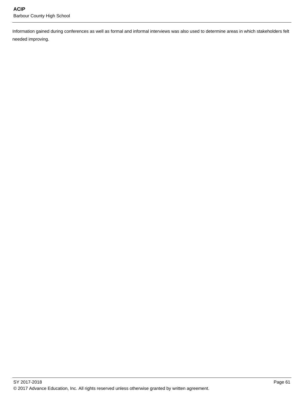Information gained during conferences as well as formal and informal interviews was also used to determine areas in which stakeholders felt needed improving.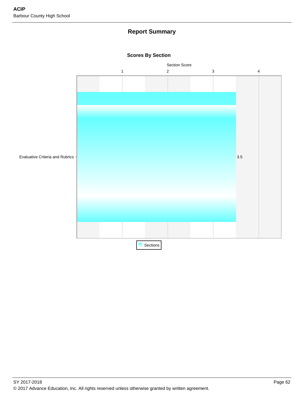# **Report Summary**



**Scores By Section**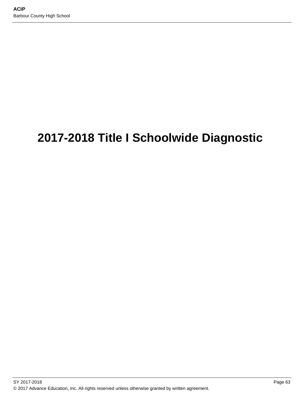# **2017-2018 Title I Schoolwide Diagnostic**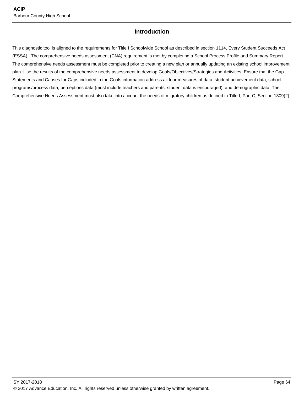# **Introduction**

This diagnostic tool is aligned to the requirements for Title I Schoolwide School as described in section 1114, Every Student Succeeds Act (ESSA). The comprehensive needs assessment (CNA) requirement is met by completing a School Process Profile and Summary Report. The comprehensive needs assessment must be completed prior to creating a new plan or annually updating an existing school improvement plan. Use the results of the comprehensive needs assessment to develop Goals/Objectives/Strategies and Activities. Ensure that the Gap Statements and Causes for Gaps included in the Goals information address all four measures of data: student achievement data, school programs/process data, perceptions data (must include teachers and parents; student data is encouraged), and demographic data. The Comprehensive Needs Assessment must also take into account the needs of migratory children as defined in Title I, Part C, Section 1309(2).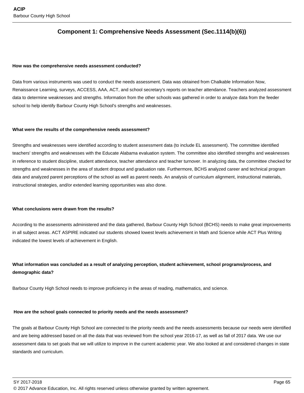# **Component 1: Comprehensive Needs Assessment (Sec.1114(b)(6))**

#### **How was the comprehensive needs assessment conducted?**

Data from various instruments was used to conduct the needs assessment. Data was obtained from Chalkable Information Now, Renaissance Learning, surveys, ACCESS, AAA, ACT, and school secretary's reports on teacher attendance. Teachers analyzed assessment data to determine weaknesses and strengths. Information from the other schools was gathered in order to analyze data from the feeder school to help identify Barbour County High School's strengths and weaknesses.

#### **What were the results of the comprehensive needs assessment?**

Strengths and weaknesses were identified according to student assessment data (to include EL assessment). The committee identified teachers' strengths and weaknesses with the Educate Alabama evaluation system. The committee also identified strengths and weaknesses in reference to student discipline, student attendance, teacher attendance and teacher turnover. In analyzing data, the committee checked for strengths and weaknesses in the area of student dropout and graduation rate. Furthermore, BCHS analyzed career and technical program data and analyzed parent perceptions of the school as well as parent needs. An analysis of curriculum alignment, instructional materials, instructional strategies, and/or extended learning opportunities was also done.

#### **What conclusions were drawn from the results?**

According to the assessments administered and the data gathered, Barbour County High School (BCHS) needs to make great improvements in all subject areas. ACT ASPIRE indicated our students showed lowest levels achievement in Math and Science while ACT Plus Writing indicated the lowest levels of achievement in English.

## **What information was concluded as a result of analyzing perception, student achievement, school programs/process, and demographic data?**

Barbour County High School needs to improve proficiency in the areas of reading, mathematics, and science.

#### **How are the school goals connected to priority needs and the needs assessment?**

The goals at Barbour County High School are connected to the priority needs and the needs assessments because our needs were identified and are being addressed based on all the data that was reviewed from the school year 2016-17, as well as fall of 2017 data. We use our assessment data to set goals that we will utilize to improve in the current academic year. We also looked at and considered changes in state standards and curriculum.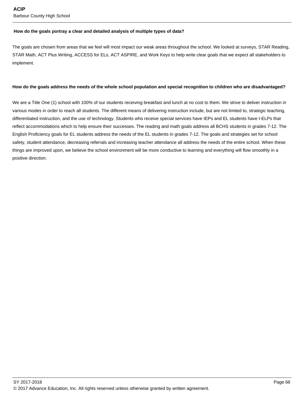#### **How do the goals portray a clear and detailed analysis of multiple types of data?**

The goals are chosen from areas that we feel will most impact our weak areas throughout the school. We looked at surveys, STAR Reading, STAR Math, ACT Plus Writing, ACCESS for ELs, ACT ASPIRE, and Work Keys to help write clear goals that we expect all stakeholders to implement.

#### **How do the goals address the needs of the whole school population and special recognition to children who are disadvantaged?**

We are a Title One (1) school with 100% of our students receiving breakfast and lunch at no cost to them. We strive to deliver instruction in various modes in order to reach all students. The different means of delivering instruction include, but are not limited to, strategic teaching, differentiated instruction, and the use of technology. Students who receive special services have IEPs and EL students have I-ELPs that reflect accommodations which to help ensure their successes. The reading and math goals address all BCHS students in grades 7-12. The English Proficiency goals for EL students address the needs of the EL students in grades 7-12. The goals and strategies set for school safety, student attendance, decreasing referrals and increasing teacher attendance all address the needs of the entire school. When these things are improved upon, we believe the school environment will be more conductive to learning and everything will flow smoothly in a positive direction.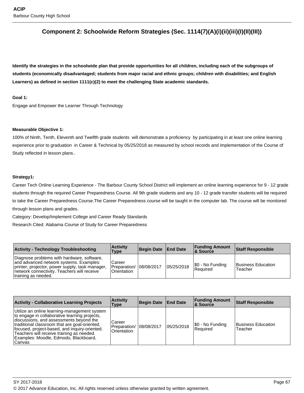# **Component 2: Schoolwide Reform Strategies (Sec. 1114(7)(A)(i)(ii)(iii)(I)(II)(III))**

**Identify the strategies in the schoolwide plan that provide opportunities for all children, including each of the subgroups of students (economically disadvantaged; students from major racial and ethnic groups; children with disabilities; and English Learners) as defined in section 1111(c)(2) to meet the challenging State academic standards.**

#### **Goal 1:**

Engage and Empower the Learner Through Technology

#### **Measurable Objective 1:**

100% of Ninth, Tenth, Eleventh and Twelfth grade students will demonstrate a proficiency by participating in at least one online learning experience prior to graduation in Career & Technical by 05/25/2018 as measured by school records and implementation of the Course of Study reflected in lesson plans..

#### **Strategy1:**

Career Tech Online Learning Experience - The Barbour County School District will implement an online learning experience for 9 - 12 grade students through the required Career Preparedness Course. All 9th grade students and any 10 - 12 grade transfer students will be required to take the Career Preparedness Course.The Career Preparedness course will be taught in the computer lab. The course will be monitored through lesson plans and grades.

Category: Develop/Implement College and Career Ready Standards

Research Cited: Alabama Course of Study for Career Preparedness

| <b>Activity - Technology Troubleshooting</b>                                                                                                                                                                   | <b>Activity</b><br>Type                          | Begin Date End Date |            | <b>Funding Amount</b><br>∣& Source | <b>Staff Responsible</b>      |
|----------------------------------------------------------------------------------------------------------------------------------------------------------------------------------------------------------------|--------------------------------------------------|---------------------|------------|------------------------------------|-------------------------------|
| Diagnose problems with hardware, software,<br>and advanced network systems. Examples:<br>printer, projector, power supply, task manager,<br>network connectivity. Teachers will receive<br>training as needed. | Career<br>Preparation/ 08/08/2017<br>Orientation |                     | 05/25/2018 | \$0 - No Funding<br>l Reauired     | Business Education<br>Teacher |

| <b>Activity - Collaborative Learning Projects</b>                                                                                                                                                                                                                                                                                           | <b>Activity</b><br>Type               | Begin Date End Date |            | <b>Funding Amount</b><br><b>8 Source</b> | <b>Staff Responsible</b>      |
|---------------------------------------------------------------------------------------------------------------------------------------------------------------------------------------------------------------------------------------------------------------------------------------------------------------------------------------------|---------------------------------------|---------------------|------------|------------------------------------------|-------------------------------|
| Utilize an online learning-management system<br>to engage in collaborative learning projects,<br>discussions, and assessments beyond the<br>traditional classroom that are goal-oriented,<br>focused, project-based, and inquiry-oriented.<br>Teachers will receive training as needed.<br>Examples: Moodle, Edmodo, Blackboard,<br> Canvas | Career<br>Preparation/<br>Orientation | 08/08/2017          | 05/25/2018 | [\$0 - No Funding<br><b>Required</b>     | Business Educaiton<br>Teacher |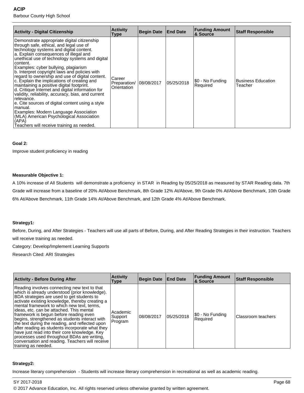| Activity - Digital Citizenship                                                                                                                                                                                                                                                                                                                                                                                                                                                                                                                                                                                                                                                                                                                                                                                       | <b>Activity</b><br>Type               | <b>Begin Date</b> | <b>End Date</b> | <b>Funding Amount</b><br><b>8 Source</b> | <b>Staff Responsible</b>             |
|----------------------------------------------------------------------------------------------------------------------------------------------------------------------------------------------------------------------------------------------------------------------------------------------------------------------------------------------------------------------------------------------------------------------------------------------------------------------------------------------------------------------------------------------------------------------------------------------------------------------------------------------------------------------------------------------------------------------------------------------------------------------------------------------------------------------|---------------------------------------|-------------------|-----------------|------------------------------------------|--------------------------------------|
| Demonstrate appropriate digital citizenship<br>through safe, ethical, and legal use of<br>technology systems and digital content.<br>a. Explain consequences of illegal and<br>unethical use of technology systems and digital<br>content.<br>Examples: cyber bullying, plagiarism<br>b. Interpret copyright laws and policies with<br>regard to ownership and use of digital content.<br>c. Explain the implications of creating and<br>maintaining a positive digital footprint.<br>d. Critique Internet and digital information for<br>validity, reliability, accuracy, bias, and current<br>relevance.<br>e. Cite sources of digital content using a style<br>manual.<br>Examples: Modern Language Association<br>(MLA) American Psychological Association<br>(APA)<br>Teachers will receive training as needed. | Career<br>Preparation/<br>Orientation | 08/08/2017        | 05/25/2018      | \$0 - No Funding<br>Required             | <b>Business Education</b><br>Teacher |

# **Goal 2:**

Improve student proficiency in reading

#### **Measurable Objective 1:**

A 10% increase of All Students will demonstrate a proficiency in STAR in Reading by 05/25/2018 as measured by STAR Reading data. 7th Grade will increase from a baseline of 20% At/Above Benchmark, 8th Grade 12% At/Above, 9th Grade 0% At/Above Benchmark, 10th Grade 6% At/Above Benchmark, 11th Grade 14% At/Above Benchmark, and 12th Grade 4% At/Above Benchmark.

#### **Strategy1:**

Before, During, and After Strategies - Teachers will use all parts of Before, During, and After Reading Strategies in their instruction. Teachers will receive training as needed.

Category: Develop/Implement Learning Supports

Research Cited: ARI Strategies

| <b>Activity - Before During After</b>                                                                                                                                                                                                                                                                                                                                                                                                                                                                                                                                                                                                                                 | <b>Activity</b><br>Type        | <b>Begin Date</b> | <b>End Date</b> | <b>Funding Amount</b><br>& Source | <b>Staff Responsible</b> |
|-----------------------------------------------------------------------------------------------------------------------------------------------------------------------------------------------------------------------------------------------------------------------------------------------------------------------------------------------------------------------------------------------------------------------------------------------------------------------------------------------------------------------------------------------------------------------------------------------------------------------------------------------------------------------|--------------------------------|-------------------|-----------------|-----------------------------------|--------------------------|
| Reading involves connecting new text to that<br>which is already understood (prior knowledge).<br>BDA strategies are used to get students to<br>activate existing knowledge, thereby creating a<br>mental framework to which new text, terms,<br>ideas, etc. can be attached. This mental<br>framework is begun before reading even<br>begins, strengthened as students interact with<br>the text during the reading, and reflected upon<br>after reading as students incorporate what they<br>have just read into their core knowledge. Key<br>processes used throughout BDAs are writing,<br>conversation and reading. Teachers will receive<br>training as needed. | Academic<br>Support<br>Program | 08/08/2017        | 05/25/2018      | \$0 - No Funding<br>Required      | Classroom teachers       |

# **Strategy2:**

Increase literary comprehension - Students will increase literary comprehension in recreational as well as academic reading.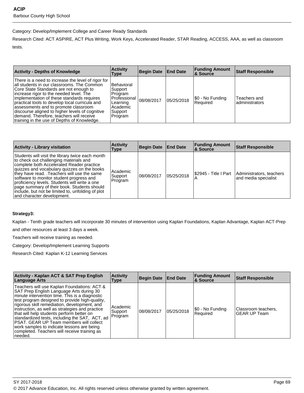# Category: Develop/Implement College and Career Ready Standards

Research Cited: ACT ASPIRE, ACT Plus Writing, Work Keys, Accelerated Reader, STAR Reading, ACCESS, AAA, as well as classroom tests.

| <b>Activity - Depths of Knowledge</b>                                                                                                                                                                                                                                                                                                                                                                                                                                       | <b>Activity</b><br>Type                                                                               | Begin Date   End Date |            | <b>Funding Amount</b><br><b>&amp; Source</b> | <b>Staff Responsible</b>       |
|-----------------------------------------------------------------------------------------------------------------------------------------------------------------------------------------------------------------------------------------------------------------------------------------------------------------------------------------------------------------------------------------------------------------------------------------------------------------------------|-------------------------------------------------------------------------------------------------------|-----------------------|------------|----------------------------------------------|--------------------------------|
| There is a need to increase the level of rigor for<br>all students in our classrooms. The Common<br>Core State Standards are not enough to<br>increase rigor to the needed level. The<br>implementation of these standards requires<br>practical tools to develop local curricula and<br>assessments and to promote classroom<br>discourse aligned to higher levels of cognitive<br>demand. Therefore, teachers will receive<br>training in the use of Depths of Knowledge. | <b>Behavioral</b><br>Support<br>Program<br>Professional<br>Learning<br>Academic<br>Support<br>Program | 08/08/2017            | 05/25/2018 | S0 - No Funding<br>l Reauired                | Teachers and<br>administrators |

| <b>Activity - Library visitation</b>                                                                                                                                                                                                                                                                                                                                                                                                                                | <b>Activity</b><br>Type        | Begin Date   End Date |            | <b>Funding Amount</b><br><b>&amp; Source</b> | <b>Staff Responsible</b>                                                 |
|---------------------------------------------------------------------------------------------------------------------------------------------------------------------------------------------------------------------------------------------------------------------------------------------------------------------------------------------------------------------------------------------------------------------------------------------------------------------|--------------------------------|-----------------------|------------|----------------------------------------------|--------------------------------------------------------------------------|
| Students will visit the library twice each month<br>to check out challenging materials and<br>complete both Accelerated Reader practice<br>quizzes and vocabulary quizzes on the books<br>they have read. Teachers will use the same<br>software to monitor student progress and<br>proficiency levels. Students will write a one<br>page summary of their book. Students should<br>include, but not be limited to, unfolding of plot<br>and character development. | Academic<br>Support<br>Program | 108/08/2017           | 05/25/2018 |                                              | \$2945 - Title I Part   Administrators, teachers<br>and media specialist |

# **Strategy3:**

Kaplan - Tenth grade teachers will incorporate 30 minutes of intervention using Kaplan Foundations, Kaplan Advantage, Kaplan ACT-Prep

and other resources at least 3 days a week.

Teachers will receive training as needed.

Category: Develop/Implement Learning Supports

Research Cited: Kaplan K-12 Learning Services

| <b>Activity - Kaplan ACT &amp; SAT Prep English</b><br>Language Arts                                                                                                                                                                                                                                                                                                                                                                                                                                                                                     | <b>Activity</b><br>Type        | Begin Date   End Date |            | <b>Funding Amount</b><br><b>8 Source</b> | <b>Staff Responsible</b>                   |
|----------------------------------------------------------------------------------------------------------------------------------------------------------------------------------------------------------------------------------------------------------------------------------------------------------------------------------------------------------------------------------------------------------------------------------------------------------------------------------------------------------------------------------------------------------|--------------------------------|-----------------------|------------|------------------------------------------|--------------------------------------------|
| Teachers will use Kaplan Foundations: ACT &<br>SAT Prep English Language Arts during 30<br>minute intervention time. This is a diagnostic<br>test program designed to provide high-quality,<br>rigorous skill remediation, development, and<br>instruction, as well as strategies and practice<br>that will help students perform better on<br>standardized tests, including the SAT, ACT, ad<br><b>PSAT. GEAR UP Team members will collect</b><br>work samples to indicate lessons are being<br>completed. Teachers will receive training as<br>needed. | Academic<br>Support<br>Program | 108/08/2017           | 05/25/2018 | \$0 - No Funding<br>Required             | Classroom teachers,<br><b>GEAR UP Team</b> |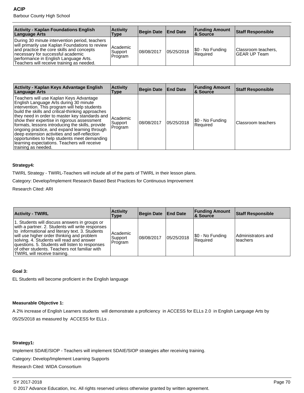| <b>Activity - Kaplan Foundations English</b><br>Language Arts                                                                                                                                                                                                             | <b>Activity</b><br>Type        | Begin Date   End Date |            | <b>Funding Amount</b><br>∣& Source | <b>Staff Responsible</b>             |
|---------------------------------------------------------------------------------------------------------------------------------------------------------------------------------------------------------------------------------------------------------------------------|--------------------------------|-----------------------|------------|------------------------------------|--------------------------------------|
| During 30 minute intervention period, teachers<br>will primarily use Kaplan Foundations to review<br>and practice the core skills and concepts<br>necessary for successful academic<br>performance in English Language Arts.<br>Teachers will receive training as needed. | Academic<br>Support<br>Program | 08/08/2017            | 05/25/2018 | [\$0 - No Funding<br>l Reauired    | Classroom teachers,<br>IGEAR UP Team |

| Activity - Kaplan Keys Advantage English<br>Language Arts                                                                                                                                                                                                                                                                                                                                                                                                                                                                                                              | <b>Activity</b><br>Type        | <b>Begin Date</b> | <b>End Date</b> | <b>Funding Amount</b><br>∣& Source | <b>Staff Responsible</b> |
|------------------------------------------------------------------------------------------------------------------------------------------------------------------------------------------------------------------------------------------------------------------------------------------------------------------------------------------------------------------------------------------------------------------------------------------------------------------------------------------------------------------------------------------------------------------------|--------------------------------|-------------------|-----------------|------------------------------------|--------------------------|
| Teachers will use Kaplan Keys Advantage<br>English Language Arts during 30 minute<br>intervention. This program will help students<br>build the skills and critical-thinking approaches<br>they need in order to master key standards and<br>show their expertise in rigorous assessment<br>formats, lessons introducing the skills, provide<br>ongoing practice, and expand learning through<br>deep extension activities and self-reflection<br>opportunities to help students meet demanding<br>learning expectations. Teachers will receive<br>training as needed. | Academic<br>Support<br>Program | 08/08/2017        | 05/25/2018      | \$0 - No Funding<br>Required       | Classroom teachers       |

# **Strategy4:**

TWIRL Strategy - TWIRL-Teachers will include all of the parts of TWIRL in their lesson plans.

Category: Develop/Implement Research Based Best Practices for Continuous Improvement

Research Cited: ARI

| <b>Activity - TWIRL</b>                                                                                                                                                                                                                                                                                                                                                             | <b>Activity</b><br>Type        | Begin Date  | <b>End Date</b> | <b>Funding Amount</b><br>8 Source | <b>Staff Responsible</b>        |
|-------------------------------------------------------------------------------------------------------------------------------------------------------------------------------------------------------------------------------------------------------------------------------------------------------------------------------------------------------------------------------------|--------------------------------|-------------|-----------------|-----------------------------------|---------------------------------|
| 1. Students will discuss answers in groups or<br>with a partner. 2. Students will write responses<br>to informational and literary text. 3. Students<br>will use higher order thinking and problem<br>solving. 4. Students will read and answer<br>questions. 5. Students will listen to responses<br>of other students. Teachers not familiar with<br>TWIRL will receive training. | Academic<br>Support<br>Program | 108/08/2017 | 05/25/2018      | \$0 - No Funding<br>Required      | Administrators and<br>lteachers |

### **Goal 3:**

EL Students will become proficient in the English language

# **Measurable Objective 1:**

A 2% increase of English Learners students will demonstrate a proficiency in ACCESS for ELLs 2.0 in English Language Arts by 05/25/2018 as measured by ACCESS for ELLs .

# **Strategy1:**

Implement SDAIE/SIOP - Teachers will implement SDAIE/SIOP strategies after receiving training.

Category: Develop/Implement Learning Supports

Research Cited: WIDA Consortium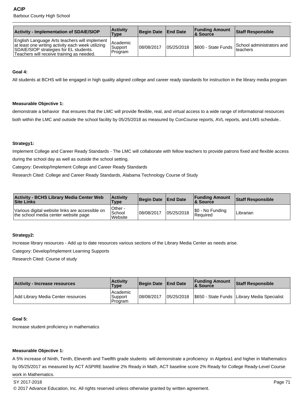| <b>Activity - Implementation of SDAIE/SIOP</b>                                                                                                                                            | <b>Activity</b><br>Type        | Begin Date End Date |            | <b>Funding Amount</b><br>∣& Source | <b>Staff Responsible</b>                      |
|-------------------------------------------------------------------------------------------------------------------------------------------------------------------------------------------|--------------------------------|---------------------|------------|------------------------------------|-----------------------------------------------|
| English Language Arts teachers will implement<br>at least one writing activity each week utilizing<br>SDAIE/SIOP strategies for EL students.<br>Teachers will receive training as needed. | Academic<br>Support<br>Program | 108/08/2017         | 05/25/2018 | S600 - State Funds                 | School administrators and<br><b>Iteachers</b> |

# **Goal 4:**

All students at BCHS will be engaged in high quality aligned college and career ready standards for instruction in the library media program

# **Measurable Objective 1:**

demonstrate a behavior that ensures that the LMC will provide flexible, real, and virtual access to a wide range of informational resources both within the LMC and outside the school facility by 05/25/2018 as measured by ConCourse reports, AVL reports, and LMS schedule..

#### **Strategy1:**

Implement College and Career Ready Standards - The LMC will collaborate with fellow teachers to provide patrons fixed and flexible access during the school day as well as outside the school setting.

Category: Develop/Implement College and Career Ready Standards

Research Cited: College and Career Ready Standards, Alabama Technology Course of Study

| <b>Activity - BCHS Library Media Center Web</b><br><b>Site Links</b>                    | <b>Activity</b><br><b>Type</b> | Begin Date   End Date |            | <b>Funding Amount</b><br><b>&amp; Source</b> | Staff Responsible |
|-----------------------------------------------------------------------------------------|--------------------------------|-----------------------|------------|----------------------------------------------|-------------------|
| Various digital website links are accessible on<br>the school media center website page | Other -<br>School<br>Website   | 108/08/2017           | 05/25/2018 | S0 - No Funding<br><b>Required</b>           | Librarian         |

# **Strategy2:**

Increase library resources - Add up to date resources various sections of the Library Media Center as needs arise.

Category: Develop/Implement Learning Supports

Research Cited: Course of study

| <b>Activity - Increase resources</b> | <b>Activity</b><br><b>Type</b>    | Begin Date End Date |             | <b>Funding Amount</b><br><b>&amp; Source</b> | <b>Staff Responsible</b>                       |
|--------------------------------------|-----------------------------------|---------------------|-------------|----------------------------------------------|------------------------------------------------|
| Add Library Media Center resources   | Academic<br> Support<br>l Program | 08/08/2017          | 105/25/2018 |                                              | \$650 - State Funds   Library Media Specialist |

#### **Goal 5:**

Increase student proficiency in mathematics

#### **Measurable Objective 1:**

A 5% increase of Ninth, Tenth, Eleventh and Twelfth grade students will demonstrate a proficiency in Algebra1 and higher in Mathematics by 05/25/2017 as measured by ACT ASPIRE baseline 2% Ready in Math, ACT baseline score 2% Ready for College Ready-Level Course work in Mathematics.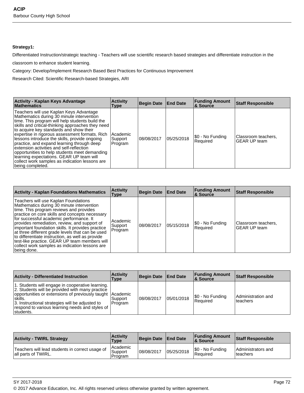# **Strategy1:**

Differentiated Instruction/strategic teaching - Teachers will use scientific research based strategies and differentiate instruction in the

classroom to enhance student learning.

Category: Develop/Implement Research Based Best Practices for Continuous Improvement

Research Cited: Scientific Research-based Strategies, ARI

| Activity - Kaplan Keys Advantage<br><b>Mathematics</b>                                                                                                                                                                                                                                                                                                                                                                                                                                                                                                                                                  | <b>Activity</b><br>Type          | <b>Begin Date</b> | <b>End Date</b> | <b>Funding Amount</b><br>∣& Source | <b>Staff Responsible</b>                   |
|---------------------------------------------------------------------------------------------------------------------------------------------------------------------------------------------------------------------------------------------------------------------------------------------------------------------------------------------------------------------------------------------------------------------------------------------------------------------------------------------------------------------------------------------------------------------------------------------------------|----------------------------------|-------------------|-----------------|------------------------------------|--------------------------------------------|
| Teachers will use Kaplan Keys Advantage<br>Mathematics during 30 minute intervention<br>time. This program will help students build the<br>skills and critical-thinking approaches they need<br>to acquire key standards and show their<br>expertise in rigorous assessment formats. Rich<br>lessons introduce the skills, provide ongoing<br>practice, and expand learning through deep<br>extension activities and self-reflection<br>opportunities to help students meet demanding<br>learning expectations. GEAR UP team will<br>collect work samples as indication lessons are<br>being completed. | l Academic<br>Support<br>Program | 08/08/2017        | 05/25/2018      | !\$0 - No Funding<br>Required      | Classroom teachers,<br><b>GEAR UP team</b> |

| <b>Activity - Kaplan Foundations Mathematics</b>                                                                                                                                                                                                                                                                                                                                                                                                                                                                                                          | <b>Activity</b><br>Type        | Begin Date | <b>End Date</b> | <b>Funding Amount</b><br>∣& Source | <b>Staff Responsible</b>                   |
|-----------------------------------------------------------------------------------------------------------------------------------------------------------------------------------------------------------------------------------------------------------------------------------------------------------------------------------------------------------------------------------------------------------------------------------------------------------------------------------------------------------------------------------------------------------|--------------------------------|------------|-----------------|------------------------------------|--------------------------------------------|
| Teachers will use Kaplan Foundations<br>Mathematics during 30 minute intervention<br>time. This program reviews and provides<br>practice on core skills and concepts necessary<br>for successful academic performance. It<br>provides remediation, review, and support of<br>important foundation skills. It provides practice<br>at three different grade levels that can be used<br>to differentiate instruction, as well as provide<br>test-like practice. GEAR UP team members will<br>collect work samples as indication lessons are<br> being done. | Academic<br>Support<br>Program | 08/08/2017 | 05/15/2018      | \$0 - No Funding<br>Required       | Classroom teachers,<br><b>GEAR UP team</b> |

| <b>Activity - Differentiated Instruction</b>                                                                                                                                                                                                                                                     | <b>Activity</b><br>Type | <b>Begin Date</b> | <b>End Date</b> | <b>Funding Amount</b><br>∣& Source | Staff Responsible                |
|--------------------------------------------------------------------------------------------------------------------------------------------------------------------------------------------------------------------------------------------------------------------------------------------------|-------------------------|-------------------|-----------------|------------------------------------|----------------------------------|
| 1. Students will engage in cooperative learning.<br>2. Students will be provided with many practice<br>opportunities or extensions of previously taught Academic<br>!skills.<br>3. Instructional strategies will be adjusted to<br>respond to various learning needs and styles of<br>Istudents. | l Support<br>Program    | 108/08/2017       | 05/01/2018      | S0 - No Funding<br>Required        | Administration and<br>l teachers |

| <b>Activity - TWIRL Strategy</b>                                       | <b>Activity</b><br>Type          | Begin Date   End Date |            | <b>Funding Amount</b><br><b>&amp; Source</b> | Staff Responsible               |
|------------------------------------------------------------------------|----------------------------------|-----------------------|------------|----------------------------------------------|---------------------------------|
| Teachers will lead students in correct usage of<br>all parts of TWIRL. | l Academic<br>Support<br>Program | 08/08/2017            | 05/25/2018 | S0 - No Funding<br>Required                  | Administrators and<br>lteachers |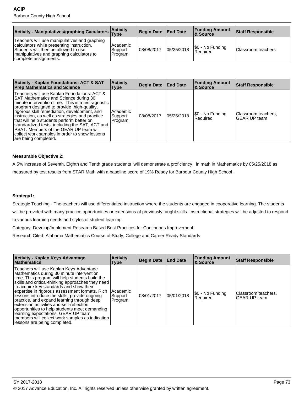| Activity - Manipulatives/graphing Caculators Activity                                                                                                                                                   |                                | Begin Date   End Date |            | <b>Funding Amount</b><br>∣& Source | <b>Staff Responsible</b> |
|---------------------------------------------------------------------------------------------------------------------------------------------------------------------------------------------------------|--------------------------------|-----------------------|------------|------------------------------------|--------------------------|
| Teachers will use manipulatives and graphing<br>calculators while presenting instruction.<br>Students will then be allowed to use<br>manipulatives and graphing calculators to<br>complete assignments. | Academic<br>Support<br>Program | 08/08/2017            | 05/25/2018 | S0 - No Funding<br>Required        | Classroom teachers       |

| <b>Activity - Kaplan Foundations: ACT &amp; SAT</b><br><b>Prep Mathematics and Science</b>                                                                                                                                                                                                                                                                                                                                                                                                                         | <b>Activity</b><br><b>Type</b> | <b>Begin Date</b> | <b>End Date</b> | <b>Funding Amount</b><br><b>8 Source</b> | <b>Staff Responsible</b>            |
|--------------------------------------------------------------------------------------------------------------------------------------------------------------------------------------------------------------------------------------------------------------------------------------------------------------------------------------------------------------------------------------------------------------------------------------------------------------------------------------------------------------------|--------------------------------|-------------------|-----------------|------------------------------------------|-------------------------------------|
| Teachers will use Kaplan Foundations: ACT &<br>SAT Mathematics and Science during 30<br>minute intervention time. This is a test-agnostic<br>program designed to provide high-quality,<br>rigorous skill remediation, development, and<br>instruction, as well as strategies and practice<br>that will help students perform better on<br>standardized tests, including the SAT, ACT and<br><b>PSAT.</b> Members of the GEAR UP team will<br>collect work samples in order to show lessons<br>are being completed. | Academic<br>Support<br>Program | 108/08/2017       | 05/25/2018      | \$0 - No Funding<br>Required             | Classroom teachers,<br>GEAR UP team |

# **Measurable Objective 2:**

A 5% increase of Seventh, Eighth and Tenth grade students will demonstrate a proficiency in math in Mathematics by 05/25/2018 as measured by test results from STAR Math with a baseline score of 19% Ready for Barbour County High School .

# **Strategy1:**

Strategic Teaching - The teachers will use differentiated instruction where the students are engaged in cooperative learning. The students will be provided with many practice opportunities or extensions of previously taught skills. Instructional strategies will be adjusted to respond

to various learning needs and styles of student learning.

Category: Develop/Implement Research Based Best Practices for Continuous Improvement

Research Cited: Alabama Mathematics Course of Study, College and Career Ready Standards

| Activity - Kaplan Keys Advantage<br><b>Mathematics</b>                                                                                                                                                                                                                                                                                                                                                                                                                                                                                                                                                          | <b>Activity</b><br>Type            | <b>Begin Date</b> | <b>End Date</b> | <b>Funding Amount</b><br>∣& Source | <b>Staff Responsible</b>                   |
|-----------------------------------------------------------------------------------------------------------------------------------------------------------------------------------------------------------------------------------------------------------------------------------------------------------------------------------------------------------------------------------------------------------------------------------------------------------------------------------------------------------------------------------------------------------------------------------------------------------------|------------------------------------|-------------------|-----------------|------------------------------------|--------------------------------------------|
| Teachers will use Kaplan Keys Advantage<br>Mathematics during 30 minute intervention<br>time. This program will help students build the<br>skills and critical-thinking approaches they need<br>to acquire key standards and show their<br>expertise in rigorous assessment formats. Rich<br>lessons introduce the skills, provide ongoing<br>practice, and expand learning through deep<br>extension activities and self-reflection<br>opportunities to help students meet demanding<br>learning expectations. GEAR UP team<br>members will collect work samples as indication<br>lessons are being completed. | l Academic<br> Support <br>Program | 08/01/2017        | 05/01/2018      | \$0 - No Funding<br>Required       | Classroom teachers.<br><b>GEAR UP team</b> |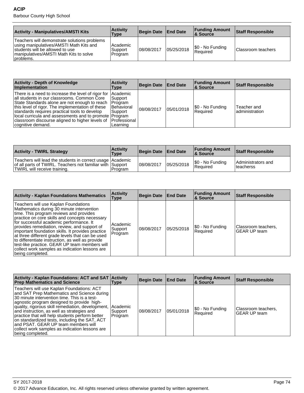| <b>Activity - Manipulatives/AMSTI Kits</b>                                                                                                                                         | <b>Activity</b><br>Type          | Begin Date End Date |            | <b>Funding Amount</b><br>∣& Source | Staff Responsible  |
|------------------------------------------------------------------------------------------------------------------------------------------------------------------------------------|----------------------------------|---------------------|------------|------------------------------------|--------------------|
| Teachers will demonstrate solutions problems<br>using manipulatives/AMSTI Math Kits and<br>students will be allowed to use<br>Imanipulatives/AMSTI Math Kits to solve<br>problems. | l Academic<br>Support<br>Program | 08/08/2017          | 05/25/2018 | \$0 - No Funding<br>Required       | Classroom teachers |

| <b>Activity - Depth of Knowledge</b><br><b>Implementation</b>                                                                                                                                                                                                                                                                                                                                                                  | <b>Activity</b><br>Type                       | Begin Date End Date |            | <b>Funding Amount</b><br>∣& Source | <b>Staff Responsible</b>       |
|--------------------------------------------------------------------------------------------------------------------------------------------------------------------------------------------------------------------------------------------------------------------------------------------------------------------------------------------------------------------------------------------------------------------------------|-----------------------------------------------|---------------------|------------|------------------------------------|--------------------------------|
| There is a need to increase the level of rigor for  Academic<br>all students in our classrooms. Common Core<br>State Standards alone are not enough to reach   Program<br>this level of rigor. The implementation of these<br>standards requires practical tools to develop<br>local curricula and assessments and to promote   Program<br>classroom discourse aligned to higher levels of [Professional]<br>cognitive demand. | Support <br>Behavioral<br>Support<br>Learning | 08/08/2017          | 05/01/2018 | S0 - No Funding<br>Required        | Teacher and<br>ladministration |

| <b>Activity - TWIRL Strategy</b>                                                                                                                         | <b>Activity</b><br><b>Type</b> | Begin Date End Date |            | <b>Funding Amount</b><br>8 Source | <b>Staff Responsible</b>         |
|----------------------------------------------------------------------------------------------------------------------------------------------------------|--------------------------------|---------------------|------------|-----------------------------------|----------------------------------|
| Teachers will lead the students in correct usage   Academic<br>of all parts of TWIRL. Teachers not familiar with Support<br>TWIRL will receive training. | Program                        | 108/08/2017         | 05/25/2018 | \$0 - No Funding<br>Required      | Administrators and<br>lteacherss |

| <b>Activity - Kaplan Foundations Mathematics</b>                                                                                                                                                                                                                                                                                                                                                                                                                                                                                                               | <b>Activity</b><br>Type        | <b>Begin Date</b> | <b>End Date</b> | <b>Funding Amount</b><br>∣& Source | <b>Staff Responsible</b>                   |
|----------------------------------------------------------------------------------------------------------------------------------------------------------------------------------------------------------------------------------------------------------------------------------------------------------------------------------------------------------------------------------------------------------------------------------------------------------------------------------------------------------------------------------------------------------------|--------------------------------|-------------------|-----------------|------------------------------------|--------------------------------------------|
| Teachers will use Kaplan Foundations<br>Mathematics during 30 minute intervention<br>time. This program reviews and provides<br>practice on core skills and concepts necessary<br>for successful academic performance. It<br>provides remediation, review, and support of<br>important foundation skills. It provides practice<br>at three different grade levels that can be used<br>to differentiate instruction, as well as provide<br>test-like practice. GEAR UP team members will<br>collect work samples as indication lessons are<br> being completed. | Academic<br>Support<br>Program | 108/08/2017       | 05/25/2018      | [\$0 - No Funding<br>Required      | Classroom teachers,<br><b>GEAR UP team</b> |

| Activity - Kaplan Foundations: ACT and SAT Activity<br><b>Prep Mathematics and Science</b>                                                                                                                                                                                                                                                                                                                                                                                                                    | Type                           | Begin Date End Date |            | <b>Funding Amount</b><br>∣& Source | <b>Staff Responsible</b>                   |
|---------------------------------------------------------------------------------------------------------------------------------------------------------------------------------------------------------------------------------------------------------------------------------------------------------------------------------------------------------------------------------------------------------------------------------------------------------------------------------------------------------------|--------------------------------|---------------------|------------|------------------------------------|--------------------------------------------|
| Teachers will use Kaplan Foundations: ACT<br>and SAT Prep Mathematics and Science during<br>30 minute intervention time. This is a test-<br>agnostic program designed to provide high-<br>quality, rigorous skill remediation, development,  <br>and instruction, as well as strategies and<br>practice that will help students perform better<br>on standardized tests, including the SAT, ACT<br>land PSAT. GEAR UP team members will<br>collect work samples as indication lessons are<br>being completed. | Academic<br>Support<br>Program | 108/08/2017         | 05/01/2018 | [\$0 - No Funding<br>Required      | Classroom teachers,<br><b>GEAR UP team</b> |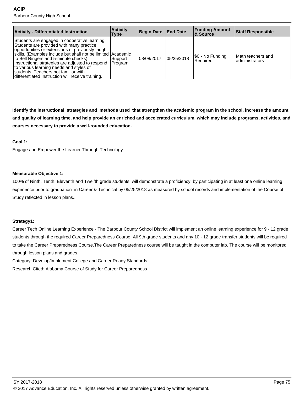| <b>Activity - Differentiated Instruction</b>                                                                                                                                                                                                                                                                                                                                                                                                             | <b>Activity</b><br>Type | <b>Begin Date</b> | <b>End Date</b> | <b>Funding Amount</b><br>∣& Source | <b>Staff Responsible</b>             |
|----------------------------------------------------------------------------------------------------------------------------------------------------------------------------------------------------------------------------------------------------------------------------------------------------------------------------------------------------------------------------------------------------------------------------------------------------------|-------------------------|-------------------|-----------------|------------------------------------|--------------------------------------|
| Students are engaged in cooperative learning.<br>Students are provided with many practice<br>opportunities or extensions of previously taught<br>skills. (Examples include but shall not be limited Academic<br>to Bell Ringers and 5-minute checks)<br>Instructional strategies are adjusted to respond Program<br>to various learning needs and styles of<br>students. Teachers not familiar with<br>differentiated Instruction will receive training. | l Support i             | 108/08/2017       | 05/25/2018      | S0 - No Funding<br>l Reauired      | Math teachers and<br>ladministrators |

**Identify the instructional strategies and methods used that strengthen the academic program in the school, increase the amount and quality of learning time, and help provide an enriched and accelerated curriculum, which may include programs, activities, and courses necessary to provide a well-rounded education.**

#### **Goal 1:**

Engage and Empower the Learner Through Technology

#### **Measurable Objective 1:**

100% of Ninth, Tenth, Eleventh and Twelfth grade students will demonstrate a proficiency by participating in at least one online learning experience prior to graduation in Career & Technical by 05/25/2018 as measured by school records and implementation of the Course of Study reflected in lesson plans..

#### **Strategy1:**

Career Tech Online Learning Experience - The Barbour County School District will implement an online learning experience for 9 - 12 grade students through the required Career Preparedness Course. All 9th grade students and any 10 - 12 grade transfer students will be required to take the Career Preparedness Course.The Career Preparedness course will be taught in the computer lab. The course will be monitored through lesson plans and grades.

Category: Develop/Implement College and Career Ready Standards

Research Cited: Alabama Course of Study for Career Preparedness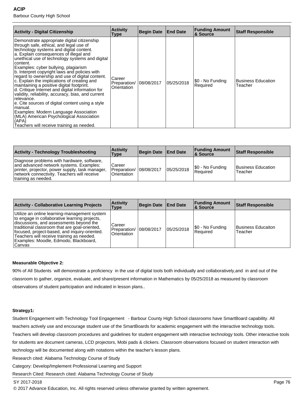| Activity - Digital Citizenship                                                                                                                                                                                                                                                                                                                                                                                                                                                                                                                                                                                                                                                                                                                                                                                       | <b>Activity</b><br>Type               | <b>Begin Date</b> | <b>End Date</b> | <b>Funding Amount</b><br>& Source | <b>Staff Responsible</b>             |
|----------------------------------------------------------------------------------------------------------------------------------------------------------------------------------------------------------------------------------------------------------------------------------------------------------------------------------------------------------------------------------------------------------------------------------------------------------------------------------------------------------------------------------------------------------------------------------------------------------------------------------------------------------------------------------------------------------------------------------------------------------------------------------------------------------------------|---------------------------------------|-------------------|-----------------|-----------------------------------|--------------------------------------|
| Demonstrate appropriate digital citizenship<br>through safe, ethical, and legal use of<br>technology systems and digital content.<br>a. Explain consequences of illegal and<br>unethical use of technology systems and digital<br>content.<br>Examples: cyber bullying, plagiarism<br>b. Interpret copyright laws and policies with<br>regard to ownership and use of digital content.<br>c. Explain the implications of creating and<br>maintaining a positive digital footprint.<br>d. Critique Internet and digital information for<br>validity, reliability, accuracy, bias, and current<br>relevance.<br>e. Cite sources of digital content using a style<br>manual.<br>Examples: Modern Language Association<br>(MLA) American Psychological Association<br>(APA)<br>Teachers will receive training as needed. | Career<br>Preparation/<br>Orientation | 08/08/2017        | 05/25/2018      | \$0 - No Funding<br>Required      | <b>Business Education</b><br>Teacher |

| <b>Activity - Technology Troubleshooting</b>                                                                                                                                                                   | <b>Activity</b><br>Type                            | Begin Date   End Date |            | <b>Funding Amount</b><br>8 Source | Staff Responsible             |
|----------------------------------------------------------------------------------------------------------------------------------------------------------------------------------------------------------------|----------------------------------------------------|-----------------------|------------|-----------------------------------|-------------------------------|
| Diagnose problems with hardware, software,<br>and advanced network systems. Examples:<br>printer, projector, power supply, task manager,<br>network connectivity. Teachers will receive<br>training as needed. | Career<br>Preparation/   08/08/2017<br>Orientation |                       | 05/25/2018 | \$0 - No Funding<br>l Reauired    | Business Education<br>Teacher |

| <b>Activity - Collaborative Learning Projects</b>                                                                                                                                                                                                                                                                                           | <b>Activity</b><br>Type                            | <b>Begin Date</b> | <b>End Date</b> | <b>Funding Amount</b><br>8 Source | <b>Staff Responsible</b>      |
|---------------------------------------------------------------------------------------------------------------------------------------------------------------------------------------------------------------------------------------------------------------------------------------------------------------------------------------------|----------------------------------------------------|-------------------|-----------------|-----------------------------------|-------------------------------|
| Utilize an online learning-management system<br>to engage in collaborative learning projects,<br>discussions, and assessments beyond the<br>traditional classroom that are goal-oriented,<br>focused, project-based, and inquiry-oriented.<br>Teachers will receive training as needed.<br>Examples: Moodle, Edmodo, Blackboard,<br>lCanvas | Career<br>Preparation/   08/08/2017<br>Orientation |                   | 05/25/2018      | \$0 - No Funding<br>Required      | Business Educaiton<br>Teacher |

# **Measurable Objective 2:**

90% of All Students will demonstrate a proficiency in the use of digital tools both individually and collaboratively,and in and out of the classroom to gather, organize, evaluate, and share/present information in Mathematics by 05/25/2018 as measured by classroom observations of student participation and indicated in lesson plans..

# **Strategy1:**

Student Engagement with Technology Tool Engagement - Barbour County High School classrooms have SmartBoard capability. All teachers actively use and encourage student use of the SmartBoards for academic engagement with the interactive technology tools. Teachers will develop classroom procedures and guidelines for student engagement with interactive technology tools. Other interactive tools for students are document cameras, LCD projectors, Mobi pads & clickers. Classroom observations focused on student interaction with technology will be documented along with notations within the teacher's lesson plans.

Research cited: Alabama Technology Course of Study

Category: Develop/Implement Professional Learning and Support

Research Cited: Research cited: Alabama Technology Course of Study

#### SY 2017-2018 Page 76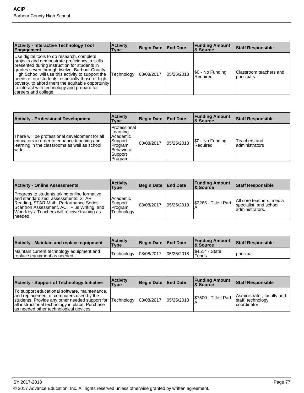| <b>Activity - Interactive Technology Tool</b><br>Engagement                                                                                                                                                                                                                                                                                                                                                                     | <b>Activity</b><br>Type | <b>Begin Date</b> | <b>End Date</b> | <b>Funding Amount</b><br>∣& Source | <b>Staff Responsible</b>              |
|---------------------------------------------------------------------------------------------------------------------------------------------------------------------------------------------------------------------------------------------------------------------------------------------------------------------------------------------------------------------------------------------------------------------------------|-------------------------|-------------------|-----------------|------------------------------------|---------------------------------------|
| Use digital tools to do research, complete<br>projects and demonstrate proficiency in skills<br>presented during instruction for students in<br>grades seven through twelve. Barbour County<br>High School will use this activity to support the<br>needs of our students, especially those of high<br>poverty, to afford them the equitable opportunity<br>to interact with technology and prepare for<br>careers and college. | Technology              | 08/08/2017        | 05/25/2018      | \$0 - No Funding<br>Required       | Classroom teachers and<br>Iprincipals |

| <b>Activity - Professional Development</b>                                                                                                             | <b>Activity</b><br>Type                                                                              | <b>Begin Date</b> | <b>End Date</b> | <b>Funding Amount</b><br>8 Source | <b>Staff Responsible</b>        |
|--------------------------------------------------------------------------------------------------------------------------------------------------------|------------------------------------------------------------------------------------------------------|-------------------|-----------------|-----------------------------------|---------------------------------|
| There will be professional development for all<br>educators in order to enhance teaching and<br>learning in the classrooms as well as school<br>wiide. | l Professional<br>Learning<br>l Academic<br>Support<br>Program<br>l Behavioral<br>Support<br>Program | 08/08/2017        | 05/25/2018      | \$0 - No Funding<br>Required      | Teachers and<br>ladministrators |

| <b>Activity - Online Assessments</b>                                                                                                                                                                                                  | <b>Activity</b><br>Type                      | Begin Date   End Date |            | <b>Funding Amount</b><br>8 Source | <b>Staff Responsible</b>                                               |
|---------------------------------------------------------------------------------------------------------------------------------------------------------------------------------------------------------------------------------------|----------------------------------------------|-----------------------|------------|-----------------------------------|------------------------------------------------------------------------|
| Progress to students taking online formative<br>and standardized assessments: STAR<br>Reading, STAR Math, Performance Series<br>Scantron Assessment, ACT Plus Writing, and<br>WorkKeys. Teachers will receive training as<br>⊺needed. | Academic<br>Support<br>Program<br>Technology | 08/08/2017            | 05/25/2018 | I\$2265 - Title I Part            | All core teachers, media<br>specialist, and school<br>ladministrators. |

| <b>Activity - Maintain and replace equipment</b>                          | ∣Activitv<br>Type | Begin Date   End Date |            | <b>Funding Amount</b><br>& Source    | <b>Staff Responsible</b> |
|---------------------------------------------------------------------------|-------------------|-----------------------|------------|--------------------------------------|--------------------------|
| Maintain current technology equipment and<br>replace equipment as needed. | Technology        | 08/08/2017            | 05/25/2018 | <b>S4514 - State</b><br><b>Funds</b> | principal                |

| <b>Activity - Support of Technology Initiative</b>                                                                                                                                                                                                  | <b>Activity</b><br>Type | Begin Date   End Date |            | <b>Funding Amount</b><br>∣& Source | <b>Staff Responsible</b>                                         |
|-----------------------------------------------------------------------------------------------------------------------------------------------------------------------------------------------------------------------------------------------------|-------------------------|-----------------------|------------|------------------------------------|------------------------------------------------------------------|
| To support educational software, maintenance,<br>and replacement of computers used by the<br>students. Provide any other needed support for Technology<br>all instructional technology in place. Purchase<br>as needed other technological devices. |                         | 08/08/2017            | 05/25/2018 | S7500 - Title I Part               | Asministrator, faculty and<br>staff, technology<br>l coordinator |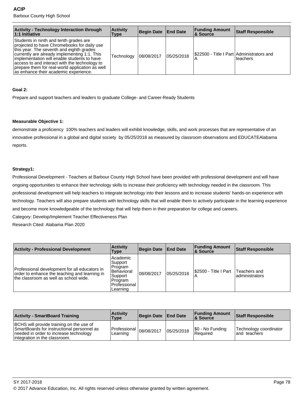**ACIP**

Barbour County High School

| <b>Activity - Technology Interaction through</b><br>$ 1:1$ Initiative                                                                                                                                                                                                                                                                                                         | <b>Activity</b><br>Type | Begin Date   End Date |            | <b>Funding Amount</b><br>∣& Source        | <b>Staff Responsible</b> |
|-------------------------------------------------------------------------------------------------------------------------------------------------------------------------------------------------------------------------------------------------------------------------------------------------------------------------------------------------------------------------------|-------------------------|-----------------------|------------|-------------------------------------------|--------------------------|
| Students in ninth and tenth grades are<br>projected to have Chromebooks for daily use<br>this year. The seventh and eighth grades<br>currently are already implementing 1:1. This<br>implementation will enable students to have<br>access to and interact with the technology to<br>prepare them for real-world application as well<br>as enhance their academic experience. | Technology              | 08/08/2017            | 05/25/2018 | \$22500 - Title I Part Administrators and | 'teachers                |

### **Goal 2:**

Prepare and support teachers and leaders to graduate College- and Career-Ready Students

#### **Measurable Objective 1:**

demonstrate a proficiency 100% teachers and leaders will exhibit knowledge, skills, and work processes that are representative of an innovative professional in a global and digital society by 05/25/2018 as measured by classroom observations and EDUCATEAlabama reports.

#### **Strategy1:**

Professional Development - Teachers at Barbour County High School have been provided with professional development and will have ongoing opportunities to enhance their technology skills to increase their proficiency with technology needed in the classroom. This professional development will help teachers to integrate technology into their lessons and to increase students' hands-on experience with technology. Teachers will also prepare students with technology skills that will enable them to actively participate in the learning experience and become more knowledgeable of the technology that will help them in their preparation for college and careers.

Category: Develop/Implement Teacher Effectiveness Plan

Research Cited: Alabama Plan 2020

| <b>Activity - Professional Development</b>                                                                                              | <b>Activity</b><br>Type                                                                        | Begin Date End Date |            | <b>Funding Amount</b><br><b>8 Source</b> | <b>Staff Responsible</b>        |
|-----------------------------------------------------------------------------------------------------------------------------------------|------------------------------------------------------------------------------------------------|---------------------|------------|------------------------------------------|---------------------------------|
| Professional development for all educators in<br>order to enhance the teaching and learning in<br>the classroom as well as school wide. | Academic<br>Support<br>Program<br>Behavioral<br>Support<br>Program<br>Professional<br>Learning | 08/08/2017          | 05/25/2018 | I\$2500 - Title I Part                   | Teachers and<br>ladministrators |

| <b>Activity - SmartBoard Training</b>                                                                                                                              | <b>Activity</b><br>Type                 | Begin Date   End Date |            | <b>Funding Amount</b><br><b>8 Source</b> | <b>Staff Responsible</b>                |
|--------------------------------------------------------------------------------------------------------------------------------------------------------------------|-----------------------------------------|-----------------------|------------|------------------------------------------|-----------------------------------------|
| BCHS will provide training on the use of<br>SmartBoards for instructional personnel as<br>needed in order to increase technology<br>lintegration in the classroom. | $ Professian _{08/08/2017}$<br>Learning |                       | 05/25/2018 | S0 - No Funding<br><b>Required</b>       | Technology coordinator<br>land teachers |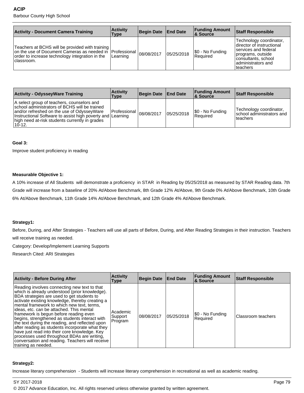### **ACIP**

Barbour County High School

| <b>Activity - Document Camera Training</b>                                                                                                                                      | <b>Activity</b><br>Type | <b>Begin Date</b> | <b>End Date</b> | <b>Funding Amount</b><br>8 Source | <b>Staff Responsible</b>                                                                                                                                        |
|---------------------------------------------------------------------------------------------------------------------------------------------------------------------------------|-------------------------|-------------------|-----------------|-----------------------------------|-----------------------------------------------------------------------------------------------------------------------------------------------------------------|
| Teachers at BCHS will be provided with training<br>on the use of Document Cameras as needed in   Professional<br>order to increase technology integration in the<br>Iclassroom. | Learning                | 08/08/2017        | 05/25/2018      | \$0 - No Funding<br>Required      | Technology coordinator,<br>Idirector of instructional<br>services and federal<br>programs, outside<br> consultants, school <br>ladministrators and<br>Iteachers |

| <b>Activity - OdysseyWare Training</b>                                                                                                                                                                                                                                | <b>Activity</b><br>Type       | Begin Date   End Date |            | <b>Funding Amount</b><br>∣& Source | <b>Staff Responsible</b>                                             |
|-----------------------------------------------------------------------------------------------------------------------------------------------------------------------------------------------------------------------------------------------------------------------|-------------------------------|-----------------------|------------|------------------------------------|----------------------------------------------------------------------|
| A select group of teachers, counselors and<br>school administrators of BCHS will be trained<br>and/or refreshed on the use of OdysseyWare<br>Instructional Software to assist high poverty and Learning<br>high need at-risk students currently in grades<br>$10-12.$ | $ Professional _{08/08/2017}$ |                       | 05/25/2018 | \$0 - No Funding<br>Required       | 'Technology coordinator,<br>Ischool administrators and<br>l teachers |

#### **Goal 3:**

Improve student proficiency in reading

### **Measurable Objective 1:**

A 10% increase of All Students will demonstrate a proficiency in STAR in Reading by 05/25/2018 as measured by STAR Reading data. 7th Grade will increase from a baseline of 20% At/Above Benchmark, 8th Grade 12% At/Above, 9th Grade 0% At/Above Benchmark, 10th Grade 6% At/Above Benchmark, 11th Grade 14% At/Above Benchmark, and 12th Grade 4% At/Above Benchmark.

#### **Strategy1:**

Before, During, and After Strategies - Teachers will use all parts of Before, During, and After Reading Strategies in their instruction. Teachers will receive training as needed.

Category: Develop/Implement Learning Supports

Research Cited: ARI Strategies

| <b>Activity - Before During After</b>                                                                                                                                                                                                                                                                                                                                                                                                                                                                                                                                                                                                                                 | <b>Activity</b><br>Type        | <b>Begin Date</b> | <b>End Date</b> | <b>Funding Amount</b><br>& Source | Staff Responsible  |
|-----------------------------------------------------------------------------------------------------------------------------------------------------------------------------------------------------------------------------------------------------------------------------------------------------------------------------------------------------------------------------------------------------------------------------------------------------------------------------------------------------------------------------------------------------------------------------------------------------------------------------------------------------------------------|--------------------------------|-------------------|-----------------|-----------------------------------|--------------------|
| Reading involves connecting new text to that<br>which is already understood (prior knowledge).<br>BDA strategies are used to get students to<br>activate existing knowledge, thereby creating a<br>mental framework to which new text, terms,<br>ideas, etc. can be attached. This mental<br>framework is begun before reading even<br>begins, strengthened as students interact with<br>the text during the reading, and reflected upon<br>after reading as students incorporate what they<br>have just read into their core knowledge. Key<br>processes used throughout BDAs are writing,<br>conversation and reading. Teachers will receive<br>training as needed. | Academic<br>Support<br>Program | 08/08/2017        | 05/25/2018      | \$0 - No Funding<br>Required      | Classroom teachers |

# **Strategy2:**

Increase literary comprehension - Students will increase literary comprehension in recreational as well as academic reading.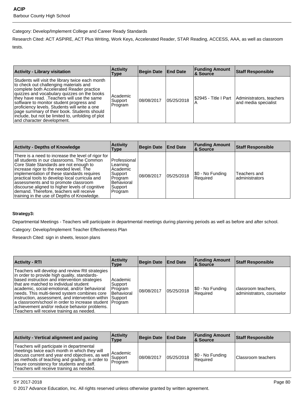# Category: Develop/Implement College and Career Ready Standards

Research Cited: ACT ASPIRE, ACT Plus Writing, Work Keys, Accelerated Reader, STAR Reading, ACCESS, AAA, as well as classroom tests.

| <b>Activity - Library visitation</b>                                                                                                                                                                                                                                                                                                                                                                                                                                 | <b>Activity</b><br>Type        | Begin Date End Date |            | <b>Funding Amount</b><br><b>8 Source</b> | <b>Staff Responsible</b>                         |
|----------------------------------------------------------------------------------------------------------------------------------------------------------------------------------------------------------------------------------------------------------------------------------------------------------------------------------------------------------------------------------------------------------------------------------------------------------------------|--------------------------------|---------------------|------------|------------------------------------------|--------------------------------------------------|
| Students will visit the library twice each month<br>to check out challenging materials and<br>complete both Accelerated Reader practice<br>quizzes and vocabulary quizzes on the books<br>they have read. .Teachers will use the same<br>software to monitor student progress and<br>proficiency levels. Students will write a one<br>page summary of their book. Students should<br>include, but not be limited to, unfolding of plot<br>and character development. | Academic<br>Support<br>Program | 108/08/2017         | 05/25/2018 | I\$2945 - Title I Part                   | Administrators, teachers<br>and media specialist |

| <b>Activity - Depths of Knowledge</b>                                                                                                                                                                                                                                                                                                                                                                                                                                         | <b>Activity</b><br>Type                                                                               | <b>Begin Date</b> | <b>End Date</b> | <b>Funding Amount</b><br>∣& Source | <b>Staff Responsible</b>       |
|-------------------------------------------------------------------------------------------------------------------------------------------------------------------------------------------------------------------------------------------------------------------------------------------------------------------------------------------------------------------------------------------------------------------------------------------------------------------------------|-------------------------------------------------------------------------------------------------------|-------------------|-----------------|------------------------------------|--------------------------------|
| There is a need to increase the level of rigor for<br>all students in our classrooms. The Common<br>Core State Standards are not enough to<br>increase rigor to the needed level. The<br>implementation of these standards requires<br>practical tools to develop local curricula and<br>lassessments and to promote classroom<br>discourse aligned to higher levels of cognitive<br>demand. Therefore, teachers will receive<br>Itraining in the use of Depths of Knowledge. | Professional<br>Learning<br>Academic<br>Support<br>Program<br><b>Behavioral</b><br>Support<br>Program | 08/08/2017        | 05/25/2018      | [\$0 - No Funding<br>Required      | Teachers and<br>administrators |

# **Strategy3:**

Departmental Meetings - Teachers will participate in departmental meetings during planning periods as well as before and after school.

Category: Develop/Implement Teacher Effectiveness Plan

Research Cited: sign in sheets, lesson plans

| <b>Activity - RTI</b>                                                                                                                                                                                                                                                                                                                                                                                                                                                                                              | <b>Activity</b><br><b>Type</b>                 | Begin Date   End Date |            | <b>Funding Amount</b><br><b>8 Source</b> | <b>Staff Responsible</b>                         |
|--------------------------------------------------------------------------------------------------------------------------------------------------------------------------------------------------------------------------------------------------------------------------------------------------------------------------------------------------------------------------------------------------------------------------------------------------------------------------------------------------------------------|------------------------------------------------|-----------------------|------------|------------------------------------------|--------------------------------------------------|
| Teachers will develop and review Rtl strategies<br>in order to provide high quality, standards-<br>based instruction and intervention strategies<br>that are matched to individual student<br>academic, social-emotional, and/or behavioral<br>needs. This multi-tiered system combines core<br>instruction, assessment, and intervention within Support<br>a classroom/school in order to increase student   Program<br>achievement and/or reduce behavior problems.<br>Teachers will receive training as needed. | Academic<br>Support<br>Program<br>l Behavioral | 08/08/2017            | 05/25/2018 | \$0 - No Funding<br>Required             | classroom teachers,<br>administrators, counselor |

| <b>Activity - Vertical alignment and pacing</b>                                                                                                                                                                                                                                             | <b>Activity</b><br>Type        | Begin Date   End Date |            | <b>Funding Amount</b><br><b>8 Source</b> | Staff Responsible  |
|---------------------------------------------------------------------------------------------------------------------------------------------------------------------------------------------------------------------------------------------------------------------------------------------|--------------------------------|-----------------------|------------|------------------------------------------|--------------------|
| Teachers will participate in departmental<br>meetings twice each month in which they will<br>discuss current and year end objectives, as well<br>as methods of teaching and grading, in order to<br>insure consistency for students and staff.<br>Teachers will receive training as needed. | Academic<br>Support<br>Program | 08/08/2017            | 05/25/2018 | \$0 - No Funding<br>Required             | Classroom teachers |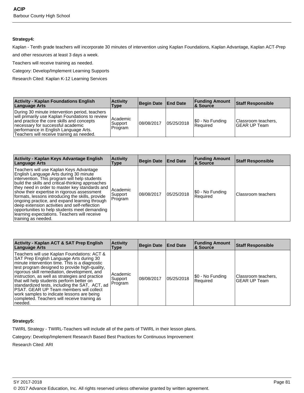# **Strategy4:**

Kaplan - Tenth grade teachers will incorporate 30 minutes of intervention using Kaplan Foundations, Kaplan Advantage, Kaplan ACT-Prep

and other resources at least 3 days a week.

Teachers will receive training as needed.

Category: Develop/Implement Learning Supports

Research Cited: Kaplan K-12 Learning Services

| <b>Activity - Kaplan Foundations English</b><br>Language Arts                                                                                                                                                                                                             | <b>Activity</b><br>Type        | Begin Date End Date |            | <b>Funding Amount</b><br><b>8 Source</b> | <b>Staff Responsible</b>            |
|---------------------------------------------------------------------------------------------------------------------------------------------------------------------------------------------------------------------------------------------------------------------------|--------------------------------|---------------------|------------|------------------------------------------|-------------------------------------|
| During 30 minute intervention period, teachers<br>will primarily use Kaplan Foundations to review<br>and practice the core skills and concepts<br>necessary for successful academic<br>performance in English Language Arts.<br>Teachers will receive training as needed. | Academic<br>Support<br>Program | 108/08/2017         | 05/25/2018 | \$0 - No Funding<br>l Reauired           | Classroom teachers,<br>GEAR UP Team |

| Activity - Kaplan Keys Advantage English<br>Language Arts                                                                                                                                                                                                                                                                                                                                                                                                                                                                                                              | <b>Activity</b><br>Type        | <b>Begin Date</b> | <b>End Date</b> | <b>Funding Amount</b><br><b>8 Source</b> | <b>Staff Responsible</b> |
|------------------------------------------------------------------------------------------------------------------------------------------------------------------------------------------------------------------------------------------------------------------------------------------------------------------------------------------------------------------------------------------------------------------------------------------------------------------------------------------------------------------------------------------------------------------------|--------------------------------|-------------------|-----------------|------------------------------------------|--------------------------|
| Teachers will use Kaplan Keys Advantage<br>English Language Arts during 30 minute<br>intervention. This program will help students<br>build the skills and critical-thinking approaches<br>they need in order to master key standards and<br>show their expertise in rigorous assessment<br>formats, lessons introducing the skills, provide<br>ongoing practice, and expand learning through<br>deep extension activities and self-reflection<br>opportunities to help students meet demanding<br>learning expectations. Teachers will receive<br>training as needed. | Academic<br>Support<br>Program | 108/08/2017       | 05/25/2018      | I\$0 - No Funding<br>Required            | Classroom teachers       |

| <b>Activity - Kaplan ACT &amp; SAT Prep English</b><br>Language Arts                                                                                                                                                                                                                                                                                                                                                                                                                                                                              | <b>Activity</b><br>Type        | Begin Date End Date |            | <b>Funding Amount</b><br>∣& Source | <b>Staff Responsible</b>                   |
|---------------------------------------------------------------------------------------------------------------------------------------------------------------------------------------------------------------------------------------------------------------------------------------------------------------------------------------------------------------------------------------------------------------------------------------------------------------------------------------------------------------------------------------------------|--------------------------------|---------------------|------------|------------------------------------|--------------------------------------------|
| Teachers will use Kaplan Foundations: ACT &<br>SAT Prep English Language Arts during 30<br>minute intervention time. This is a diagnostic<br>test program designed to provide high-quality,<br>rigorous skill remediation, development, and<br>instruction, as well as strategies and practice<br>that will help students perform better on<br>standardized tests, including the SAT, ACT, ad<br>PSAT, GEAR UP Team members will collect<br>work samples to indicate lessons are being<br>completed. Teachers will receive training as<br>needed. | Academic<br>Support<br>Program | 108/08/2017         | 05/25/2018 | \$0 - No Funding<br>Required       | Classroom teachers,<br><b>GEAR UP Team</b> |

# **Strategy5:**

TWIRL Strategy - TWIRL-Teachers will include all of the parts of TWIRL in their lesson plans.

Category: Develop/Implement Research Based Best Practices for Continuous Improvement

Research Cited: ARI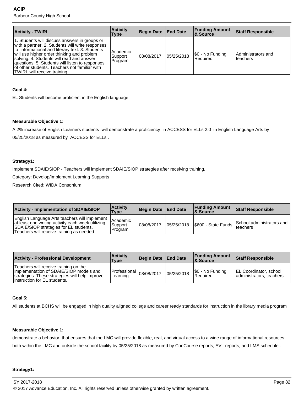| <b>Activity - TWIRL</b>                                                                                                                                                                                                                                                                                                                                                             | <b>Activity</b><br><b>Type</b> | Begin Date   End Date |            | <b>Funding Amount</b><br><b>8. Source</b> | <b>Staff Responsible</b>        |
|-------------------------------------------------------------------------------------------------------------------------------------------------------------------------------------------------------------------------------------------------------------------------------------------------------------------------------------------------------------------------------------|--------------------------------|-----------------------|------------|-------------------------------------------|---------------------------------|
| 1. Students will discuss answers in groups or<br>with a partner. 2. Students will write responses<br>to informational and literary text. 3. Students<br>will use higher order thinking and problem<br>solving. 4. Students will read and answer<br>questions. 5. Students will listen to responses<br>of other students. Teachers not familiar with<br>TWIRL will receive training. | Academic<br>Support<br>Program | 108/08/2017           | 05/25/2018 | \$0 - No Funding<br>l Reauired            | Administrators and<br>lteachers |

# **Goal 4:**

EL Students will become proficient in the English language

# **Measurable Objective 1:**

A 2% increase of English Learners students will demonstrate a proficiency in ACCESS for ELLs 2.0 in English Language Arts by 05/25/2018 as measured by ACCESS for ELLs .

# **Strategy1:**

Implement SDAIE/SIOP - Teachers will implement SDAIE/SIOP strategies after receiving training.

Category: Develop/Implement Learning Supports

Research Cited: WIDA Consortium

| <b>Activity - Implementation of SDAIE/SIOP</b>                                                                                                                                            | <b>Activity</b><br>Type        | Begin Date End Date |             | <b>Funding Amount</b><br>& Source | <b>Staff Responsible</b>                           |
|-------------------------------------------------------------------------------------------------------------------------------------------------------------------------------------------|--------------------------------|---------------------|-------------|-----------------------------------|----------------------------------------------------|
| English Language Arts teachers will implement<br>at least one writing activity each week utilizing<br>SDAIE/SIOP strategies for EL students.<br>Teachers will receive training as needed. | Academic<br>Support<br>Program | 08/08/2017          | 105/25/2018 | S600 - State Funds                | School administrators and<br><sup>1</sup> teachers |

| <b>Activity - Professional Development</b>                                                                                                                          | <b>Activity</b><br>Type                | Begin Date End Date |            | <b>Funding Amount</b><br><b>8 Source</b> | <b>Staff Responsible</b>                                  |
|---------------------------------------------------------------------------------------------------------------------------------------------------------------------|----------------------------------------|---------------------|------------|------------------------------------------|-----------------------------------------------------------|
| Teachers will receive training on the<br>implementation of SDAIE/SIOP models and<br>strategies. These strategies will help improve<br>linstruction for EL students. | Professional $ 08/08/2017$<br>Learning |                     | 05/25/2018 | \$0 - No Funding<br>Required             | <b>EL Coordinator, school</b><br>administrators, teachers |

# **Goal 5:**

All students at BCHS will be engaged in high quality aligned college and career ready standards for instruction in the library media program

# **Measurable Objective 1:**

demonstrate a behavior that ensures that the LMC will provide flexible, real, and virtual access to a wide range of informational resources both within the LMC and outside the school facility by 05/25/2018 as measured by ConCourse reports, AVL reports, and LMS schedule..

#### **Strategy1:**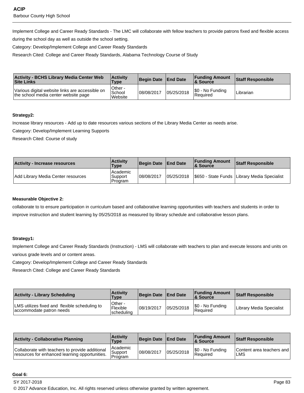Implement College and Career Ready Standards - The LMC will collaborate with fellow teachers to provide patrons fixed and flexible access

during the school day as well as outside the school setting.

Category: Develop/Implement College and Career Ready Standards

Research Cited: College and Career Ready Standards, Alabama Technology Course of Study

| <b>Activity - BCHS Library Media Center Web</b><br><b>Site Links</b>                    | <b>Activity</b><br><b>Type</b> | Begin Date End Date |            | <b>Funding Amount</b><br>& Source | <b>Staff Responsible</b> |
|-----------------------------------------------------------------------------------------|--------------------------------|---------------------|------------|-----------------------------------|--------------------------|
| Various digital website links are accessible on<br>the school media center website page | Other -<br>School<br>Website   | 08/08/2017          | 05/25/2018 | \$0 - No Funding<br>Required      | Librarian                |

# **Strategy2:**

Increase library resources - Add up to date resources various sections of the Library Media Center as needs arise.

Category: Develop/Implement Learning Supports

Research Cited: Course of study

| Activity - Increase resources      | <b>Activity</b><br><b>Type</b>  | Begin Date End Date | <b>Funding Amount</b><br>& Source | <b>Staff Responsible</b>                                    |
|------------------------------------|---------------------------------|---------------------|-----------------------------------|-------------------------------------------------------------|
| Add Library Media Center resources | Academic<br>'Support<br>Program | 108/08/2017         |                                   | 05/25/2018   \$650 - State Funds   Library Media Specialist |

# **Measurable Objective 2:**

collaborate to to ensure participation in curriculum based and collaborative learning opportunities with teachers and students in order to improve instruction and student learning by 05/25/2018 as measured by library schedule and collaborative lesson plans.

# **Strategy1:**

Implement College and Career Ready Standards (Instruction) - LMS will collaborate with teachers to plan and execute lessons and units on various grade levels and or content areas.

Category: Develop/Implement College and Career Ready Standards

Research Cited: College and Career Ready Standards

| <b>Activity - Library Scheduling</b>                                      | <b>Activity</b><br><b>Type</b>     | Begin Date   End Date |            | <b>Funding Amount</b><br>8. Source | Staff Responsible        |
|---------------------------------------------------------------------------|------------------------------------|-----------------------|------------|------------------------------------|--------------------------|
| LMS utilizes fixed and flexible scheduling to<br>accommodate patron needs | Other -<br>Flexible<br> scheduling | 08/19/2017            | 05/25/2018 | S0 - No Funding<br>Required        | Library Media Specialist |

| <b>Activity - Collaborative Planning</b>                                                          | <b>Activity</b><br><b>Type</b>          | Begin Date   End Date |            | <b>Funding Amount</b><br>8 Source | <b>Staff Responsible</b>                |
|---------------------------------------------------------------------------------------------------|-----------------------------------------|-----------------------|------------|-----------------------------------|-----------------------------------------|
| Collaborate with teachers to provide additional<br>resources for enhanced learning opportunities. | <b>Academic</b><br> Support <br>Program | 08/08/2017            | 05/25/2018 | \$0 - No Funding<br>Required      | Content area teachers and<br><b>LMS</b> |

#### **Goal 6:**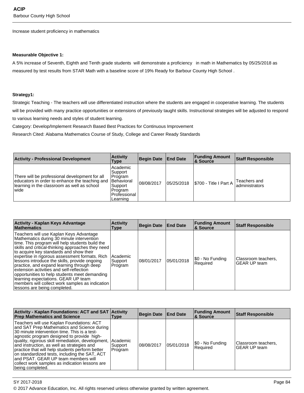Increase student proficiency in mathematics

#### **Measurable Objective 1:**

A 5% increase of Seventh, Eighth and Tenth grade students will demonstrate a proficiency in math in Mathematics by 05/25/2018 as measured by test results from STAR Math with a baseline score of 19% Ready for Barbour County High School .

#### **Strategy1:**

Strategic Teaching - The teachers will use differentiated instruction where the students are engaged in cooperative learning. The students will be provided with many practice opportunities or extensions of previously taught skills. Instructional strategies will be adjusted to respond to various learning needs and styles of student learning.

Category: Develop/Implement Research Based Best Practices for Continuous Improvement

Research Cited: Alabama Mathematics Course of Study, College and Career Ready Standards

| <b>Activity - Professional Development</b>                                                                                                              | <b>Activity</b><br><b>Type</b>                                                                        | Begin Date   End Date |            | <b>Funding Amount</b><br>8. Source | <b>Staff Responsible</b>        |
|---------------------------------------------------------------------------------------------------------------------------------------------------------|-------------------------------------------------------------------------------------------------------|-----------------------|------------|------------------------------------|---------------------------------|
| There will be professional development for all<br>educators in order to enhance the teaching and<br>learning in the classroom as well as school<br>wide | Academic<br>Support<br>Program<br><b>Behavioral</b><br>Support<br>Program<br>Professional<br>Learning | 08/08/2017            | 05/25/2018 | $ \$$ 700 - Title I Part A         | Teachers and<br>ladministrators |

| <b>Activity - Kaplan Keys Advantage</b><br><b>Mathematics</b>                                                                                                                                                                                                                                                                                                                                                                                                                                                                                                                                                   | <b>Activity</b><br>Type        | <b>Begin Date</b> | <b>End Date</b> | <b>Funding Amount</b><br>∣& Source | <b>Staff Responsible</b>                   |
|-----------------------------------------------------------------------------------------------------------------------------------------------------------------------------------------------------------------------------------------------------------------------------------------------------------------------------------------------------------------------------------------------------------------------------------------------------------------------------------------------------------------------------------------------------------------------------------------------------------------|--------------------------------|-------------------|-----------------|------------------------------------|--------------------------------------------|
| Teachers will use Kaplan Keys Advantage<br>Mathematics during 30 minute intervention<br>time. This program will help students build the<br>skills and critical-thinking approaches they need<br>to acquire key standards and show their<br>expertise in rigorous assessment formats. Rich<br>lessons introduce the skills, provide ongoing<br>practice, and expand learning through deep<br>extension activities and self-reflection<br>opportunities to help students meet demanding<br>learning expectations. GEAR UP team<br>members will collect work samples as indication<br>lessons are being completed. | Academic<br>Support<br>Program | 108/01/2017       | 05/01/2018      | \$0 - No Funding<br>Required       | Classroom teachers.<br><b>GEAR UP team</b> |

| Activity - Kaplan Foundations: ACT and SAT Activity<br><b>Prep Mathematics and Science</b>                                                                                                                                                                                                                                                                                                                                                                                                                 | Type                                  | Begin Date End Date |            | <b>Funding Amount</b><br>& Source | <b>Staff Responsible</b>            |
|------------------------------------------------------------------------------------------------------------------------------------------------------------------------------------------------------------------------------------------------------------------------------------------------------------------------------------------------------------------------------------------------------------------------------------------------------------------------------------------------------------|---------------------------------------|---------------------|------------|-----------------------------------|-------------------------------------|
| Teachers will use Kaplan Foundations: ACT<br>and SAT Prep Mathematics and Science during<br>30 minute intervention time. This is a test-<br>agnostic program designed to provide high-<br>quality, rigorous skill remediation, development,<br>and instruction, as well as strategies and<br>practice that will help students perform better<br>on standardized tests, including the SAT, ACT<br>and PSAT. GEAR UP team members will<br>collect work samples as indication lessons are<br>being completed. | <b>Academic</b><br>Support<br>Program | 08/08/2017          | 05/01/2018 | \$0 - No Funding<br>Required      | Classroom teachers,<br>GEAR UP team |

SY 2017-2018 Page 84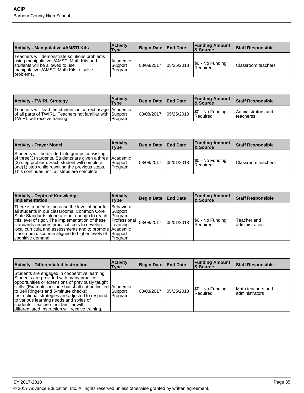| <b>Activity - Manipulatives/AMSTI Kits</b>                                                                                                                                         | <b>Activity</b><br>Type        | <b>Begin Date</b> | <b>End Date</b> | <b>Funding Amount</b><br>8 Source               | Staff Responsible  |
|------------------------------------------------------------------------------------------------------------------------------------------------------------------------------------|--------------------------------|-------------------|-----------------|-------------------------------------------------|--------------------|
| Teachers will demonstrate solutions problems<br>using manipulatives/AMSTI Math Kits and<br>students will be allowed to use<br>Imanipulatives/AMSTI Math Kits to solve<br>problems. | Academic<br>Support<br>Program | 08/08/2017        | 05/25/2018      | $\frac{60}{50}$ - No Funding<br><b>Required</b> | Classroom teachers |

| <b>Activity - TWIRL Strategy</b>                                                                                                                       | <b>Activity</b><br><b>Type</b> | Begin Date End Date |            | <b>Funding Amount</b><br>& Source | <b>Staff Responsible</b>         |
|--------------------------------------------------------------------------------------------------------------------------------------------------------|--------------------------------|---------------------|------------|-----------------------------------|----------------------------------|
| Teachers will lead the students in correct usage Academic<br>of all parts of TWIRL. Teachers not familiar with Support<br>TWIRL will receive training. | Program                        | 08/08/2017          | 05/25/2018 | \$0 - No Funding<br>l Reauired    | Administrators and<br>Iteacherss |

| <b>Activity - Frayer Model</b>                                                                                                                                                                                                                                    | <b>Activity</b><br>Type | Begin Date End Date |            | <b>Funding Amount</b><br>∣& Source | Staff Responsible  |
|-------------------------------------------------------------------------------------------------------------------------------------------------------------------------------------------------------------------------------------------------------------------|-------------------------|---------------------|------------|------------------------------------|--------------------|
| Students will be divided into groups consisting<br>of three(3) students. Students are given a three Academic<br>$(3)$ step problem. Each student will complete<br>one(1) step while rewriting the previous steps.<br>This continues until all steps are complete. | Support<br>Program      | 108/08/2017         | 05/01/2018 | \$0 - No Funding<br>Required       | Classroom teachers |

| <b>Activity - Depth of Knowledge</b><br><b>Implementation</b>                                                                                                                                                                                                                                                                                                                                                        | <b>Activity</b><br>Type                                               | <b>Begin Date</b> | <b>End Date</b> | <b>Funding Amount</b><br>∣& Source | <b>Staff Responsible</b>      |
|----------------------------------------------------------------------------------------------------------------------------------------------------------------------------------------------------------------------------------------------------------------------------------------------------------------------------------------------------------------------------------------------------------------------|-----------------------------------------------------------------------|-------------------|-----------------|------------------------------------|-------------------------------|
| There is a need to increase the level of rigor for  Behavioral<br>all students in our classrooms. Common Core<br>State Standards alone are not enough to reach [Program]<br>this level of rigor. The implementation of these<br>standards requires practical tools to develop<br>local curricula and assessments and to promote Academic<br>  classroom discourse aligned to higher levels of  <br>cognitive demand. | l Support<br><b>IProfessional</b><br>Learning<br> Support <br>Program | 08/08/2017        | 05/01/2018      | \$0 - No Funding<br>l Reauired     | Teacher and<br>administration |

| <b>Activity - Differentiated Instruction</b>                                                                                                                                                                                                                                                                                                                                                                                                             | <b>Activity</b><br>Type | Begin Date End Date |            | <b>Funding Amount</b><br>∣& Source | <b>Staff Responsible</b>             |
|----------------------------------------------------------------------------------------------------------------------------------------------------------------------------------------------------------------------------------------------------------------------------------------------------------------------------------------------------------------------------------------------------------------------------------------------------------|-------------------------|---------------------|------------|------------------------------------|--------------------------------------|
| Students are engaged in cooperative learning.<br>Students are provided with many practice<br>opportunities or extensions of previously taught<br>skills. (Examples include but shall not be limited Academic<br>to Bell Ringers and 5-minute checks)<br>Instructional strategies are adjusted to respond Program<br>to various learning needs and styles of<br>students. Teachers not familiar with<br>differentiated Instruction will receive training. | ∣Support                | 108/08/2017         | 05/25/2018 | S0 - No Funding<br>Required        | lMath teachers and<br>administrators |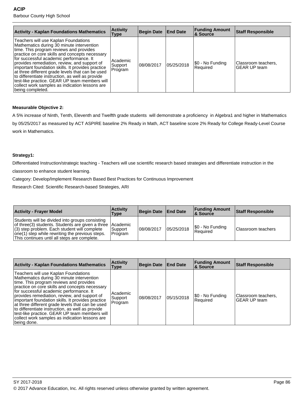| <b>Activity - Kaplan Foundations Mathematics</b>                                                                                                                                                                                                                                                                                                                                                                                                                                                                                                              | <b>Activity</b><br><b>Type</b> | <b>Begin Date</b> | <b>End Date</b> | <b>Funding Amount</b><br>∣& Source | <b>Staff Responsible</b>            |
|---------------------------------------------------------------------------------------------------------------------------------------------------------------------------------------------------------------------------------------------------------------------------------------------------------------------------------------------------------------------------------------------------------------------------------------------------------------------------------------------------------------------------------------------------------------|--------------------------------|-------------------|-----------------|------------------------------------|-------------------------------------|
| Teachers will use Kaplan Foundations<br>Mathematics during 30 minute intervention<br>time. This program reviews and provides<br>practice on core skills and concepts necessary<br>for successful academic performance. It<br>provides remediation, review, and support of<br>important foundation skills. It provides practice<br>at three different grade levels that can be used<br>to differentiate instruction, as well as provide<br>test-like practice. GEAR UP team members will<br>collect work samples as indication lessons are<br>being completed. | Academic<br>Support<br>Program | 108/08/2017       | 05/25/2018      | \$0 - No Funding<br>Required       | Classroom teachers,<br>GEAR UP team |

# **Measurable Objective 2:**

A 5% increase of Ninth, Tenth, Eleventh and Twelfth grade students will demonstrate a proficiency in Algebra1 and higher in Mathematics by 05/25/2017 as measured by ACT ASPIRE baseline 2% Ready in Math, ACT baseline score 2% Ready for College Ready-Level Course work in Mathematics.

# **Strategy1:**

Differentiated Instruction/strategic teaching - Teachers will use scientific research based strategies and differentiate instruction in the

classroom to enhance student learning.

Category: Develop/Implement Research Based Best Practices for Continuous Improvement

Research Cited: Scientific Research-based Strategies, ARI

| <b>Activity - Frayer Model</b>                                                                                                                                                                                                                                      | <b>Activity</b><br>Type | Begin Date   End Date |            | <b>Funding Amount</b><br>∣& Source     | Staff Responsible  |
|---------------------------------------------------------------------------------------------------------------------------------------------------------------------------------------------------------------------------------------------------------------------|-------------------------|-----------------------|------------|----------------------------------------|--------------------|
| Students will be divided into groups consisting<br>of three(3) students. Students are given a three   Academic<br>$(3)$ step problem. Each student will complete<br>one(1) step while rewriting the previous steps.<br>This continues until all steps are complete. | Support<br>Program      | 108/08/2017           | 05/25/2018 | $ \$0 - No Funding$<br><b>Required</b> | Classroom teachers |

| <b>Activity - Kaplan Foundations Mathematics</b>                                                                                                                                                                                                                                                                                                                                                                                                                                                                                                          | <b>Activity</b><br>Type         | <b>Begin Date</b> | <b>End Date</b> | <b>Funding Amount</b><br>∣& Source | Staff Responsible                          |
|-----------------------------------------------------------------------------------------------------------------------------------------------------------------------------------------------------------------------------------------------------------------------------------------------------------------------------------------------------------------------------------------------------------------------------------------------------------------------------------------------------------------------------------------------------------|---------------------------------|-------------------|-----------------|------------------------------------|--------------------------------------------|
| Teachers will use Kaplan Foundations<br>Mathematics during 30 minute intervention<br>time. This program reviews and provides<br>practice on core skills and concepts necessary<br>for successful academic performance. It<br>provides remediation, review, and support of<br>important foundation skills. It provides practice<br>at three different grade levels that can be used<br>to differentiate instruction, as well as provide<br>test-like practice. GEAR UP team members will<br>collect work samples as indication lessons are<br> being done. | Academic<br>Support<br> Program | 08/08/2017        | 05/15/2018      | \$0 - No Funding<br>Required       | Classroom teachers,<br><b>GEAR UP team</b> |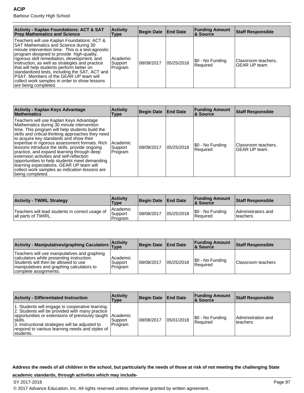| <b>Activity - Kaplan Foundations: ACT &amp; SAT</b><br><b>Prep Mathematics and Science</b>                                                                                                                                                                                                                                                                                                                                                                                                                          | <b>Activity</b><br>Type        | Begin Date   End Date |            | <b>Funding Amount</b><br>& Source | <b>Staff Responsible</b>                   |
|---------------------------------------------------------------------------------------------------------------------------------------------------------------------------------------------------------------------------------------------------------------------------------------------------------------------------------------------------------------------------------------------------------------------------------------------------------------------------------------------------------------------|--------------------------------|-----------------------|------------|-----------------------------------|--------------------------------------------|
| Teachers will use Kaplan Foundations: ACT &<br>SAT Mathematics and Science during 30<br>minute intervention time. This is a test-agnostic<br>program designed to provide high-quality,<br>rigorous skill remediation, development, and<br>instruction, as well as strategies and practice<br>that will help students perform better on<br>standardized tests, including the SAT, ACT and<br><b>IPSAT.</b> Members of the GEAR UP team will<br>collect work samples in order to show lessons<br>are being completed. | Academic<br>Support<br>Program | 08/08/2017            | 05/25/2018 | [\$0 - No Funding<br>l Reauired   | Classroom teachers,<br><b>GEAR UP team</b> |

| <b>Activity - Kaplan Keys Advantage</b><br><b>Mathematics</b>                                                                                                                                                                                                                                                                                                                                                                                                                                                                                                                                           | <b>Activity</b><br>Type        | Begin Date | <b>End Date</b> | <b>Funding Amount</b><br><b>&amp; Source</b> | <b>Staff Responsible</b>                   |
|---------------------------------------------------------------------------------------------------------------------------------------------------------------------------------------------------------------------------------------------------------------------------------------------------------------------------------------------------------------------------------------------------------------------------------------------------------------------------------------------------------------------------------------------------------------------------------------------------------|--------------------------------|------------|-----------------|----------------------------------------------|--------------------------------------------|
| Teachers will use Kaplan Keys Advantage<br>Mathematics during 30 minute intervention<br>time. This program will help students build the<br>skills and critical-thinking approaches they need<br>to acquire key standards and show their<br>expertise in rigorous assessment formats. Rich<br>lessons introduce the skills, provide ongoing<br>practice, and expand learning through deep<br>extension activities and self-reflection<br>opportunities to help students meet demanding<br>learning expectations. GEAR UP team will<br>collect work samples as indication lessons are<br>being completed. | Academic<br>Support<br>Program | 08/08/2017 | 05/25/2018      | \$0 - No Funding<br>Required                 | Classroom teachers,<br><b>GEAR UP team</b> |

| <b>Activity - TWIRL Strategy</b>                                        | <b>Activity</b><br><b>Type</b>   | <b>Begin Date</b> | <b>End Date</b> | <b>Funding Amount</b><br><b>&amp; Source</b> | <b>Staff Responsible</b>        |
|-------------------------------------------------------------------------|----------------------------------|-------------------|-----------------|----------------------------------------------|---------------------------------|
| Teachers will lead students in correct usage of<br>lall parts of TWIRL. | l Academic<br>Support<br>Program | 08/08/2017        | 05/25/2018      | \$0 - No Funding<br>Required                 | Administrators and<br>lteachers |

| Activity - Manipulatives/graphing Caculators Activity                                                                                                                                                   |                                | Begin Date   End Date |            | <b>Funding Amount</b><br>∣& Source  | <b>Staff Responsible</b> |
|---------------------------------------------------------------------------------------------------------------------------------------------------------------------------------------------------------|--------------------------------|-----------------------|------------|-------------------------------------|--------------------------|
| Teachers will use manipulatives and graphing<br>calculators while presenting instruction.<br>Students will then be allowed to use<br>manipulatives and graphing calculators to<br>complete assignments. | Academic<br>Support<br>Program | 108/08/2017           | 05/25/2018 | \$0 - No Funding<br><b>Required</b> | Classroom teachers       |

| <b>Activity - Differentiated Instruction</b>                                                                                                                                                                                                                                                     | <b>Activity</b><br>Type | Begin Date End Date |            | <b>Funding Amount</b><br>∣& Source | Staff Responsible                |
|--------------------------------------------------------------------------------------------------------------------------------------------------------------------------------------------------------------------------------------------------------------------------------------------------|-------------------------|---------------------|------------|------------------------------------|----------------------------------|
| 1. Students will engage in cooperative learning.<br>2. Students will be provided with many practice<br>opportunities or extensions of previously taught Academic<br>Iskills.<br>3. Instructional strategies will be adjusted to<br>respond to various learning needs and styles of<br>Istudents. | l Support<br>Program    | 08/08/2017          | 05/01/2018 | S0 - No Funding<br>l Reauired      | Administration and<br>l teachers |

**Address the needs of all children in the school, but particularly the needs of those at risk of not meeting the challenging State**

# **academic standards, through activities which may include-**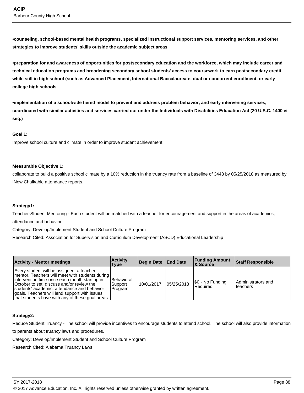**•counseling, school-based mental health programs, specialized instructional support services, mentoring services, and other strategies to improve students' skills outside the academic subject areas**

**•preparation for and awareness of opportunities for postsecondary education and the workforce, which may include career and technical education programs and broadening secondary school students' access to coursework to earn postsecondary credit while still in high school (such as Advanced Placement, International Baccalaureate, dual or concurrent enrollment, or early college high schools**

**•implementation of a schoolwide tiered model to prevent and address problem behavior, and early intervening services, coordinated with similar activities and services carried out under the Individuals with Disabilities Education Act (20 U.S.C. 1400 et seq.)**

#### **Goal 1:**

Improve school culture and climate in order to improve student achievement

#### **Measurable Objective 1:**

collaborate to build a positive school climate by a 10% reduction in the truancy rate from a baseline of 3443 by 05/25/2018 as measured by INow Chalkable attendance reports.

#### **Strategy1:**

Teacher-Student Mentoring - Each student will be matched with a teacher for encouragement and support in the areas of academics, attendance and behavior.

Category: Develop/Implement Student and School Culture Program

Research Cited: Association for Supervision and Curriculum Development (ASCD) Educational Leadership

| <b>Activity - Mentor meetings</b>                                                                                                                                                                                                                                                                                                             | <b>Activity</b><br>Type                 | Begin Date End Date |            | <b>Funding Amount</b><br>∣& Source | <b>Staff Responsible</b>        |
|-----------------------------------------------------------------------------------------------------------------------------------------------------------------------------------------------------------------------------------------------------------------------------------------------------------------------------------------------|-----------------------------------------|---------------------|------------|------------------------------------|---------------------------------|
| Every student will be assigned a teacher<br>mentor. Teachers will meet with students during<br>intervention time once each month starting in<br>October to set, discuss and/or review the<br>students' academic, attendance and behavior<br>goals. Teachers will lend support with issues<br>that students have with any of these goal areas. | <b>Behavioral</b><br>Support<br>Program | 10/01/2017          | 05/25/2018 | \$0 - No Funding<br>Required       | Administrators and<br>lteachers |

# **Strategy2:**

Reduce Student Truancy - The school will provide incentives to encourage students to attend school. The school will also provide information

to parents about truancy laws and procedures.

Category: Develop/Implement Student and School Culture Program

Research Cited: Alabama Truancy Laws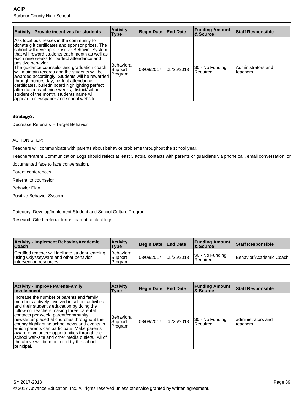| <b>Activity - Provide incentives for students</b>                                                                                                                                                                                                                                                                                                                                                                                                                                                                                                                                                                                                              | <b>Activity</b><br><b>Type</b>          | Begin Date  | <b>End Date</b> | <b>Funding Amount</b><br>∣& Source | <b>Staff Responsible</b>       |
|----------------------------------------------------------------------------------------------------------------------------------------------------------------------------------------------------------------------------------------------------------------------------------------------------------------------------------------------------------------------------------------------------------------------------------------------------------------------------------------------------------------------------------------------------------------------------------------------------------------------------------------------------------------|-----------------------------------------|-------------|-----------------|------------------------------------|--------------------------------|
| Ask local businesses in the community to<br>donate gift certificates and sponsor prizes. The<br>school will develop a Positive Behavior System<br>that will reward students each month as well as<br>each nine weeks for perfect attendance and<br>lpositive behavior.<br>The guidance counselor and graduation coach<br>will maintain records and the students will be<br>awarded accordingly. Students will be rewarded<br>through honors day, perfect attendance<br>certificates, bulletin board highlighting perfect<br>attendance each nine weeks, district/school<br>student of the month, students name will<br>appear in newspaper and school website. | <b>Behavioral</b><br>Support<br>Program | 108/08/2017 | 05/25/2018      | \$0 - No Funding<br>Required       | Administrators and<br>teachers |

# **Strategy3:**

Decrease Referrals - Target Behavior

#### ACTION STEP:

Teachers will communicate with parents about behavior problems throughout the school year.

Teacher/Parent Communication Logs should reflect at least 3 actual contacts with parents or guardians via phone call, email conversation, or

documented face to face conversation.

Parent conferences

Referral to counselor

Behavior Plan

Positive Behavior System

Category: Develop/Implement Student and School Culture Program

Research Cited: referral forms, parent contact logs

| <b>Activity - Implement Behavior/Academic</b><br><b>Coach</b>                                                          | <b>Activity</b><br><b>Type</b>          | Begin Date   End Date |            | <b>Funding Amount</b><br><b>8 Source</b> | <b>Staff Responsible</b> |
|------------------------------------------------------------------------------------------------------------------------|-----------------------------------------|-----------------------|------------|------------------------------------------|--------------------------|
| Certified teacher will facilitate student learning<br>using Odysseyware and other behavior<br>lintervention resources. | <b>Behavioral</b><br>Support<br>Program | 108/08/2017           | 05/25/2018 | S0 - No Funding<br>l Reauired            | Behavior/Academic Coach  |

| <b>Activity - Improve Parent/Family</b><br><b>Involvement</b>                                                                                                                                                                                                                                                                                                                                                                                                                                                                               | <b>Activity</b><br>Type           | <b>Begin Date</b> | <b>End Date</b> | <b>Funding Amount</b><br>∣& Source | <b>Staff Responsible</b>       |
|---------------------------------------------------------------------------------------------------------------------------------------------------------------------------------------------------------------------------------------------------------------------------------------------------------------------------------------------------------------------------------------------------------------------------------------------------------------------------------------------------------------------------------------------|-----------------------------------|-------------------|-----------------|------------------------------------|--------------------------------|
| Increase the number of parents and family<br>members actively involved in school activities<br>and their student's education by doing the<br>following: teachers making three parental<br>contacts per week, parent/community<br>newsletter placed at churches throughout the<br>county highlighting school news and events in<br>which parents can participate. Make parents<br>aware of volunteer opportunities through the<br>school web-site and other media outlets. All of<br>the above will be monitored by the school<br>principal. | Behavioral<br>Support<br>∣Program | 08/08/2017        | 05/25/2018      | \$0 - No Funding<br>Required       | administrators and<br>teachers |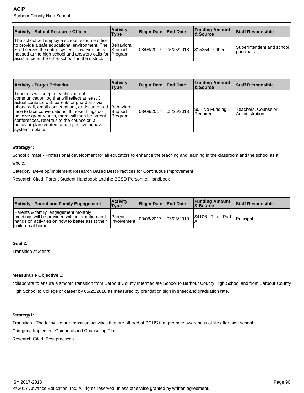| <b>Activity - School Resource Officer</b>                                                                                                                                                                                                                                    | <b>Activity</b><br>Type | Begin Date   End Date |            | <b>Funding Amount</b><br>∣& Source | Staff Responsible                        |
|------------------------------------------------------------------------------------------------------------------------------------------------------------------------------------------------------------------------------------------------------------------------------|-------------------------|-----------------------|------------|------------------------------------|------------------------------------------|
| The school will employ a school resource officer<br>to provide a safe educational environment. The Behavioral<br>SRO serves the entire system; however, he is<br>housed at the high school and answers calls for Program<br>assistance at the other schools in the district. | <b>Support</b>          | 108/08/2017           | 05/25/2018 | S15354 - Other                     | Superintendent and school<br> principals |

| <b>Activity - Target Behavior</b>                                                                                                                                                                                                                                                                                                                                                                                             | <b>Activity</b><br>Type | <b>Begin Date</b> | <b>End Date</b> | <b>Funding Amount</b><br>∣& Source | <b>Staff Responsible</b>               |
|-------------------------------------------------------------------------------------------------------------------------------------------------------------------------------------------------------------------------------------------------------------------------------------------------------------------------------------------------------------------------------------------------------------------------------|-------------------------|-------------------|-----------------|------------------------------------|----------------------------------------|
| Teachers will keep a teacher/parent<br>communication log that will reflect at least 3<br>actual contacts with parents or guardians via<br>phone call, email conversation, or documented Behavioral<br>face to face conversations. If those things do<br>not give great results, there will then be parent<br>conferences, referrals to the counselor, a<br>behavior plan created, and a positive behavior<br>system in place. | Support<br>Program      | 108/08/2017       | 05/25/2018      | [\$0 - No Funding<br>l Reauired    | Teachers, Counselor,<br>Administration |

# **Strategy4:**

School climate - Professional development for all educators to enhance the teaching and learning in the classroom and the school as a whole.

Category: Develop/Implement Research Based Best Practices for Continuous Improvement

Research Cited: Parent Student Handbook and the BCSD Personnel Handbook

| <b>Activity - Parent and Family Engagement</b>                                                                                                                   | <b>Activity</b><br><b>Type</b> | Begin Date End Date |            | <b>Funding Amount</b><br>8. Source                   | <b>Staff Responsible</b> |
|------------------------------------------------------------------------------------------------------------------------------------------------------------------|--------------------------------|---------------------|------------|------------------------------------------------------|--------------------------|
| Parents & family engagement monthly<br>meetings will be provided with information and<br>hands on activities on how to better assist their<br>Ichildren at home. | Parent<br><i>I</i> Involvement | 08/08/2017          | 05/25/2018 | $\frac{1}{2}$ \$4106 - Title I Part $\left  \right $ | Principal                |

#### **Goal 2:**

Transition students

# **Measurable Objective 1:**

collaborate to ensure a smooth transition from Barbour County Intermediate School to Barbour County High School and from Barbour County High School to College or career by 05/25/2018 as measured by orentiation sign in sheet and graduation rate.

# **Strategy1:**

Transition - The following are transition activities that are offered at BCHS that promote awareness of life after high school.

Category: Implement Guidance and Counseling Plan

Research Cited: Best practices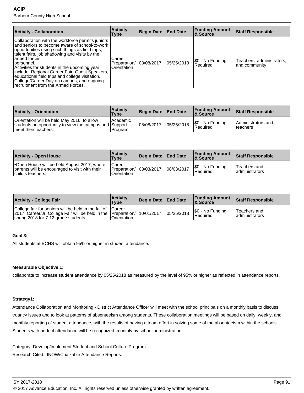| <b>Activity - Collaboration</b>                                                                                                                                                                                                                                                                                                                                                                                                                                              | <b>Activity</b><br>Type               | <b>Begin Date</b> | <b>End Date</b> | <b>Funding Amount</b><br>& Source | <b>Staff Responsible</b>                   |
|------------------------------------------------------------------------------------------------------------------------------------------------------------------------------------------------------------------------------------------------------------------------------------------------------------------------------------------------------------------------------------------------------------------------------------------------------------------------------|---------------------------------------|-------------------|-----------------|-----------------------------------|--------------------------------------------|
| Collaboration with the workforce permits juniors<br>and seniors to become aware of school-to-work<br>opportunities using such things as field trips,<br>talent fairs, job shadowing and visits by the<br>larmed forces<br>Dersonnel.<br>Activities for students in the upcoming year<br>include: Regional Career Fair, Guest Speakers,<br>educational field trips and college visitation,<br>College/Career Day on campus, and ongoing<br>recruitment from the Armed Forces. | Career<br>Preparation/<br>Orientation | 08/08/2017        | 05/25/2018      | S0 - No Funding<br>Required       | Teachers, administrators,<br>and community |

| <b>Activity - Orientation</b>                                                                                                  | <b>Activity</b><br><b>Type</b> | Begin Date   End Date |            | <b>Funding Amount</b><br>& Source  | <b>Staff Responsible</b>          |
|--------------------------------------------------------------------------------------------------------------------------------|--------------------------------|-----------------------|------------|------------------------------------|-----------------------------------|
| Orientation will be held May 2016, to allow<br>students an opportunity to view the campus and Support<br>Imeet their teachers. | l Academic<br>l Program        | 108/08/2017           | 05/25/2018 | S0 - No Funding<br><b>Required</b> | l Administrators and<br>Iteachers |

| <b>Activity - Open House</b>                                                                                       | <b>Activity</b><br><b>Type</b>                   | Begin Date   End Date |            | <b>Funding Amount</b><br>& Source   | Staff Responsible               |
|--------------------------------------------------------------------------------------------------------------------|--------------------------------------------------|-----------------------|------------|-------------------------------------|---------------------------------|
| Open House will be held August 2017, where<br>parents will be encouraged to visit with their<br>Ichild's teachers. | Career<br>Preparation/ 08/03/2017<br>Orientation |                       | 08/03/2017 | \$0 - No Funding<br><b>Required</b> | Teachers and<br>ladministrators |

| <b>Activity - College Fair</b>                                                                                                                                                   | <b>Activity</b><br><b>Type</b> | Begin Date End Date |            | <b>Funding Amount</b><br>8 Source | <b>Staff Responsible</b>        |
|----------------------------------------------------------------------------------------------------------------------------------------------------------------------------------|--------------------------------|---------------------|------------|-----------------------------------|---------------------------------|
| College fair for seniors will be held in the fall of Career<br>2017. Career/Jr. College Fair will be held in the Preparation/ 10/01/2017<br>spring 2018 for 7-12 grade students. | Orientation                    |                     | 05/25/2018 | S0 - No Funding<br>Required       | Teachers and<br>ladministrators |

# **Goal 3:**

All students at BCHS will obtain 95% or higher in student attendance.

# **Measurable Objective 1:**

collaborate to increase student attendance by 05/25/2018 as measured by the level of 95% or higher as reflected in attendance reports.

# **Strategy1:**

Attendance Collaboration and Monitoring - District Attendance Officer will meet with the school principals on a monthly basis to discuss truancy issues and to look at patterns of absenteeism among students. These collaboration meetings will be based on daily, weekly, and monthly reporting of student attendance, with the results of having a team effort in solving some of the absenteeism within the schools. Students with perfect attendance will be recognized monthly by school administration.

Category: Develop/Implement Student and School Culture Program Research Cited: INOW/Chalkable Attendance Reports.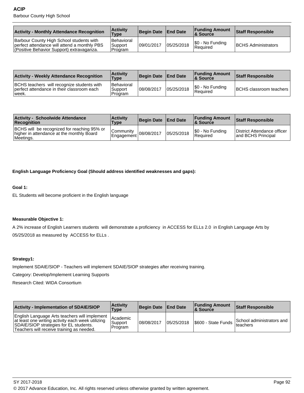| <b>Activity - Monthly Attendance Recognition</b>                                                                                      | <b>Activity</b><br>Type          | Begin Date End Date |            | <b>Funding Amount</b><br>∣& Source | <b>Staff Responsible</b>   |
|---------------------------------------------------------------------------------------------------------------------------------------|----------------------------------|---------------------|------------|------------------------------------|----------------------------|
| Barbour County High School students with<br>perfect attendance will attend a monthly PBS<br>(Positive Behavior Support) extravaganza. | Behavioral<br>Support<br>Program | 109/01/2017         | 05/25/2018 | S0 - No Funding<br>Required        | <b>BCHS Administrators</b> |

| <b>Activity - Weekly Attendance Recognition</b>                                                    | <b>Activity</b><br><b>Type</b>        | Begin Date End Date |            | <b>Funding Amount</b><br>∣& Source | <b>Staff Responsible</b>         |
|----------------------------------------------------------------------------------------------------|---------------------------------------|---------------------|------------|------------------------------------|----------------------------------|
| BCHS teachers will recognize students with<br>perfect attendance in their classroom each<br>lweek. | l Behavioral<br>'Support<br>l Program | 08/08/2017          | 05/25/2018 | \$0 - No Funding<br>Required       | <b>BCHS</b> classroom teachers I |

| <b>Activity - Schoolwide Attendance</b><br><b>Recognition</b>                                         | <b>Activity</b><br><b>Type</b>                      | Begin Date   End Date |            | <b>Funding Amount</b><br><b>&amp; Source</b> | <b>Staff Responsible</b>                           |
|-------------------------------------------------------------------------------------------------------|-----------------------------------------------------|-----------------------|------------|----------------------------------------------|----------------------------------------------------|
| BCHS will be recognized for reaching 95% or<br>higher in attendance at the monthly Board<br>Meetings. | Community<br>$\sim$ lEngagement 08/08/2017 105/2019 |                       | 05/25/2018 | S0 - No Funding<br>l Reauired                | District Attendance officer<br>land BCHS Principal |

**English Language Proficiency Goal (Should address identified weaknesses and gaps):**

#### **Goal 1:**

EL Students will become proficient in the English language

### **Measurable Objective 1:**

A 2% increase of English Learners students will demonstrate a proficiency in ACCESS for ELLs 2.0 in English Language Arts by 05/25/2018 as measured by ACCESS for ELLs .

# **Strategy1:**

Implement SDAIE/SIOP - Teachers will implement SDAIE/SIOP strategies after receiving training.

Category: Develop/Implement Learning Supports

Research Cited: WIDA Consortium

| <b>Activity - Implementation of SDAIE/SIOP</b>                                                                                                                                            | <b>Activity</b><br>Type            | Begin Date   End Date |            | <b>Funding Amount</b><br><b>8 Source</b> | <b>Staff Responsible</b>                           |
|-------------------------------------------------------------------------------------------------------------------------------------------------------------------------------------------|------------------------------------|-----------------------|------------|------------------------------------------|----------------------------------------------------|
| English Language Arts teachers will implement<br>at least one writing activity each week utilizing<br>SDAIE/SIOP strategies for EL students.<br>Teachers will receive training as needed. | l Academic<br>Support<br>l Program | 108/08/2017           | 05/25/2018 | S600 - State Funds                       | School administrators and<br><sup>1</sup> teachers |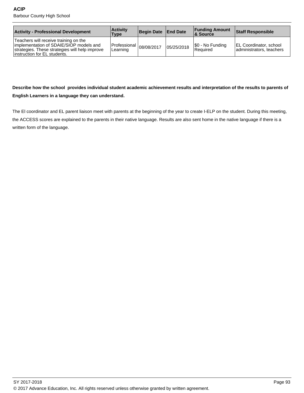| <b>Activity - Professional Development</b>                                                                                                                          | <b>Activity</b><br>Type                     | Begin Date   End Date |            | <b>Funding Amount</b><br><b>8 Source</b> | Staff Responsible                                         |
|---------------------------------------------------------------------------------------------------------------------------------------------------------------------|---------------------------------------------|-----------------------|------------|------------------------------------------|-----------------------------------------------------------|
| Teachers will receive training on the<br>limplementation of SDAIE/SIOP models and<br>strategies. These strategies will help improve<br>instruction for EL students. | Professional $ 08/08/2017$ loss<br>∟earning |                       | 05/25/2018 | \$0 - No Funding<br><b>Required</b>      | <b>EL Coordinator, school</b><br>administrators, teachers |

# **Describe how the school provides individual student academic achievement results and interpretation of the results to parents of English Learners in a language they can understand.**

The El coordinator and EL parent liaison meet with parents at the beginning of the year to create I-ELP on the student. During this meeting, the ACCESS scores are explained to the parents in their native language. Results are also sent home in the native language if there is a written form of the language.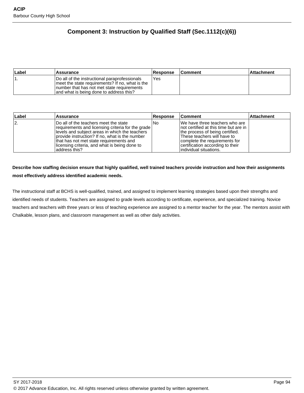# **Component 3: Instruction by Qualified Staff (Sec.1112(c)(6))**

| ∣Label | <b>Assurance</b>                                                                                                                                                                             | <b>Response</b> | <b>Comment</b> | Attachment |
|--------|----------------------------------------------------------------------------------------------------------------------------------------------------------------------------------------------|-----------------|----------------|------------|
|        | Do all of the instructional paraprofessionals<br>I meet the state requirements? If no, what is the<br>Inumber that has not met state requirements<br>and what is being done to address this? | Yes             |                |            |

| ∣Label | <b>Assurance</b>                                                                                                                                                                                                                                                                                                  | <b>Response</b> | <b>Comment</b>                                                                                                                                                                                                                             | <b>Attachment</b> |
|--------|-------------------------------------------------------------------------------------------------------------------------------------------------------------------------------------------------------------------------------------------------------------------------------------------------------------------|-----------------|--------------------------------------------------------------------------------------------------------------------------------------------------------------------------------------------------------------------------------------------|-------------------|
| 12.    | IDo all of the teachers meet the state<br>requirements and licensing criteria for the grade  <br>llevels and subject areas in which the teachers<br>provide instruction? If no, what is the number<br>that has not met state requirements and<br>llicensing criteria, and what is being done to<br>laddress this? | INo             | We have three teachers who are<br>Inot certified at this time but are in<br>the process of being certified.<br>These teachers will have to<br>complete the requirements for<br>certification according to their<br>lindividual situations. |                   |

# **Describe how staffing decision ensure that highly qualified, well trained teachers provide instruction and how their assignments most effectively address identified academic needs.**

The instructional staff at BCHS is well-qualified, trained, and assigned to implement learning strategies based upon their strengths and identified needs of students. Teachers are assigned to grade levels according to certificate, experience, and specialized training. Novice teachers and teachers with three years or less of teaching experience are assigned to a mentor teacher for the year. The mentors assist with Chalkable, lesson plans, and classroom management as well as other daily activities.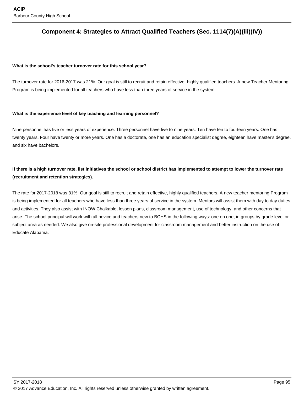# **Component 4: Strategies to Attract Qualified Teachers (Sec. 1114(7)(A)(iii)(IV))**

#### **What is the school's teacher turnover rate for this school year?**

The turnover rate for 2016-2017 was 21%. Our goal is still to recruit and retain effective, highly qualified teachers. A new Teacher Mentoring Program is being implemented for all teachers who have less than three years of service in the system.

#### **What is the experience level of key teaching and learning personnel?**

Nine personnel has five or less years of experience. Three personnel have five to nine years. Ten have ten to fourteen years. One has twenty years. Four have twenty or more years. One has a doctorate, one has an education specialist degree, eighteen have master's degree, and six have bachelors.

# **If there is a high turnover rate, list initiatives the school or school district has implemented to attempt to lower the turnover rate (recruitment and retention strategies).**

The rate for 2017-2018 was 31%. Our goal is still to recruit and retain effective, highly qualified teachers. A new teacher mentoring Program is being implemented for all teachers who have less than three years of service in the system. Mentors will assist them with day to day duties and activities. They also assist with INOW Chalkable, lesson plans, classroom management, use of technology, and other concerns that arise. The school principal will work with all novice and teachers new to BCHS in the following ways: one on one, in groups by grade level or subject area as needed. We also give on-site professional development for classroom management and better instruction on the use of Educate Alabama.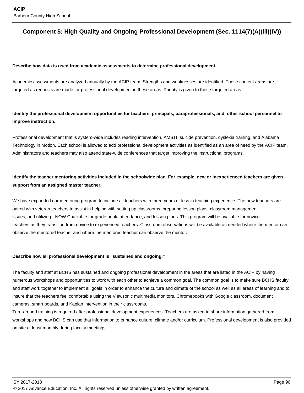# **Component 5: High Quality and Ongoing Professional Development (Sec. 1114(7)(A)(iii)(IV))**

#### **Describe how data is used from academic assessments to determine professional development.**

Academic assessments are analyzed annually by the ACIP team. Strengths and weaknesses are identified. These content areas are targeted as requests are made for professional development in these areas. Priority is given to those targeted areas.

# **Identify the professional development opportunities for teachers, principals, paraprofessionals, and other school personnel to improve instruction.**

Professional development that is system-wide includes reading intervention, AMSTI, suicide prevention, dyslexia training, and Alabama Technology in Motion. Each school is allowed to add professional development activities as identified as an area of need by the ACIP team. Administrators and teachers may also attend state-wide conferences that target improving the instructional programs.

# **Identify the teacher mentoring activities included in the schoolwide plan. For example, new or inexperienced teachers are given support from an assigned master teacher.**

We have expanded our mentoring program to include all teachers with three years or less in teaching experience. The new teachers are paired with veteran teachers to assist in helping with setting up classrooms, preparing lesson plans, classroom management issues, and utilizing I-NOW Chalkable for grade book, attendance, and lesson plans. This program will be available for novice teachers as they transition from novice to experienced teachers. Classroom observations will be available as needed where the mentor can observe the mentored teacher and where the mentored teacher can observe the mentor.

#### **Describe how all professional development is "sustained and ongoing."**

The faculty and staff at BCHS has sustained and ongoing professional development in the areas that are listed in the ACIP by having numerous workshops and opportunities to work with each other to achieve a common goal. The common goal is to make sure BCHS faculty and staff work together to implement all goals in order to enhance the culture and climate of the school as well as all areas of learning and to insure that the teachers feel comfortable using the Viewsonic multimedia monitors, Chromebooks with Google classroom, document cameras, smart boards, and Kaplan intervention in their classrooms.

Turn-around training is required after professional development experiences. Teachers are asked to share information gathered from workshops and how BCHS can use that information to enhance culture, climate and/or curriculum. Professional development is also provided on-site at least monthly during faculty meetings.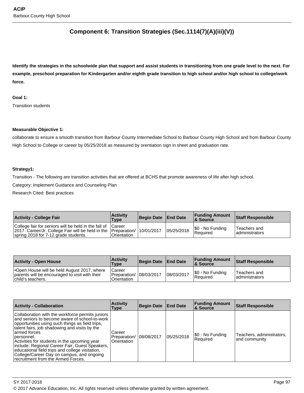# **Component 6: Transition Strategies (Sec.1114(7)(A)(iii)(V))**

**Identify the strategies in the schoolwide plan that support and assist students in transitioning from one grade level to the next. For example, preschool preparation for Kindergarten and/or eighth grade transition to high school and/or high school to college/work force.** 

# **Goal 1:**

Transition students

#### **Measurable Objective 1:**

collaborate to ensure a smooth transition from Barbour County Intermediate School to Barbour County High School and from Barbour County High School to College or career by 05/25/2018 as measured by orentiation sign in sheet and graduation rate.

### **Strategy1:**

Transition - The following are transition activities that are offered at BCHS that promote awareness of life after high school.

Category: Implement Guidance and Counseling Plan

Research Cited: Best practices

| <b>Activity - College Fair</b>                                                                                                                                        | <b>Activity</b><br>Type | Begin Date   End Date |            | <b>Funding Amount</b><br><b>8 Source</b> | <b>Staff Responsible</b>        |
|-----------------------------------------------------------------------------------------------------------------------------------------------------------------------|-------------------------|-----------------------|------------|------------------------------------------|---------------------------------|
| College fair for seniors will be held in the fall of Career<br>2017. Career/Jr. College Fair will be held in the Preparation/<br>spring 2018 for 7-12 grade students. | Orientation             | 10/01/2017            | 05/25/2018 | S0 - No Funding<br><b>Required</b>       | Teachers and<br>ladministrators |

| <b>Activity - Open House</b>                                                                                             | <b>Activity</b><br>Type               | Begin Date   End Date |            | <b>Funding Amount</b><br>& Source | Staff Responsible               |
|--------------------------------------------------------------------------------------------------------------------------|---------------------------------------|-----------------------|------------|-----------------------------------|---------------------------------|
| <b>Open House will be held August 2017, where</b><br>parents will be encouraged to visit with their<br>child's teachers. | Career<br>Preparation/<br>Orientation | 08/03/2017            | 08/03/2017 | \$0 - No Funding<br>Required      | Teachers and<br>ladministrators |

| <b>Activity - Collaboration</b>                                                                                                                                                                                                                                                                                                                                                                                                                                              | <b>Activity</b><br><b>Type</b>        | <b>Begin Date End Date</b> |            | <b>Funding Amount</b><br>& Source | Staff Responsible                          |
|------------------------------------------------------------------------------------------------------------------------------------------------------------------------------------------------------------------------------------------------------------------------------------------------------------------------------------------------------------------------------------------------------------------------------------------------------------------------------|---------------------------------------|----------------------------|------------|-----------------------------------|--------------------------------------------|
| Collaboration with the workforce permits juniors<br>and seniors to become aware of school-to-work<br>opportunities using such things as field trips,<br>talent fairs, job shadowing and visits by the<br>armed forces<br> personnel.<br>Activities for students in the upcoming year<br>include: Regional Career Fair, Guest Speakers,<br>educational field trips and college visitation,<br>College/Career Day on campus, and ongoing<br>recruitment from the Armed Forces. | Career<br>Preparation/<br>Orientation | 08/08/2017                 | 05/25/2018 | [\$0 - No Funding<br>Required     | Teachers, administrators,<br>and community |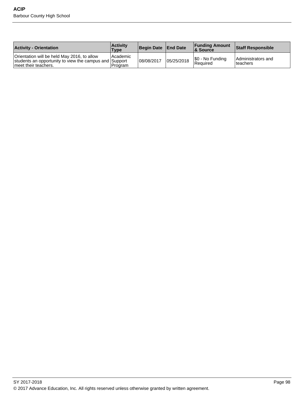| <b>Activity - Orientation</b>                                                                                                  | <b>Activity</b><br>Type | Begin Date   End Date |            | <b>Funding Amount</b><br>8 Source | <b>Staff Responsible</b>        |
|--------------------------------------------------------------------------------------------------------------------------------|-------------------------|-----------------------|------------|-----------------------------------|---------------------------------|
| Orientation will be held May 2016, to allow<br>students an opportunity to view the campus and Support<br>Imeet their teachers. | l Academic<br>Program   | 08/08/2017            | 05/25/2018 | \$0 - No Funding<br>Required      | Administrators and<br>Iteachers |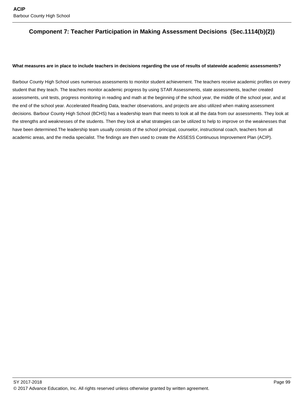# **Component 7: Teacher Participation in Making Assessment Decisions (Sec.1114(b)(2))**

#### **What measures are in place to include teachers in decisions regarding the use of results of statewide academic assessments?**

Barbour County High School uses numerous assessments to monitor student achievement. The teachers receive academic profiles on every student that they teach. The teachers monitor academic progress by using STAR Assessments, state assessments, teacher created assessments, unit tests, progress monitoring in reading and math at the beginning of the school year, the middle of the school year, and at the end of the school year. Accelerated Reading Data, teacher observations, and projects are also utilized when making assessment decisions. Barbour County High School (BCHS) has a leadership team that meets to look at all the data from our assessments. They look at the strengths and weaknesses of the students. Then they look at what strategies can be utilized to help to improve on the weaknesses that have been determined.The leadership team usually consists of the school principal, counselor, instructional coach, teachers from all academic areas, and the media specialist. The findings are then used to create the ASSESS Continuous Improvement Plan (ACIP).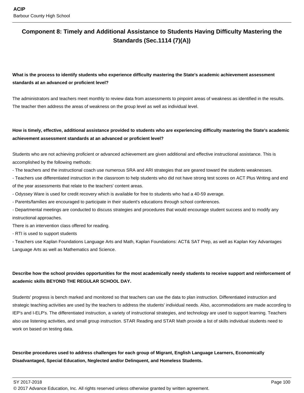# **Component 8: Timely and Additional Assistance to Students Having Difficulty Mastering the Standards (Sec.1114 (7)(A))**

# **What is the process to identify students who experience difficulty mastering the State's academic achievement assessment standards at an advanced or proficient level?**

The administrators and teachers meet monthly to review data from assessments to pinpoint areas of weakness as identified in the results. The teacher then address the areas of weakness on the group level as well as individual level.

# **How is timely, effective, additional assistance provided to students who are experiencing difficulty mastering the State's academic achievement assessment standards at an advanced or proficient level?**

Students who are not achieving proficient or advanced achievement are given additional and effective instructional assistance. This is accomplished by the following methods:

- The teachers and the instructional coach use numerous SRA and ARI strategies that are geared toward the students weaknesses.

- Teachers use differentiated instruction in the classroom to help students who did not have strong test scores on ACT Plus Writing and end of the year assessments that relate to the teachers' content areas.

- Odyssey Ware is used for credit recovery which is available for free to students who had a 40-59 average.

- Parents/families are encouraged to participate in their student's educations through school conferences.

- Departmental meetings are conducted to discuss strategies and procedures that would encourage student success and to modify any instructional approaches.

There is an intervention class offered for reading.

- RTI is used to support students

- Teachers use Kaplan Foundations Language Arts and Math, Kaplan Foundations: ACT& SAT Prep, as well as Kaplan Key Advantages Language Arts as well as Mathematics and Science.

# **Describe how the school provides opportunities for the most academically needy students to receive support and reinforcement of academic skills BEYOND THE REGULAR SCHOOL DAY.**

Students' progress is bench marked and monitored so that teachers can use the data to plan instruction. Differentiated instruction and strategic teaching activities are used by the teachers to address the students' individual needs. Also, accommodations are made according to IEP's and I-ELP's. The differentiated instruction, a variety of instructional strategies, and technology are used to support learning. Teachers also use listening activities, and small group instruction. STAR Reading and STAR Math provide a list of skills individual students need to work on based on testing data.

**Describe procedures used to address challenges for each group of Migrant, English Language Learners, Economically Disadvantaged, Special Education, Neglected and/or Delinquent, and Homeless Students.**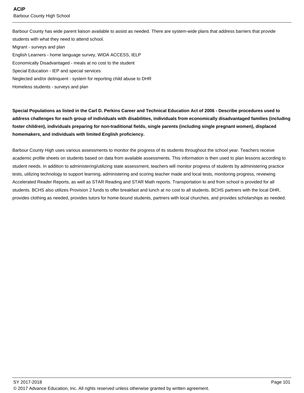Barbour County has wide parent liaison available to assist as needed. There are system-wide plans that address barriers that provide students with what they need to attend school. Migrant - surveys and plan

English Learners - home language survey, WIDA ACCESS, IELP Economically Disadvantaged - meals at no cost to the student Special Education - IEP and special services Neglected and/or delinquent - system for reporting child abuse to DHR Homeless students - surveys and plan

**Special Populations as listed in the Carl D. Perkins Career and Technical Education Act of 2006 - Describe procedures used to address challenges for each group of individuals with disabilities, individuals from economically disadvantaged families (including foster children), individuals preparing for non-traditional fields, single parents (including single pregnant women), displaced homemakers, and individuals with limited English proficiency.**

Barbour County High uses various assessments to monitor the progress of its students throughout the school year. Teachers receive academic profile sheets on students based on data from available assessments. This information is then used to plan lessons according to student needs. In addition to administering/utilizing state assessment, teachers will monitor progress of students by administering practice tests, utilizing technology to support learning, administering and scoring teacher made and local tests, monitoring progress, reviewing Accelerated Reader Reports, as well as STAR Reading and STAR Math reports. Transportation to and from school is provided for all students. BCHS also utilizes Provision 2 funds to offer breakfast and lunch at no cost to all students. BCHS partners with the local DHR, provides clothing as needed, provides tutors for home-bound students, partners with local churches, and provides scholarships as needed.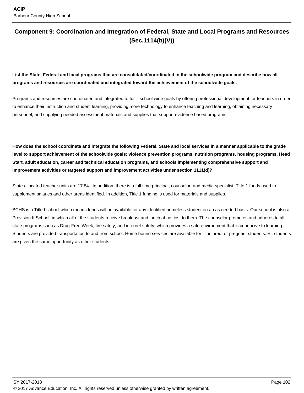# **Component 9: Coordination and Integration of Federal, State and Local Programs and Resources (Sec.1114(b)(V))**

**List the State, Federal and local programs that are consolidated/coordinated in the schoolwide program and describe how all programs and resources are coordinated and integrated toward the achievement of the schoolwide goals.**

Programs and resources are coordinated and integrated to fulfill school wide goals by offering professional development for teachers in order to enhance their instruction and student learning, providing more technology to enhance teaching and learning, obtaining necessary personnel, and supplying needed assessment materials and supplies that support evidence based programs.

**How does the school coordinate and integrate the following Federal, State and local services in a manner applicable to the grade level to support achievement of the schoolwide goals: violence prevention programs, nutrition programs, housing programs, Head Start, adult education, career and technical education programs, and schools implementing comprehensive support and improvement activities or targeted support and improvement activities under section 1111(d)?**

State allocated teacher units are 17.84. In addition, there is a full time principal, counselor, and media specialist. Title 1 funds used to supplement salaries and other areas identified. In addition, Title 1 funding is used for materials and supplies.

BCHS is a Title I school which means funds will be available for any identified homeless student on an as needed basis. Our school is also a Provision II School, in which all of the students receive breakfast and lunch at no cost to them. The counselor promotes and adheres to all state programs such as Drug-Free Week, fire safety, and internet safety, which provides a safe environment that is conducive to learning. Students are provided transportation to and from school. Home bound services are available for ill, injured, or pregnant students. EL students are given the same opportunity as other students.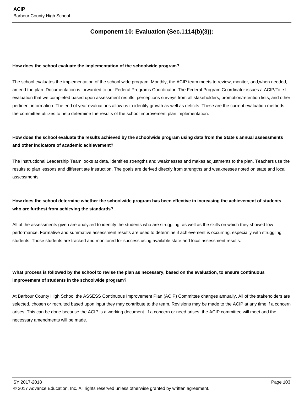# **Component 10: Evaluation (Sec.1114(b)(3)):**

#### **How does the school evaluate the implementation of the schoolwide program?**

The school evaluates the implementation of the school wide program. Monthly, the ACIP team meets to review, monitor, and,when needed, amend the plan. Documentation is forwarded to our Federal Programs Coordinator. The Federal Program Coordinator issues a ACIP/Title I evaluation that we completed based upon assessment results, perceptions surveys from all stakeholders, promotion/retention lists, and other pertinent information. The end of year evaluations allow us to identify growth as well as deficits. These are the current evaluation methods the committee utilizes to help determine the results of the school improvement plan implementation.

# **How does the school evaluate the results achieved by the schoolwide program using data from the State's annual assessments and other indicators of academic achievement?**

The Instructional Leadership Team looks at data, identifies strengths and weaknesses and makes adjustments to the plan. Teachers use the results to plan lessons and differentiate instruction. The goals are derived directly from strengths and weaknesses noted on state and local assessments.

# **How does the school determine whether the schoolwide program has been effective in increasing the achievement of students who are furthest from achieving the standards?**

All of the assessments given are analyzed to identify the students who are struggling, as well as the skills on which they showed low performance. Formative and summative assessment results are used to determine if achievement is occurring, especially with struggling students. Those students are tracked and monitored for success using available state and local assessment results.

# **What process is followed by the school to revise the plan as necessary, based on the evaluation, to ensure continuous improvement of students in the schoolwide program?**

At Barbour County High School the ASSESS Continuous Improvement Plan (ACIP) Committee changes annually. All of the stakeholders are selected, chosen or recruited based upon input they may contribute to the team. Revisions may be made to the ACIP at any time if a concern arises. This can be done because the ACIP is a working document. If a concern or need arises, the ACIP committee will meet and the necessary amendments will be made.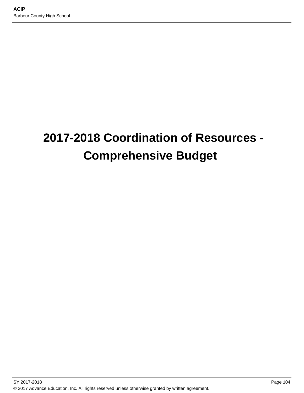# **2017-2018 Coordination of Resources - Comprehensive Budget**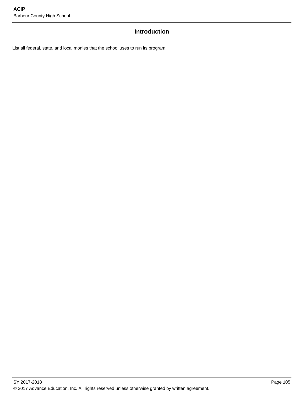## **Introduction**

List all federal, state, and local monies that the school uses to run its program.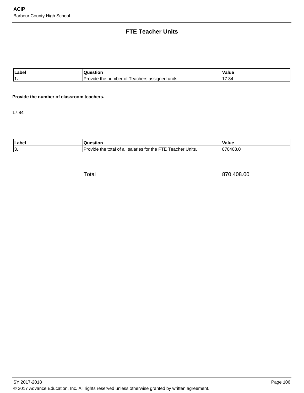# **FTE Teacher Units**

| Labe      |                                                                   | Value |
|-----------|-------------------------------------------------------------------|-------|
| -4<br>. . | assigned<br>' units.<br>'eachers<br>the<br>. റ†<br>number<br>″id⊦ | .84   |

#### **Provide the number of classroom teachers.**

17.84

| п<br>Label | estiol                                                                                                    | Value       |
|------------|-----------------------------------------------------------------------------------------------------------|-------------|
| י י<br>1 J | Dre<br>า⊫<br>Units.<br>, eacher<br>the<br>salaries<br>tor<br>∵the<br>$\sim$<br>tota<br>ovide<br>all<br>ΩI | 8<br>′∪408. |

Total 870,408.00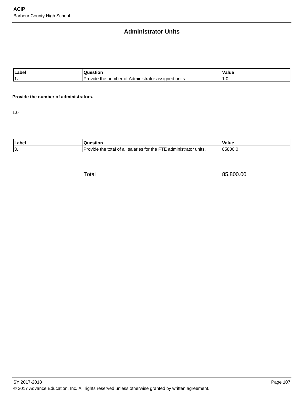## **Administrator Units**

| Labe |                                                                                          | 'alue |
|------|------------------------------------------------------------------------------------------|-------|
|      | units.<br>Adm<br>nınıs<br>റ†<br>ude.<br>numbe<br>assidr<br>the<br><b>I</b> IStrator<br>W | .     |

#### **Provide the number of administrators.**

1.0

| ll ohe<br>Lar |                                                                                            | $\cdot$<br>alue |
|---------------|--------------------------------------------------------------------------------------------|-----------------|
| 13.           | the<br>tor<br>.<br>salaries<br>all<br>units.<br>total<br>$\sim$<br>17./IN<br>аτо<br>au<br> | <br>米           |

Total 85,800.00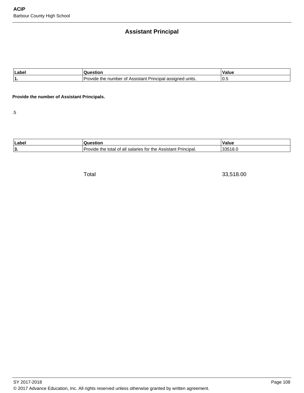# **Assistant Principal**

| Labe |                                                                                            | alue/    |
|------|--------------------------------------------------------------------------------------------|----------|
|      | units.<br>\ccictant<br>Ωt<br>nur<br>nne<br><b>TNE</b><br>ne<br>гігіс<br>w<br>וורא<br>83319 | ◠<br>v.c |

#### **Provide the number of Assistant Principals.**

.5

| Labe |                                                                                                                                                | alut/ |
|------|------------------------------------------------------------------------------------------------------------------------------------------------|-------|
| 3.   | h∩r th<br>Assistant Principal.<br>all<br>the<br>colorice<br>total<br>$\sim$<br>ude.<br>W<br>וטו<br>71c<br>u 10<br>.<br>$\overline{\mathbf{r}}$ |       |

Total 33,518.00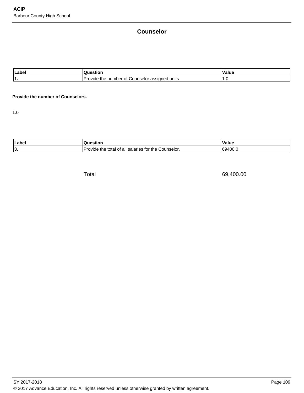## **Counselor**

| Labe | 81 IOI                                                                          | I٧<br>alue |
|------|---------------------------------------------------------------------------------|------------|
|      | units.<br>Counselor<br>number<br>∵0 f<br>.<br>assigned<br>ide the<br>$.1$ $V1o$ |            |

#### **Provide the number of Counselors.**

1.0

| 'Label    |                                                                                                        | alue .<br>$\cdot$ M |
|-----------|--------------------------------------------------------------------------------------------------------|---------------------|
| 1?<br>IJ. | `ounselor.<br>$+n$<br>tor<br>the.<br>all<br>salaries<br>ovide<br>total<br>$\overline{\phantom{a}}$<br> | $\sim$<br>ı zı<br>ĸ |

Total 69,400.00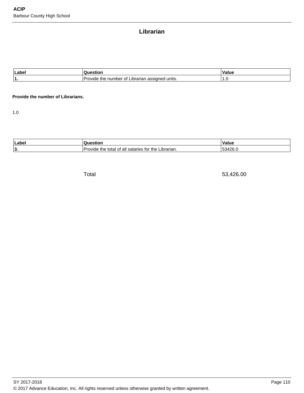# **Librarian**

| Label | но                                                                            | ′alue |
|-------|-------------------------------------------------------------------------------|-------|
| . .   | ' units.<br>. 13.7<br>_ibrariar<br>. number<br>Οt<br>the<br>ANIVC<br>assigned | ن. ا  |

#### **Provide the number of Librarians.**

1.0

| ll aho | по.                                                                                            | $\mathbf{v}$<br>alue            |
|--------|------------------------------------------------------------------------------------------------|---------------------------------|
| 13.    | <br>tor<br>Librarian.<br>the<br>$+n$<br>salaries<br>all<br>$\sim$<br>total<br>avıde<br>ue<br>O | `OC<br>$\overline{\phantom{a}}$ |

Total 53,426.00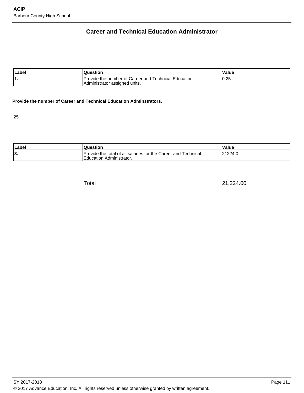# **Career and Technical Education Administrator**

| Labe <sup>®</sup> | Question                                                                                | Value |
|-------------------|-----------------------------------------------------------------------------------------|-------|
| ъ.                | I Provide the number of Career and Technical Education<br>Administrator assigned units. | 0.25  |

#### **Provide the number of Career and Technical Education Adminstrators.**

.25

| Labe | Question                                                                                   | Value   |
|------|--------------------------------------------------------------------------------------------|---------|
| 3    | Provide the total of all salaries for the Career and Technical<br>Education Administrator. | 21224.0 |

Total 21,224.00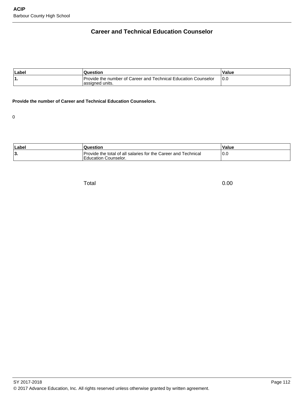# **Career and Technical Education Counselor**

| ∣Label | Question                                                                           | Value |
|--------|------------------------------------------------------------------------------------|-------|
| '1.    | Provide the number of Career and Technical Education Counselor<br>lassigned units. | 0.C   |

#### **Provide the number of Career and Technical Education Counselors.**

0

| Label    | Question                                                                               | Value |
|----------|----------------------------------------------------------------------------------------|-------|
| م ا<br>ı | Provide the total of all salaries for the Career and Technical<br>Education Counselor. | v.v   |

Total 0.00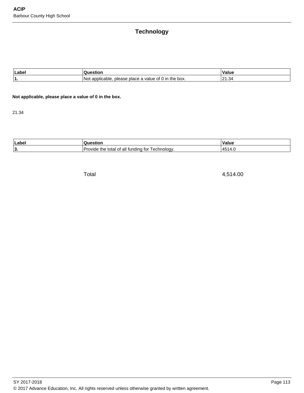# **Technology**

| Labe      |                                                                          | /alue                              |
|-----------|--------------------------------------------------------------------------|------------------------------------|
| -4<br>. . | applicable<br>the<br>o box.<br>N∩t<br>ot (<br>value<br>piace a<br>please | $\sim$<br>$\sim$<br>34<br><u>_</u> |

#### **Not applicable, please place a value of 0 in the box.**

21.34

| Labe | uor                                                      | $\cdot$<br>/alue |
|------|----------------------------------------------------------|------------------|
| 13.  | unding for<br>the<br>echnology.<br>all<br>total<br>avıde | $\overline{ }$   |

Total 4,514.00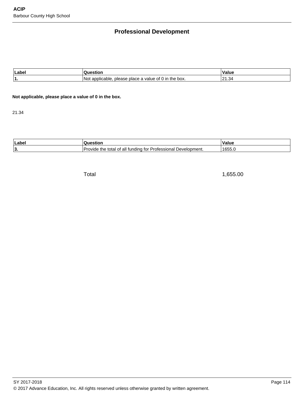# **Professional Development**

| Labe |                                                                                | ′alue                  |
|------|--------------------------------------------------------------------------------|------------------------|
|      | N∩<br>the<br>≧box.<br>applic<br>Ωt<br>∵valu⊾<br>piace a<br>nie:<br>anie<br>. . | .34<br>ົາາ<br><u>_</u> |

**Not applicable, please place a value of 0 in the box.**

21.34

| п<br>∟abel | ΠΟΙ                                                                                        | alue/   |
|------------|--------------------------------------------------------------------------------------------|---------|
| י י<br>19. | Professiona.<br>the.<br>∵evelopmenı.<br>†∩r<br>undina.<br>all<br>)VIde<br>ΩT<br>τοται<br>v | "1655.⊾ |

Total 1,655.00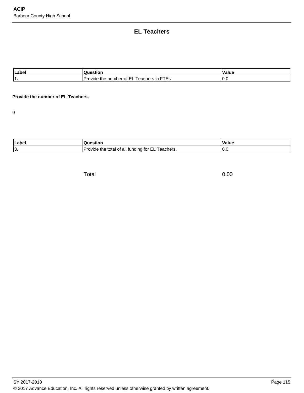## **EL Teachers**

| Labe. | stior                                                                                   | ls.<br>alue         |
|-------|-----------------------------------------------------------------------------------------|---------------------|
| и     | ____<br>.<br>number<br>Jra<br>the<br>$\sim$ $N$<br>eachers ir<br>Οt<br>ıde<br>. ت<br>-- | $\sqrt{2}$<br>1 U.U |

#### **Provide the number of EL Teachers.**

0

| <sup>1</sup> Label |                                                                    | /alue    |
|--------------------|--------------------------------------------------------------------|----------|
| ا ?<br>, ب         | eachers.<br>tor<br>the<br>∩t<br>wide<br>total<br>ан<br>aur.<br>--- | ⌒<br>u.u |

Total 0.00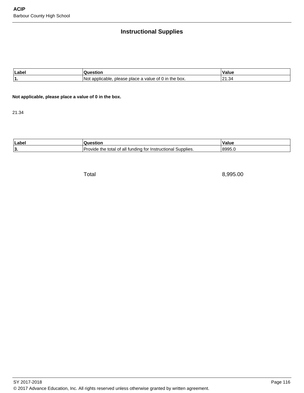# **Instructional Supplies**

| Labe |                                                                                | ′alue                  |
|------|--------------------------------------------------------------------------------|------------------------|
|      | N∩<br>the<br>≧box.<br>applic<br>Ωt<br>∵valu⊾<br>piace a<br>nie:<br>anie<br>. . | .34<br>ົາາ<br><u>_</u> |

**Not applicable, please place a value of 0 in the box.**

21.34

| Laber | uor                                                                                      | ۰.<br>alue          |
|-------|------------------------------------------------------------------------------------------|---------------------|
| 13.   | <br>the<br>Nupplies.<br>undina<br>all<br>uction<br>total<br>אר <i>ו</i> ער<br>.<br>- טונ | $1800^{\circ}$<br>. |

Total 8,995.00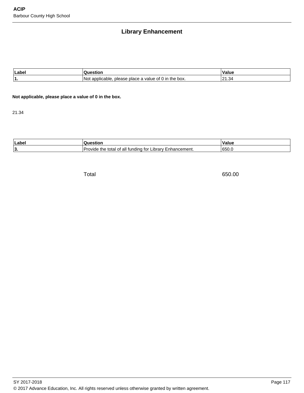## **Library Enhancement**

| Labe |                                                                                               | ' 1 s<br>alue                                      |
|------|-----------------------------------------------------------------------------------------------|----------------------------------------------------|
|      | Nr<br>box.<br>onn<br>the<br>ır<br>nlic.<br>101<br>value<br>place a<br>nie:<br>inie<br>-<br>ັບ | 2 <sub>0</sub><br>$\sim$<br>. .<br>۔ ب<br><u>_</u> |

**Not applicable, please place a value of 0 in the box.**

21.34

| п<br>Label |                                                                                                     | Value                                 |
|------------|-----------------------------------------------------------------------------------------------------|---------------------------------------|
| י י<br>IV. | hancement.<br>tor<br>∟ıbrarv<br>tundina<br>. <i>.</i><br>th<br>n1<br>tota<br>эli<br>∴γινια,<br>Enna | $\sim$ $\sim$ $\sim$<br><b>1650.c</b> |

Total 650.00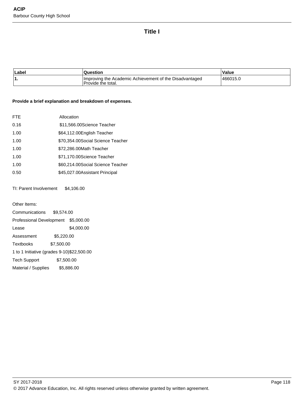### **Title I**

| Label | <b>Question</b>                                                               | Value     |
|-------|-------------------------------------------------------------------------------|-----------|
| ١1.   | Improving the Academic Achievement of the Disadvantaged<br>Provide the total. | 1466015.0 |

#### **Provide a brief explanation and breakdown of expenses.**

| FTE. | Allocation                         |
|------|------------------------------------|
| 0.16 | \$11,566.00 Science Teacher        |
| 1.00 | \$64,112.00 English Teacher        |
| 1.00 | \$70,354.00 Social Science Teacher |
| 1.00 | \$72,286.00 Math Teacher           |
| 1.00 | \$71,170.00 Science Teacher        |
| 1.00 | \$60,214.00 Social Science Teacher |
| 0.50 | \$45,027.00 Assistant Principal    |

TI: Parent Involvement \$4,106.00

Other Items: 

Communications \$9,574.00 Professional Development \$5,000.00 Lease \$4,000.00 Assessment \$5,220.00 Textbooks \$7,500.00 1 to 1 Initiative (grades 9-10) \$22,500.00 Tech Support \$7,500.00 Material / Supplies \$5,886.00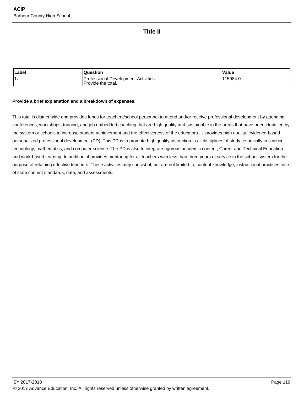## **Title II**

| Label | Question                                                   | Value    |
|-------|------------------------------------------------------------|----------|
| ้1.   | Professional Development Activities.<br>Provide the total. | 115984.u |

#### **Provide a brief explanation and a breakdown of expenses.**

This total is district-wide and provides funds for teachers/school personnel to attend and/or receive professional development by attending conferences, workshops, training, and job embedded coaching that are high quality and sustainable in the areas that have been identified by the system or schools to increase student achievement and the effectiveness of the educators. It provides high quality, evidence-based personalized professional development (PD). This PD is to promote high quality instruction in all disciplines of study, especially in science, technology, mathematics, and computer science. The PD is also to integrate rigorous academic content, Career and Technical Education and work-based learning. In addition, it provides mentoring for all teachers with less than three years of service in the school system for the purpose of retaining effective teachers. These activities may consist of, but are not limited to, content knowledge, instructional practices, use of state content standards, data, and assessments.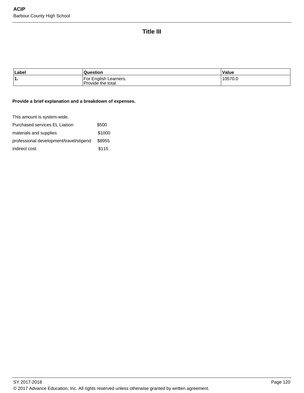# **Title III**

| Label    | Question                                               | Value   |
|----------|--------------------------------------------------------|---------|
| и<br>. . | English Learners.<br>.For<br><b>Provide the total.</b> | 10570.0 |

#### **Provide a brief explanation and a breakdown of expenses.**

This amount is system-wide.

| Purchased services EL Liaison           | \$500  |
|-----------------------------------------|--------|
| materials and supplies                  | \$1000 |
| professional development/travel/stipend | \$8955 |
| indirect cost                           | \$115  |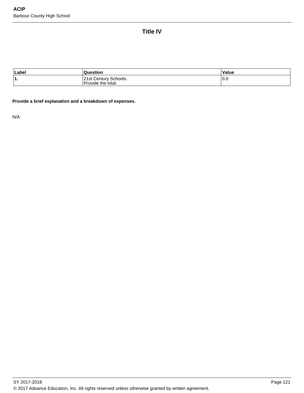**Title IV**

| Label | Question                                    | Value |
|-------|---------------------------------------------|-------|
| '1.   | 21st Century Schools.<br>Provide the total. | 0.0   |

**Provide a brief explanation and a breakdown of expenses.**

N/A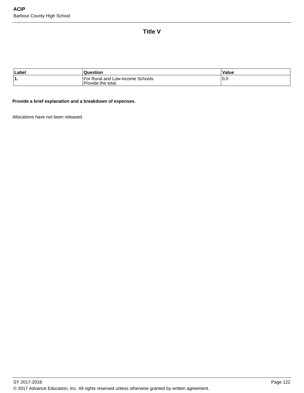**Title V**

| Labe | uestion                                                | <b>Value</b>  |
|------|--------------------------------------------------------|---------------|
| ۱1.  | For Rural and Low-income Schools<br>Provide the total. | $\sim$<br>v.u |

**Provide a brief explanation and a breakdown of expenses.**

Allocations have not been released.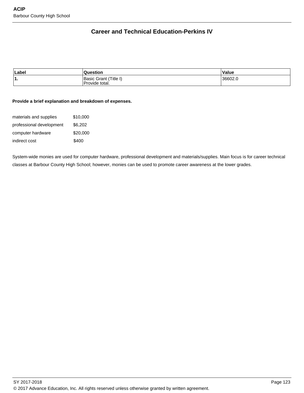# **Career and Technical Education-Perkins IV**

| Label | tion                                           | Value  |
|-------|------------------------------------------------|--------|
| ່1.   | Title.<br>ി sic പ<br>Grant<br>≧total.<br>ovide | 36602. |

#### **Provide a brief explanation and breakdown of expenses.**

| materials and supplies   | \$10,000 |
|--------------------------|----------|
| professional development | \$6.202  |
| computer hardware        | \$20,000 |
| indirect cost            | \$400    |

System-wide monies are used for computer hardware, professional development and materials/supplies. Main focus is for career technical classes at Barbour County High School; however, monies can be used to promote career awareness at the lower grades.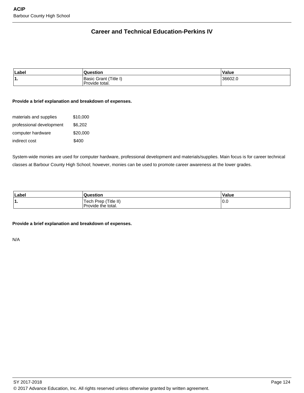# **Career and Technical Education-Perkins IV**

| Label | <b>Question</b>                                   | Value  |
|-------|---------------------------------------------------|--------|
| ٬1.   | ∵ (Title ı,<br>Basic \<br>Grant<br>Provide total. | 36602. |

#### **Provide a brief explanation and breakdown of expenses.**

| materials and supplies   | \$10,000 |
|--------------------------|----------|
| professional development | \$6.202  |
| computer hardware        | \$20,000 |
| indirect cost            | \$400    |

System-wide monies are used for computer hardware, professional development and materials/supplies. Main focus is for career technical classes at Barbour County High School; however, monies can be used to promote career awareness at the lower grades.

| Label | Question                                         | Value      |
|-------|--------------------------------------------------|------------|
| . .   | (Title II)<br>Prep<br>Tech<br>Provide the total. | 0.0<br>- - |

#### **Provide a brief explanation and breakdown of expenses.**

N/A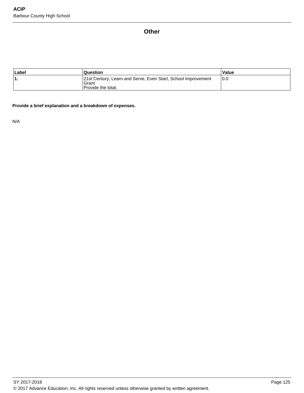## **Other**

| Label | <b>Question</b>                                                                                     | Value |
|-------|-----------------------------------------------------------------------------------------------------|-------|
|       | 21st Century, Learn and Serve, Even Start, School Improvement<br>Grant<br><b>Provide the total.</b> | 10.0  |

#### **Provide a brief explanation and a breakdown of expenses.**

N/A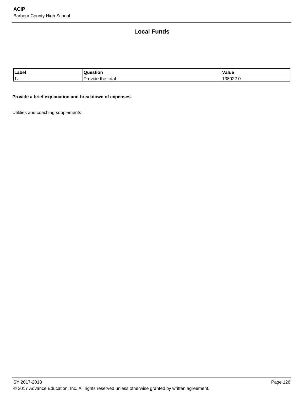## **Local Funds**

| Label  |                             | $\mathbf{v}$<br>alut |
|--------|-----------------------------|----------------------|
| -4<br> | total<br>me<br>$\mathbf{w}$ | I JUUZZ.U            |

#### **Provide a brief explanation and breakdown of expenses.**

Utilities and coaching supplements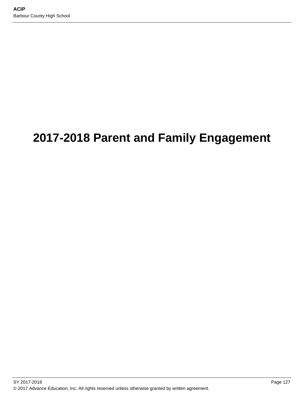# **2017-2018 Parent and Family Engagement**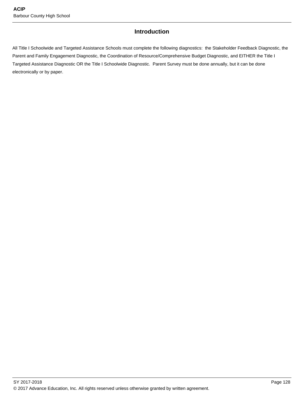## **Introduction**

All Title I Schoolwide and Targeted Assistance Schools must complete the following diagnostics: the Stakeholder Feedback Diagnostic, the Parent and Family Engagement Diagnostic, the Coordination of Resource/Comprehensive Budget Diagnostic, and EITHER the Title I Targeted Assistance Diagnostic OR the Title I Schoolwide Diagnostic. Parent Survey must be done annually, but it can be done electronically or by paper.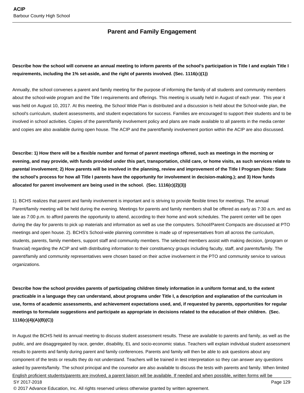## **Parent and Family Engagement**

## **Describe how the school will convene an annual meeting to inform parents of the school's participation in Title I and explain Title I requirements, including the 1% set-aside, and the right of parents involved. (Sec. 1116(c)(1))**

Annually, the school convenes a parent and family meeting for the purpose of informing the family of all students and community members about the school-wide program and the Title I requirements and offerings. This meeting is usually held in August of each year. This year it was held on August 10, 2017. At this meeting, the School Wide Plan is distributed and a discussion is held about the School-wide plan, the school's curriculum, student assessments, and student expectations for success. Families are encouraged to support their students and to be involved in school activities. Copies of the parent/family involvement policy and plans are made available to all parents in the media center and copies are also available during open house. The ACIP and the parent/family involvement portion within the ACIP are also discussed.

**Describe: 1) How there will be a flexible number and format of parent meetings offered, such as meetings in the morning or evening, and may provide, with funds provided under this part, transportation, child care, or home visits, as such services relate to parental involvement; 2) How parents will be involved in the planning, review and improvement of the Title I Program (Note: State the school's process for how all Title I parents have the opportunity for involvement in decision-making.); and 3) How funds allocated for parent involvement are being used in the school. (Sec. 1116(c)(2)(3))**

1). BCHS realizes that parent and family involvement is important and is striving to provide flexible times for meetings. The annual Parent/family meeting will be held during the evening. Meetings for parents and family members shall be offered as early as 7:30 a.m. and as late as 7:00 p.m. to afford parents the opportunity to attend, according to their home and work schedules. The parent center will be open during the day for parents to pick up materials and information as well as use the computers. School/Parent Compacts are discussed at PTO meetings and open house. 2). BCHS's School-wide planning committee is made up of representatives from all across the curriculum, students, parents, family members, support staff and community members. The selected members assist with making decision, (program or financial) regarding the ACIP and with distributing information to their constituency groups including faculty, staff, and parents/family. The parent/family and community representatives were chosen based on their active involvement in the PTO and community service to various organizations.

**Describe how the school provides parents of participating children timely information in a uniform format and, to the extent practicable in a language they can understand, about programs under Title I, a description and explanation of the curriculum in use, forms of academic assessments, and achievement expectations used, and, if requested by parents, opportunities for regular meetings to formulate suggestions and participate as appropriate in decisions related to the education of their children. (Sec. 1116(c)(4)(A)(B)(C))**

In August the BCHS held its annual meeting to discuss student assessment results. These are available to parents and family, as well as the public, and are disaggregated by race, gender, disability, EL and socio-economic status. Teachers will explain individual student assessment results to parents and family during parent and family conferences. Parents and family will then be able to ask questions about any component of the tests or results they do not understand. Teachers will be trained in test interpretation so they can answer any questions asked by parents/family. The school principal and the counselor are also available to discuss the tests with parents and family. When limited English proficient students/parents are involved, a parent liaison will be available. If needed and when possible, written forms will be SY 2017-2018 Page 129

© 2017 Advance Education, Inc. All rights reserved unless otherwise granted by written agreement.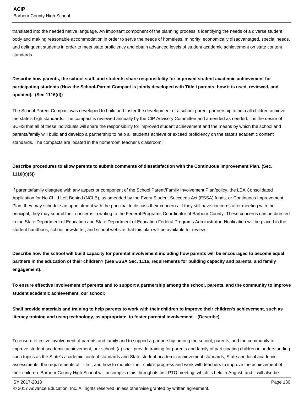translated into the needed native language. An important component of the planning process is identifying the needs of a diverse student body and making reasonable accommodation in order to serve the needs of homeless, minority, economically disadvantaged, special needs, and delinquent students in order to meet state proficiency and obtain advanced levels of student academic achievement on state content standards.

## **Describe how parents, the school staff, and students share responsibility for improved student academic achievement for participating students (How the School-Parent Compact is jointly developed with Title I parents; how it is used, reviewed, and updated). (Sec.1116(d))**

The School-Parent Compact was developed to build and foster the development of a school-parent partnership to help all children achieve the state's high standards. The compact is reviewed annually by the CIP Advisory Committee and amended as needed. It is the desire of BCHS that all of these individuals will share the responsibility for improved student achievement and the means by which the school and parents/family will build and develop a partnership to help all students achieve or exceed proficiency on the state's academic content standards. The compacts are located in the homeroom teacher's classroom.

## **Describe procedures to allow parents to submit comments of dissatisfaction with the Continuous Improvement Plan. (Sec. 1116(c)(5))**

If parents/family disagree with any aspect or component of the School Parent/Family Involvement Plan/policy, the LEA Consolidated Application for No Child Left Behind (NCLB), as amended by the Every Student Succeeds Act (ESSA) funds, or Continuous Improvement Plan, they may schedule an appointment with the principal to discuss their concerns. If they still have concerns after meeting with the principal, they may submit their concerns in writing to the Federal Programs Coordinator of Barbour County. These concerns can be directed to the State Department of Education and State Department of Education Federal Programs Administrator. Notification will be placed in the student handbook, school newsletter, and school website that this plan will be available for review.

**Describe how the school will build capacity for parental involvement including how parents will be encouraged to become equal partners in the education of their children? (See ESSA Sec. 1116, requirements for building capacity and parental and family engagement).**

**To ensure effective involvement of parents and to support a partnership among the school, parents, and the community to improve student academic achievement, our school:**

**Shall provide materials and training to help parents to work with their children to improve their children's achievement, such as literacy training and using technology, as appropriate, to foster parental involvement. (Describe)**

To ensure effective involvement of parents and family and to support a partnership among the school, parents, and the community to improve student academic achievement, our school: (a) shall provide training for parents and family of participating children in understanding such topics as the State's academic content standards and State student academic achievement standards, State and local academic assessments, the requirements of Title I, and how to monitor their child's progress and work with teachers to improve the achievement of their children. Barbour County High School will accomplish this through its first PTO meeting, which is held in August, and it will also be

<sup>© 2017</sup> Advance Education, Inc. All rights reserved unless otherwise granted by written agreement.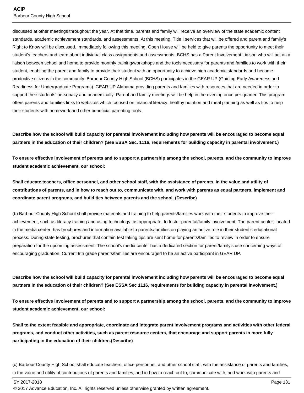discussed at other meetings throughout the year. At that time, parents and family will receive an overview of the state academic content standards, academic achievement standards, and assessments. At this meeting, Title I services that will be offered and parent and family's Right to Know will be discussed. Immediately following this meeting, Open House will be held to give parents the opportunity to meet their student's teachers and learn about individual class assignments and assessments. BCHS has a Parent Involvement Liaison who will act as a liaison between school and home to provide monthly training/workshops and the tools necessary for parents and families to work with their student, enabling the parent and family to provide their student with an opportunity to achieve high academic standards and become productive citizens in the community. Barbour County High School (BCHS) participates in the GEAR UP (Gaining Early Awareness and Readiness for Undergraduate Programs). GEAR UP Alabama providing parents and families with resources that are needed in order to support their students' personally and academically. Parent and family meetings will be help in the evening once per quarter. This program offers parents and families links to websites which focused on financial literacy, healthy nutrition and meal planning as well as tips to help their students with homework and other beneficial parenting tools.

**Describe how the school will build capacity for parental involvement including how parents will be encouraged to become equal partners in the education of their children? (See ESSA Sec. 1116, requirements for building capacity in parental involvement.)**

**To ensure effective involvement of parents and to support a partnership among the school, parents, and the community to improve student academic achievement, our school:**

**Shall educate teachers, office personnel, and other school staff, with the assistance of parents, in the value and utility of contributions of parents, and in how to reach out to, communicate with, and work with parents as equal partners, implement and coordinate parent programs, and build ties between parents and the school. (Describe)**

(b) Barbour County High School shall provide materials and training to help parents/families work with their students to improve their achievement, such as literacy training and using technology, as appropriate, to foster parental/family involvement. The parent center, located in the media center, has brochures and information available to parents/families on playing an active role in their student's educational process. During state testing, brochures that contain test taking tips are sent home for parents/families to review in order to ensure preparation for the upcoming assessment. The school's media center has a dedicated section for parent/family's use concerning ways of encouraging graduation. Current 9th grade parents/families are encouraged to be an active participant in GEAR UP.

**Describe how the school will build capacity for parental involvement including how parents will be encouraged to become equal partners in the education of their children? (See ESSA Sec 1116, requirements for building capacity in parental involvement.)**

**To ensure effective involvement of parents and to support a partnership among the school, parents, and the community to improve student academic achievement, our school:**

**Shall to the extent feasible and appropriate, coordinate and integrate parent involvement programs and activities with other federal programs, and conduct other activities, such as parent resource centers, that encourage and support parents in more fully participating in the education of their children.(Describe)**

(c) Barbour County High School shall educate teachers, office personnel, and other school staff, with the assistance of parents and families, in the value and utility of contributions of parents and families, and in how to reach out to, communicate with, and work with parents and

SY 2017-2018 Page 131

<sup>© 2017</sup> Advance Education, Inc. All rights reserved unless otherwise granted by written agreement.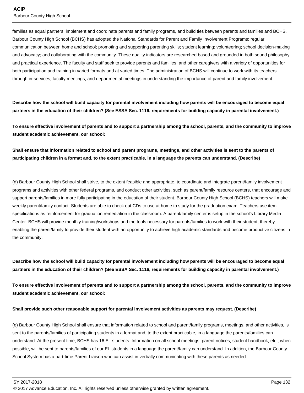families as equal partners, implement and coordinate parents and family programs, and build ties between parents and families and BCHS. Barbour County High School (BCHS) has adopted the National Standards for Parent and Family Involvement Programs: regular communication between home and school; promoting and supporting parenting skills; student learning; volunteering; school decision-making and advocacy; and collaborating with the community. These quality indicators are researched based and grounded in both sound philosophy and practical experience. The faculty and staff seek to provide parents and families, and other caregivers with a variety of opportunities for both participation and training in varied formats and at varied times. The administration of BCHS will continue to work with its teachers through in-services, faculty meetings, and departmental meetings in understanding the importance of parent and family involvement.

**Describe how the school will build capacity for parental involvement including how parents will be encouraged to become equal partners in the education of their children? (See ESSA Sec. 1116, requirements for building capacity in parental involvement.)**

**To ensure effective involvement of parents and to support a partnership among the school, parents, and the community to improve student academic achievement, our school:**

**Shall ensure that information related to school and parent programs, meetings, and other activities is sent to the parents of participating children in a format and, to the extent practicable, in a language the parents can understand. (Describe)**

(d) Barbour County High School shall strive, to the extent feasible and appropriate, to coordinate and integrate parent/family involvement programs and activities with other federal programs, and conduct other activities, such as parent/family resource centers, that encourage and support parents/families in more fully participating in the education of their student. Barbour County High School (BCHS) teachers will make weekly parent/family contact. Students are able to check out CDs to use at home to study for the graduation exam. Teachers use item specifications as reinforcement for graduation remediation in the classroom. A parent/family center is setup in the school's Library Media Center. BCHS will provide monthly training/workshops and the tools necessary for parents/families to work with their student, thereby enabling the parent/family to provide their student with an opportunity to achieve high academic standards and become productive citizens in the community.

**Describe how the school will build capacity for parental involvement including how parents will be encouraged to become equal partners in the education of their children? (See ESSA Sec. 1116, requirements for building capacity in parental involvement.)**

**To ensure effective involvement of parents and to support a partnership among the school, parents, and the community to improve student academic achievement, our school:**

#### **Shall provide such other reasonable support for parental involvement activities as parents may request. (Describe)**

(e) Barbour County High School shall ensure that information related to school and parent/family programs, meetings, and other activities, is sent to the parents/families of participating students in a format and, to the extent practicable, in a language the parents/families can understand. At the present time, BCHS has 16 EL students. Information on all school meetings, parent notices, student handbook, etc., when possible, will be sent to parents/families of our EL students in a language the parent/family can understand. In addition, the Barbour County School System has a part-time Parent Liaison who can assist in verbally communicating with these parents as needed.